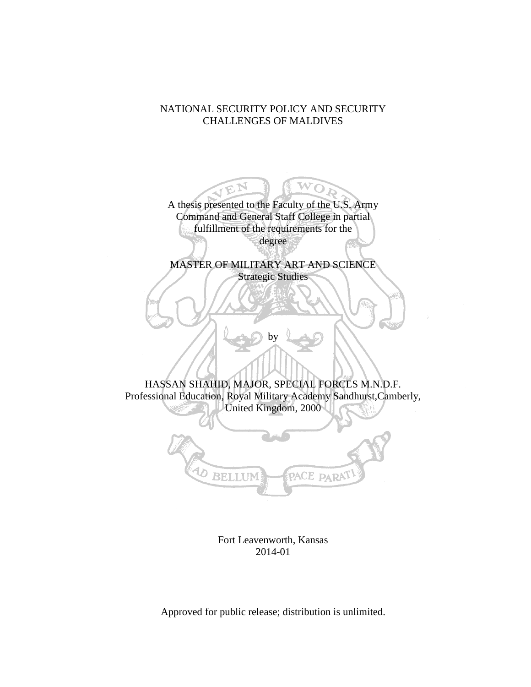## NATIONAL SECURITY POLICY AND SECURITY CHALLENGES OF MALDIVES

A thesis presented to the Faculty of the U.S. Army Command and General Staff College in partial fulfillment of the requirements for the degree

W Ö.

MASTER OF MILITARY ART AND SCIENCE Strategic Studies

HASSAN SHAHID, MAJOR, SPECIAL FORCES M.N.D.F. Professional Education, Royal Military Academy Sandhurst,Camberly, United Kingdom, 2000

b٧



Fort Leavenworth, Kansas 2014-01

Approved for public release; distribution is unlimited.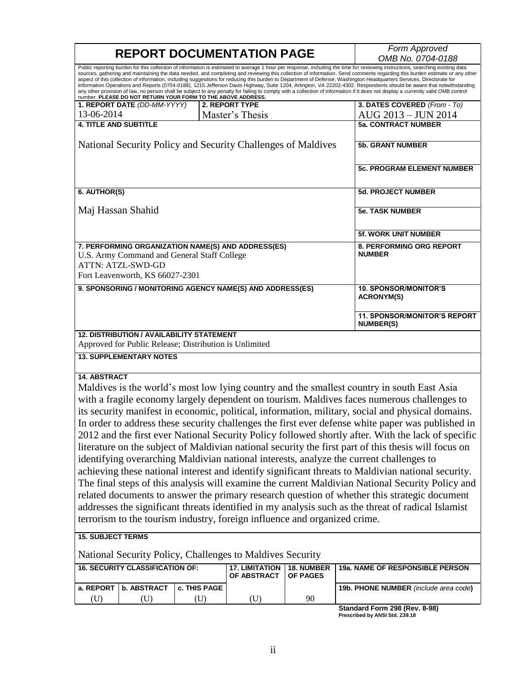| <b>REPORT DOCUMENTATION PAGE</b>                                                                                                                                                                                                                                                                                                                                                                                                                                                                                                                                                                                                                                                                                                                                                                                                                                                                                                                                                                                                                                                                                                                                                                                                |                                                              |              |                                                           |                               | Form Approved                                                                                                                                                                                                                                                                                                                                                                                                                                                                                                                                                                                                                                                                                                                                                                                                                                                                                     |  |  |
|---------------------------------------------------------------------------------------------------------------------------------------------------------------------------------------------------------------------------------------------------------------------------------------------------------------------------------------------------------------------------------------------------------------------------------------------------------------------------------------------------------------------------------------------------------------------------------------------------------------------------------------------------------------------------------------------------------------------------------------------------------------------------------------------------------------------------------------------------------------------------------------------------------------------------------------------------------------------------------------------------------------------------------------------------------------------------------------------------------------------------------------------------------------------------------------------------------------------------------|--------------------------------------------------------------|--------------|-----------------------------------------------------------|-------------------------------|---------------------------------------------------------------------------------------------------------------------------------------------------------------------------------------------------------------------------------------------------------------------------------------------------------------------------------------------------------------------------------------------------------------------------------------------------------------------------------------------------------------------------------------------------------------------------------------------------------------------------------------------------------------------------------------------------------------------------------------------------------------------------------------------------------------------------------------------------------------------------------------------------|--|--|
|                                                                                                                                                                                                                                                                                                                                                                                                                                                                                                                                                                                                                                                                                                                                                                                                                                                                                                                                                                                                                                                                                                                                                                                                                                 |                                                              |              |                                                           |                               | OMB No. 0704-0188                                                                                                                                                                                                                                                                                                                                                                                                                                                                                                                                                                                                                                                                                                                                                                                                                                                                                 |  |  |
|                                                                                                                                                                                                                                                                                                                                                                                                                                                                                                                                                                                                                                                                                                                                                                                                                                                                                                                                                                                                                                                                                                                                                                                                                                 | number. PLEASE DO NOT RETURN YOUR FORM TO THE ABOVE ADDRESS. |              |                                                           |                               | Public reporting burden for this collection of information is estimated to average 1 hour per response, including the time for reviewing instructions, searching existing data<br>sources, gathering and maintaining the data needed, and completing and reviewing this collection of information. Send comments regarding this burden estimate or any other<br>aspect of this collection of information, including suggestions for reducing this burden to Department of Defense, Washington Headquarters Services, Directorate for<br>Information Operations and Reports (0704-0188), 1215 Jefferson Davis Highway, Suite 1204, Arlington, VA 22202-4302. Respondents should be aware that notwithstanding<br>any other provision of law, no person shall be subject to any penalty for failing to comply with a collection of information if it does not display a currently valid OMB control |  |  |
|                                                                                                                                                                                                                                                                                                                                                                                                                                                                                                                                                                                                                                                                                                                                                                                                                                                                                                                                                                                                                                                                                                                                                                                                                                 | 1. REPORT DATE (DD-MM-YYYY)                                  |              | 2. REPORT TYPE                                            |                               | 3. DATES COVERED (From - To)                                                                                                                                                                                                                                                                                                                                                                                                                                                                                                                                                                                                                                                                                                                                                                                                                                                                      |  |  |
| 13-06-2014                                                                                                                                                                                                                                                                                                                                                                                                                                                                                                                                                                                                                                                                                                                                                                                                                                                                                                                                                                                                                                                                                                                                                                                                                      |                                                              |              | Master's Thesis                                           |                               | AUG 2013 - JUN 2014                                                                                                                                                                                                                                                                                                                                                                                                                                                                                                                                                                                                                                                                                                                                                                                                                                                                               |  |  |
| <b>4. TITLE AND SUBTITLE</b>                                                                                                                                                                                                                                                                                                                                                                                                                                                                                                                                                                                                                                                                                                                                                                                                                                                                                                                                                                                                                                                                                                                                                                                                    |                                                              |              |                                                           |                               | <b>5a. CONTRACT NUMBER</b>                                                                                                                                                                                                                                                                                                                                                                                                                                                                                                                                                                                                                                                                                                                                                                                                                                                                        |  |  |
|                                                                                                                                                                                                                                                                                                                                                                                                                                                                                                                                                                                                                                                                                                                                                                                                                                                                                                                                                                                                                                                                                                                                                                                                                                 |                                                              |              |                                                           |                               |                                                                                                                                                                                                                                                                                                                                                                                                                                                                                                                                                                                                                                                                                                                                                                                                                                                                                                   |  |  |
| National Security Policy and Security Challenges of Maldives                                                                                                                                                                                                                                                                                                                                                                                                                                                                                                                                                                                                                                                                                                                                                                                                                                                                                                                                                                                                                                                                                                                                                                    |                                                              |              |                                                           |                               | <b>5b. GRANT NUMBER</b>                                                                                                                                                                                                                                                                                                                                                                                                                                                                                                                                                                                                                                                                                                                                                                                                                                                                           |  |  |
|                                                                                                                                                                                                                                                                                                                                                                                                                                                                                                                                                                                                                                                                                                                                                                                                                                                                                                                                                                                                                                                                                                                                                                                                                                 |                                                              |              |                                                           |                               | <b>5c. PROGRAM ELEMENT NUMBER</b>                                                                                                                                                                                                                                                                                                                                                                                                                                                                                                                                                                                                                                                                                                                                                                                                                                                                 |  |  |
| 6. AUTHOR(S)                                                                                                                                                                                                                                                                                                                                                                                                                                                                                                                                                                                                                                                                                                                                                                                                                                                                                                                                                                                                                                                                                                                                                                                                                    |                                                              |              |                                                           |                               | <b>5d. PROJECT NUMBER</b>                                                                                                                                                                                                                                                                                                                                                                                                                                                                                                                                                                                                                                                                                                                                                                                                                                                                         |  |  |
| Maj Hassan Shahid                                                                                                                                                                                                                                                                                                                                                                                                                                                                                                                                                                                                                                                                                                                                                                                                                                                                                                                                                                                                                                                                                                                                                                                                               |                                                              |              |                                                           |                               | <b>5e. TASK NUMBER</b>                                                                                                                                                                                                                                                                                                                                                                                                                                                                                                                                                                                                                                                                                                                                                                                                                                                                            |  |  |
|                                                                                                                                                                                                                                                                                                                                                                                                                                                                                                                                                                                                                                                                                                                                                                                                                                                                                                                                                                                                                                                                                                                                                                                                                                 |                                                              |              |                                                           |                               | <b>5f. WORK UNIT NUMBER</b>                                                                                                                                                                                                                                                                                                                                                                                                                                                                                                                                                                                                                                                                                                                                                                                                                                                                       |  |  |
| 7. PERFORMING ORGANIZATION NAME(S) AND ADDRESS(ES)<br>U.S. Army Command and General Staff College<br>ATTN: ATZL-SWD-GD<br>Fort Leavenworth, KS 66027-2301                                                                                                                                                                                                                                                                                                                                                                                                                                                                                                                                                                                                                                                                                                                                                                                                                                                                                                                                                                                                                                                                       |                                                              |              |                                                           |                               | 8. PERFORMING ORG REPORT<br><b>NUMBER</b>                                                                                                                                                                                                                                                                                                                                                                                                                                                                                                                                                                                                                                                                                                                                                                                                                                                         |  |  |
|                                                                                                                                                                                                                                                                                                                                                                                                                                                                                                                                                                                                                                                                                                                                                                                                                                                                                                                                                                                                                                                                                                                                                                                                                                 |                                                              |              | 9. SPONSORING / MONITORING AGENCY NAME(S) AND ADDRESS(ES) |                               | <b>10. SPONSOR/MONITOR'S</b><br><b>ACRONYM(S)</b>                                                                                                                                                                                                                                                                                                                                                                                                                                                                                                                                                                                                                                                                                                                                                                                                                                                 |  |  |
|                                                                                                                                                                                                                                                                                                                                                                                                                                                                                                                                                                                                                                                                                                                                                                                                                                                                                                                                                                                                                                                                                                                                                                                                                                 |                                                              |              |                                                           |                               | <b>11. SPONSOR/MONITOR'S REPORT</b><br><b>NUMBER(S)</b>                                                                                                                                                                                                                                                                                                                                                                                                                                                                                                                                                                                                                                                                                                                                                                                                                                           |  |  |
| <b>12. DISTRIBUTION / AVAILABILITY STATEMENT</b><br>Approved for Public Release; Distribution is Unlimited                                                                                                                                                                                                                                                                                                                                                                                                                                                                                                                                                                                                                                                                                                                                                                                                                                                                                                                                                                                                                                                                                                                      |                                                              |              |                                                           |                               |                                                                                                                                                                                                                                                                                                                                                                                                                                                                                                                                                                                                                                                                                                                                                                                                                                                                                                   |  |  |
| <b>13. SUPPLEMENTARY NOTES</b>                                                                                                                                                                                                                                                                                                                                                                                                                                                                                                                                                                                                                                                                                                                                                                                                                                                                                                                                                                                                                                                                                                                                                                                                  |                                                              |              |                                                           |                               |                                                                                                                                                                                                                                                                                                                                                                                                                                                                                                                                                                                                                                                                                                                                                                                                                                                                                                   |  |  |
| <b>14. ABSTRACT</b><br>Maldives is the world's most low lying country and the smallest country in south East Asia<br>with a fragile economy largely dependent on tourism. Maldives faces numerous challenges to<br>its security manifest in economic, political, information, military, social and physical domains.<br>In order to address these security challenges the first ever defense white paper was published in<br>2012 and the first ever National Security Policy followed shortly after. With the lack of specific<br>literature on the subject of Maldivian national security the first part of this thesis will focus on<br>identifying overarching Maldivian national interests, analyze the current challenges to<br>achieving these national interest and identify significant threats to Maldivian national security.<br>The final steps of this analysis will examine the current Maldivian National Security Policy and<br>related documents to answer the primary research question of whether this strategic document<br>addresses the significant threats identified in my analysis such as the threat of radical Islamist<br>terrorism to the tourism industry, foreign influence and organized crime. |                                                              |              |                                                           |                               |                                                                                                                                                                                                                                                                                                                                                                                                                                                                                                                                                                                                                                                                                                                                                                                                                                                                                                   |  |  |
| <b>15. SUBJECT TERMS</b>                                                                                                                                                                                                                                                                                                                                                                                                                                                                                                                                                                                                                                                                                                                                                                                                                                                                                                                                                                                                                                                                                                                                                                                                        |                                                              |              |                                                           |                               |                                                                                                                                                                                                                                                                                                                                                                                                                                                                                                                                                                                                                                                                                                                                                                                                                                                                                                   |  |  |
|                                                                                                                                                                                                                                                                                                                                                                                                                                                                                                                                                                                                                                                                                                                                                                                                                                                                                                                                                                                                                                                                                                                                                                                                                                 |                                                              |              | National Security Policy, Challenges to Maldives Security |                               |                                                                                                                                                                                                                                                                                                                                                                                                                                                                                                                                                                                                                                                                                                                                                                                                                                                                                                   |  |  |
|                                                                                                                                                                                                                                                                                                                                                                                                                                                                                                                                                                                                                                                                                                                                                                                                                                                                                                                                                                                                                                                                                                                                                                                                                                 | <b>16. SECURITY CLASSIFICATION OF:</b>                       |              | <b>17. LIMITATION</b><br>OF ABSTRACT                      | 18. NUMBER<br><b>OF PAGES</b> | 19a. NAME OF RESPONSIBLE PERSON                                                                                                                                                                                                                                                                                                                                                                                                                                                                                                                                                                                                                                                                                                                                                                                                                                                                   |  |  |
| a. REPORT                                                                                                                                                                                                                                                                                                                                                                                                                                                                                                                                                                                                                                                                                                                                                                                                                                                                                                                                                                                                                                                                                                                                                                                                                       | b. ABSTRACT                                                  | c. THIS PAGE |                                                           |                               | 19b. PHONE NUMBER (include area code)                                                                                                                                                                                                                                                                                                                                                                                                                                                                                                                                                                                                                                                                                                                                                                                                                                                             |  |  |
| (U)                                                                                                                                                                                                                                                                                                                                                                                                                                                                                                                                                                                                                                                                                                                                                                                                                                                                                                                                                                                                                                                                                                                                                                                                                             | (U)                                                          | (U)          | (U)                                                       | 90                            |                                                                                                                                                                                                                                                                                                                                                                                                                                                                                                                                                                                                                                                                                                                                                                                                                                                                                                   |  |  |
|                                                                                                                                                                                                                                                                                                                                                                                                                                                                                                                                                                                                                                                                                                                                                                                                                                                                                                                                                                                                                                                                                                                                                                                                                                 |                                                              |              |                                                           |                               | Standard Form 208 (Rev. 8-08)                                                                                                                                                                                                                                                                                                                                                                                                                                                                                                                                                                                                                                                                                                                                                                                                                                                                     |  |  |

**Standard Form 298 (Rev. 8-98) Prescribed by ANSI Std. Z39.18**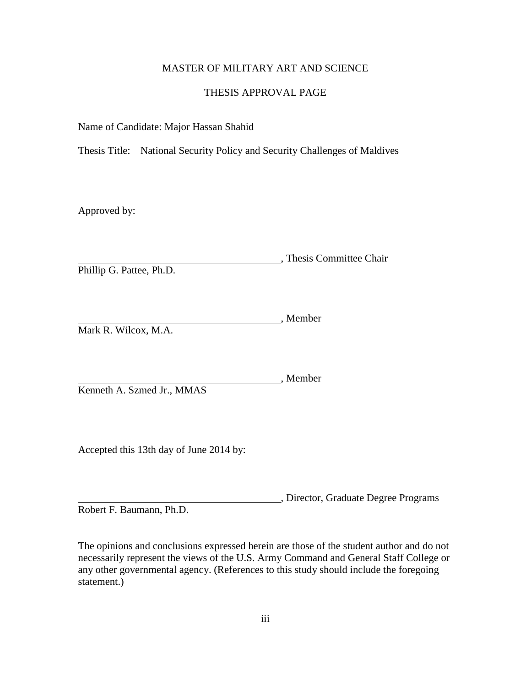## MASTER OF MILITARY ART AND SCIENCE

## THESIS APPROVAL PAGE

Name of Candidate: Major Hassan Shahid

Thesis Title: National Security Policy and Security Challenges of Maldives

Approved by:

, Thesis Committee Chair Phillip G. Pattee, Ph.D.

Member Mark R. Wilcox, M.A.

Member Kenneth A. Szmed Jr., MMAS

Accepted this 13th day of June 2014 by:

, Director, Graduate Degree Programs Robert F. Baumann, Ph.D.

The opinions and conclusions expressed herein are those of the student author and do not necessarily represent the views of the U.S. Army Command and General Staff College or any other governmental agency. (References to this study should include the foregoing statement.)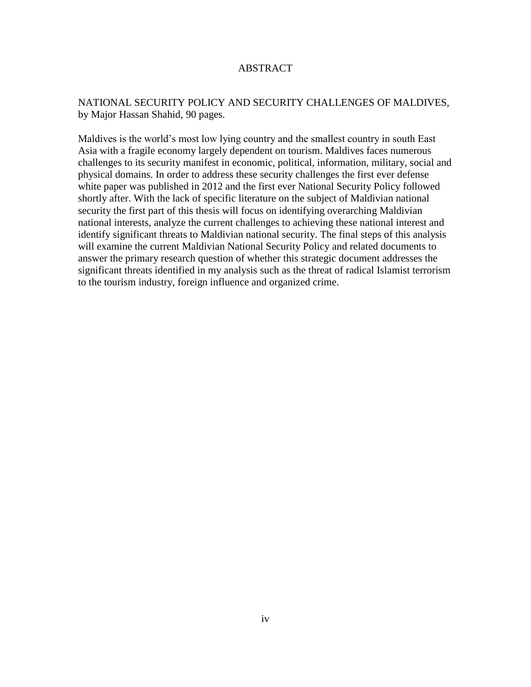## ABSTRACT

## NATIONAL SECURITY POLICY AND SECURITY CHALLENGES OF MALDIVES, by Major Hassan Shahid, 90 pages.

Maldives is the world's most low lying country and the smallest country in south East Asia with a fragile economy largely dependent on tourism. Maldives faces numerous challenges to its security manifest in economic, political, information, military, social and physical domains. In order to address these security challenges the first ever defense white paper was published in 2012 and the first ever National Security Policy followed shortly after. With the lack of specific literature on the subject of Maldivian national security the first part of this thesis will focus on identifying overarching Maldivian national interests, analyze the current challenges to achieving these national interest and identify significant threats to Maldivian national security. The final steps of this analysis will examine the current Maldivian National Security Policy and related documents to answer the primary research question of whether this strategic document addresses the significant threats identified in my analysis such as the threat of radical Islamist terrorism to the tourism industry, foreign influence and organized crime.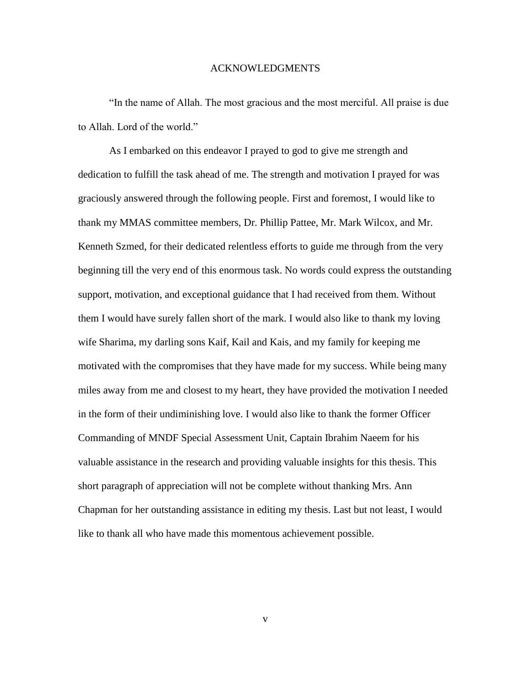#### ACKNOWLEDGMENTS

"In the name of Allah. The most gracious and the most merciful. All praise is due to Allah. Lord of the world."

As I embarked on this endeavor I prayed to god to give me strength and dedication to fulfill the task ahead of me. The strength and motivation I prayed for was graciously answered through the following people. First and foremost, I would like to thank my MMAS committee members, Dr. Phillip Pattee, Mr. Mark Wilcox, and Mr. Kenneth Szmed, for their dedicated relentless efforts to guide me through from the very beginning till the very end of this enormous task. No words could express the outstanding support, motivation, and exceptional guidance that I had received from them. Without them I would have surely fallen short of the mark. I would also like to thank my loving wife Sharima, my darling sons Kaif, Kail and Kais, and my family for keeping me motivated with the compromises that they have made for my success. While being many miles away from me and closest to my heart, they have provided the motivation I needed in the form of their undiminishing love. I would also like to thank the former Officer Commanding of MNDF Special Assessment Unit, Captain Ibrahim Naeem for his valuable assistance in the research and providing valuable insights for this thesis. This short paragraph of appreciation will not be complete without thanking Mrs. Ann Chapman for her outstanding assistance in editing my thesis. Last but not least, I would like to thank all who have made this momentous achievement possible.

v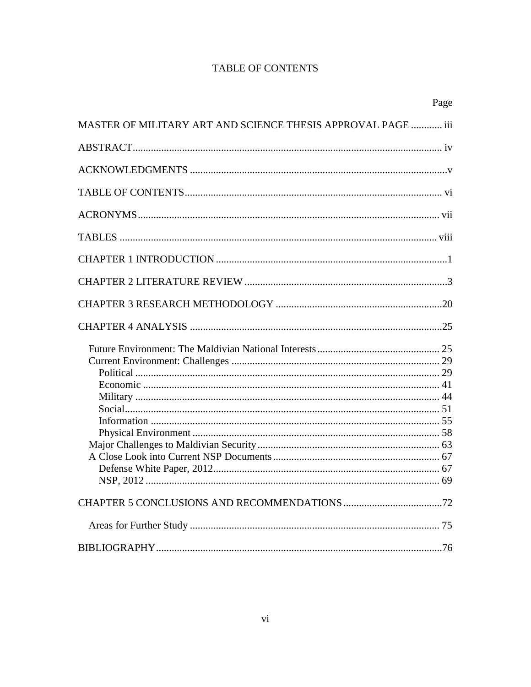# **TABLE OF CONTENTS**

|                                                              | Page |
|--------------------------------------------------------------|------|
| MASTER OF MILITARY ART AND SCIENCE THESIS APPROVAL PAGE  iii |      |
|                                                              |      |
|                                                              |      |
|                                                              |      |
|                                                              |      |
|                                                              |      |
|                                                              |      |
|                                                              |      |
|                                                              |      |
|                                                              |      |
|                                                              |      |
|                                                              |      |
|                                                              |      |
|                                                              |      |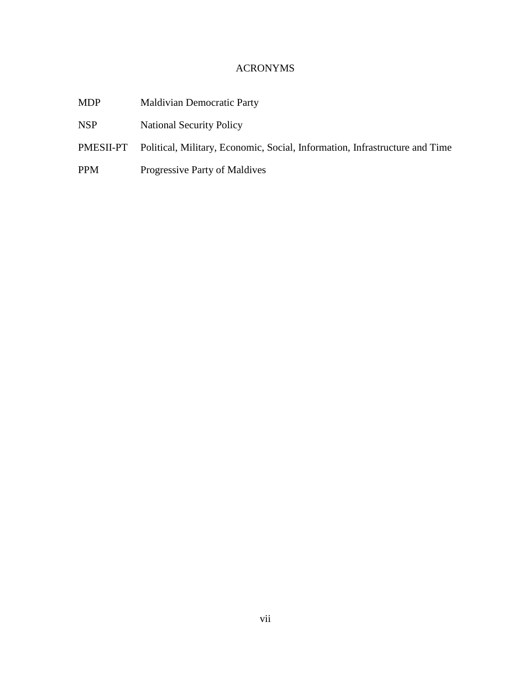## ACRONYMS

- MDP Maldivian Democratic Party
- NSP National Security Policy
- PMESII-PT Political, Military, Economic, Social, Information, Infrastructure and Time
- PPM Progressive Party of Maldives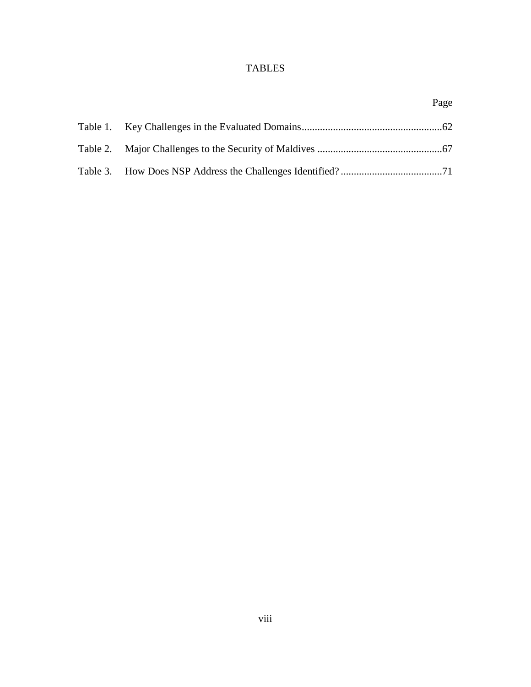# TABLES

|  | Page |
|--|------|
|  |      |
|  |      |
|  |      |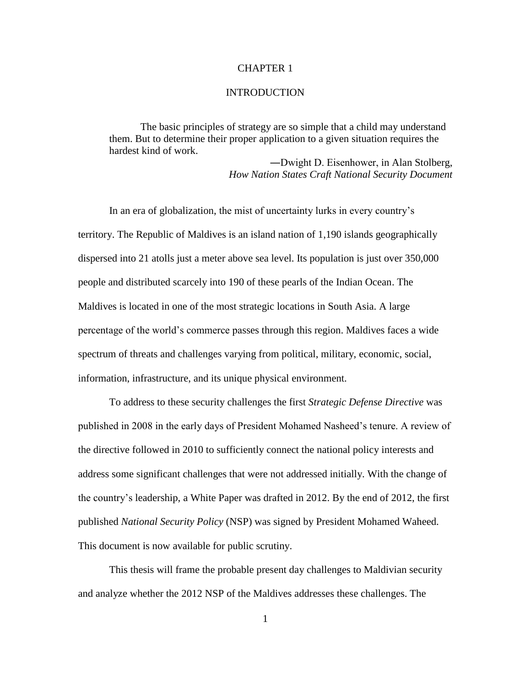## CHAPTER 1

#### **INTRODUCTION**

The basic principles of strategy are so simple that a child may understand them. But to determine their proper application to a given situation requires the hardest kind of work.

> ―Dwight D. Eisenhower, in Alan Stolberg, *How Nation States Craft National Security Document*

In an era of globalization, the mist of uncertainty lurks in every country's territory. The Republic of Maldives is an island nation of 1,190 islands geographically dispersed into 21 atolls just a meter above sea level. Its population is just over 350,000 people and distributed scarcely into 190 of these pearls of the Indian Ocean. The Maldives is located in one of the most strategic locations in South Asia. A large percentage of the world's commerce passes through this region. Maldives faces a wide spectrum of threats and challenges varying from political, military, economic, social, information, infrastructure, and its unique physical environment.

To address to these security challenges the first *Strategic Defense Directive* was published in 2008 in the early days of President Mohamed Nasheed's tenure. A review of the directive followed in 2010 to sufficiently connect the national policy interests and address some significant challenges that were not addressed initially. With the change of the country's leadership, a White Paper was drafted in 2012. By the end of 2012, the first published *National Security Policy* (NSP) was signed by President Mohamed Waheed. This document is now available for public scrutiny.

This thesis will frame the probable present day challenges to Maldivian security and analyze whether the 2012 NSP of the Maldives addresses these challenges. The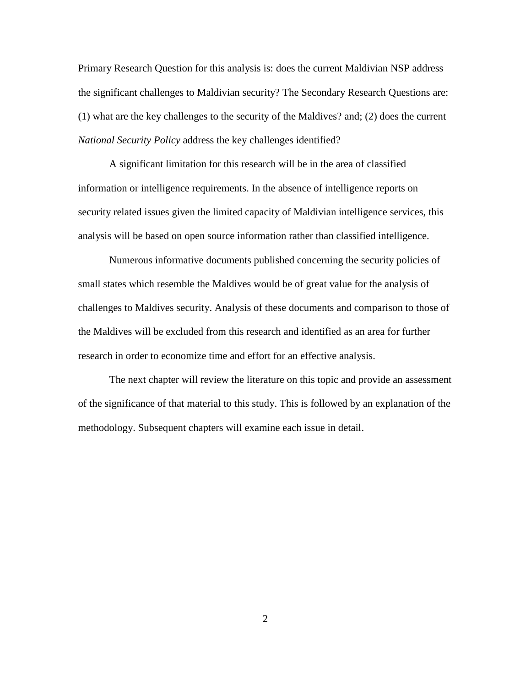Primary Research Question for this analysis is: does the current Maldivian NSP address the significant challenges to Maldivian security? The Secondary Research Questions are: (1) what are the key challenges to the security of the Maldives? and; (2) does the current *National Security Policy* address the key challenges identified?

A significant limitation for this research will be in the area of classified information or intelligence requirements. In the absence of intelligence reports on security related issues given the limited capacity of Maldivian intelligence services, this analysis will be based on open source information rather than classified intelligence.

Numerous informative documents published concerning the security policies of small states which resemble the Maldives would be of great value for the analysis of challenges to Maldives security. Analysis of these documents and comparison to those of the Maldives will be excluded from this research and identified as an area for further research in order to economize time and effort for an effective analysis.

The next chapter will review the literature on this topic and provide an assessment of the significance of that material to this study. This is followed by an explanation of the methodology. Subsequent chapters will examine each issue in detail.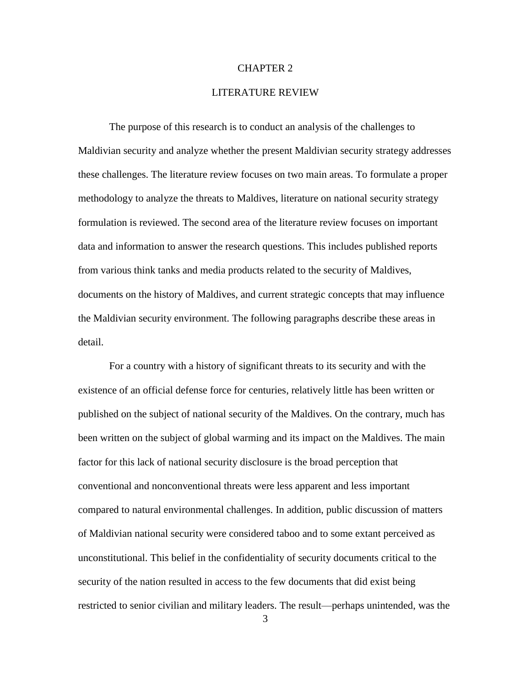#### CHAPTER 2

### LITERATURE REVIEW

The purpose of this research is to conduct an analysis of the challenges to Maldivian security and analyze whether the present Maldivian security strategy addresses these challenges. The literature review focuses on two main areas. To formulate a proper methodology to analyze the threats to Maldives, literature on national security strategy formulation is reviewed. The second area of the literature review focuses on important data and information to answer the research questions. This includes published reports from various think tanks and media products related to the security of Maldives, documents on the history of Maldives, and current strategic concepts that may influence the Maldivian security environment. The following paragraphs describe these areas in detail.

For a country with a history of significant threats to its security and with the existence of an official defense force for centuries, relatively little has been written or published on the subject of national security of the Maldives. On the contrary, much has been written on the subject of global warming and its impact on the Maldives. The main factor for this lack of national security disclosure is the broad perception that conventional and nonconventional threats were less apparent and less important compared to natural environmental challenges. In addition, public discussion of matters of Maldivian national security were considered taboo and to some extant perceived as unconstitutional. This belief in the confidentiality of security documents critical to the security of the nation resulted in access to the few documents that did exist being restricted to senior civilian and military leaders. The result—perhaps unintended, was the

3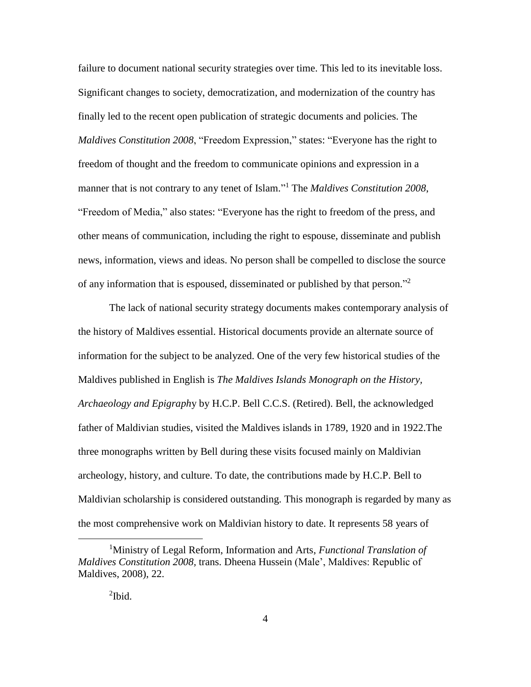failure to document national security strategies over time. This led to its inevitable loss. Significant changes to society, democratization, and modernization of the country has finally led to the recent open publication of strategic documents and policies. The *Maldives Constitution 2008*, "Freedom Expression," states: "Everyone has the right to freedom of thought and the freedom to communicate opinions and expression in a manner that is not contrary to any tenet of Islam." <sup>1</sup> The *Maldives Constitution 2008*, "Freedom of Media," also states: "Everyone has the right to freedom of the press, and other means of communication, including the right to espouse, disseminate and publish news, information, views and ideas. No person shall be compelled to disclose the source of any information that is espoused, disseminated or published by that person."<sup>2</sup>

The lack of national security strategy documents makes contemporary analysis of the history of Maldives essential. Historical documents provide an alternate source of information for the subject to be analyzed. One of the very few historical studies of the Maldives published in English is *The Maldives Islands Monograph on the History, Archaeology and Epigraph*y by H.C.P. Bell C.C.S. (Retired). Bell, the acknowledged father of Maldivian studies, visited the Maldives islands in 1789, 1920 and in 1922.The three monographs written by Bell during these visits focused mainly on Maldivian archeology, history, and culture. To date, the contributions made by H.C.P. Bell to Maldivian scholarship is considered outstanding. This monograph is regarded by many as the most comprehensive work on Maldivian history to date. It represents 58 years of

<sup>1</sup>Ministry of Legal Reform, Information and Arts, *Functional Translation of Maldives Constitution 2008,* trans. Dheena Hussein (Male', Maldives: Republic of Maldives, 2008), 22.

 $\mathrm{^{2}Ibid.}$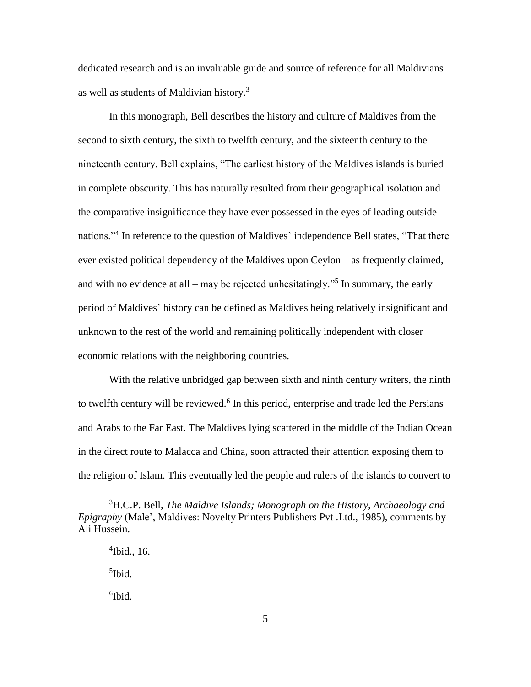dedicated research and is an invaluable guide and source of reference for all Maldivians as well as students of Maldivian history.<sup>3</sup>

In this monograph, Bell describes the history and culture of Maldives from the second to sixth century, the sixth to twelfth century, and the sixteenth century to the nineteenth century. Bell explains, "The earliest history of the Maldives islands is buried in complete obscurity. This has naturally resulted from their geographical isolation and the comparative insignificance they have ever possessed in the eyes of leading outside nations."<sup>4</sup> In reference to the question of Maldives' independence Bell states, "That there ever existed political dependency of the Maldives upon Ceylon – as frequently claimed, and with no evidence at all – may be rejected unhesitatingly.<sup> $35$ </sup> In summary, the early period of Maldives' history can be defined as Maldives being relatively insignificant and unknown to the rest of the world and remaining politically independent with closer economic relations with the neighboring countries.

With the relative unbridged gap between sixth and ninth century writers, the ninth to twelfth century will be reviewed. $6$  In this period, enterprise and trade led the Persians and Arabs to the Far East. The Maldives lying scattered in the middle of the Indian Ocean in the direct route to Malacca and China, soon attracted their attention exposing them to the religion of Islam. This eventually led the people and rulers of the islands to convert to

<sup>3</sup>H.C.P. Bell, *The Maldive Islands; Monograph on the History, Archaeology and Epigraphy* (Male', Maldives: Novelty Printers Publishers Pvt .Ltd., 1985), comments by Ali Hussein.

<sup>4</sup> Ibid., 16.

<sup>5</sup> Ibid.

<sup>6</sup> Ibid.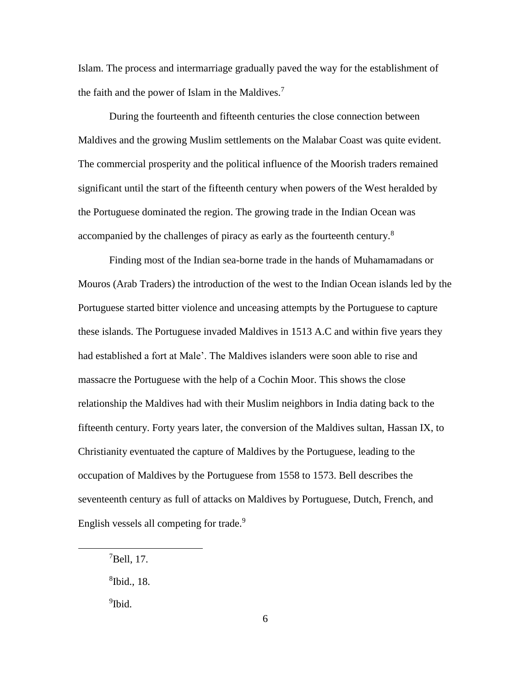Islam. The process and intermarriage gradually paved the way for the establishment of the faith and the power of Islam in the Maldives.<sup>7</sup>

During the fourteenth and fifteenth centuries the close connection between Maldives and the growing Muslim settlements on the Malabar Coast was quite evident. The commercial prosperity and the political influence of the Moorish traders remained significant until the start of the fifteenth century when powers of the West heralded by the Portuguese dominated the region. The growing trade in the Indian Ocean was accompanied by the challenges of piracy as early as the fourteenth century.<sup>8</sup>

Finding most of the Indian sea-borne trade in the hands of Muhamamadans or Mouros (Arab Traders) the introduction of the west to the Indian Ocean islands led by the Portuguese started bitter violence and unceasing attempts by the Portuguese to capture these islands. The Portuguese invaded Maldives in 1513 A.C and within five years they had established a fort at Male'. The Maldives islanders were soon able to rise and massacre the Portuguese with the help of a Cochin Moor. This shows the close relationship the Maldives had with their Muslim neighbors in India dating back to the fifteenth century. Forty years later, the conversion of the Maldives sultan, Hassan IX, to Christianity eventuated the capture of Maldives by the Portuguese, leading to the occupation of Maldives by the Portuguese from 1558 to 1573. Bell describes the seventeenth century as full of attacks on Maldives by Portuguese, Dutch, French, and English vessels all competing for trade.<sup>9</sup>

<sup>9</sup>Ibid.

<sup>7</sup>Bell, 17.

<sup>8</sup> Ibid., 18.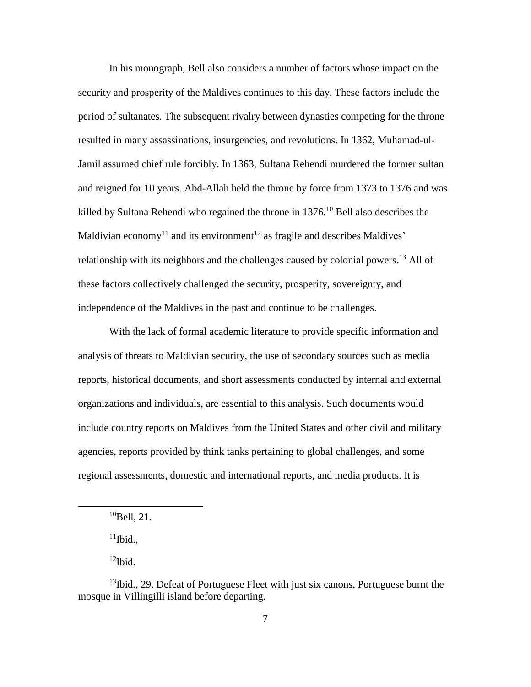In his monograph, Bell also considers a number of factors whose impact on the security and prosperity of the Maldives continues to this day. These factors include the period of sultanates. The subsequent rivalry between dynasties competing for the throne resulted in many assassinations, insurgencies, and revolutions. In 1362, Muhamad-ul-Jamil assumed chief rule forcibly. In 1363, Sultana Rehendi murdered the former sultan and reigned for 10 years. Abd-Allah held the throne by force from 1373 to 1376 and was killed by Sultana Rehendi who regained the throne in 1376. <sup>10</sup> Bell also describes the Maldivian economy<sup>11</sup> and its environment<sup>12</sup> as fragile and describes Maldives' relationship with its neighbors and the challenges caused by colonial powers.<sup>13</sup> All of these factors collectively challenged the security, prosperity, sovereignty, and independence of the Maldives in the past and continue to be challenges.

With the lack of formal academic literature to provide specific information and analysis of threats to Maldivian security, the use of secondary sources such as media reports, historical documents, and short assessments conducted by internal and external organizations and individuals, are essential to this analysis. Such documents would include country reports on Maldives from the United States and other civil and military agencies, reports provided by think tanks pertaining to global challenges, and some regional assessments, domestic and international reports, and media products. It is

 $\overline{a}$ 

 $12$ Ibid.

 $10$ Bell, 21.

 $11$ Ibid.,

 $13$ Ibid., 29. Defeat of Portuguese Fleet with just six canons, Portuguese burnt the mosque in Villingilli island before departing.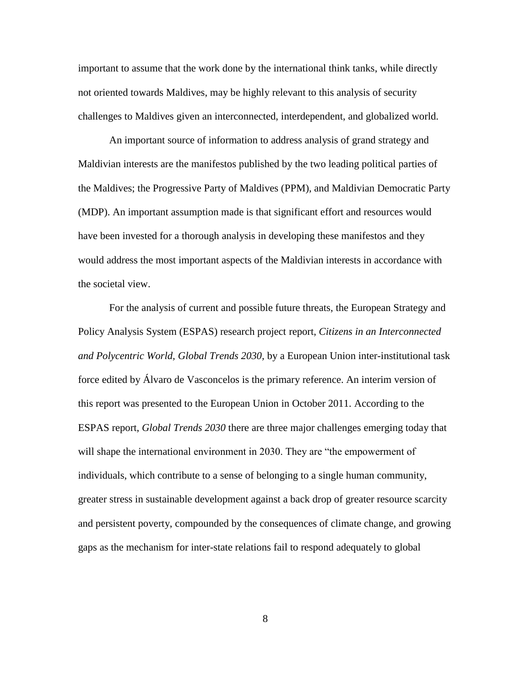important to assume that the work done by the international think tanks, while directly not oriented towards Maldives, may be highly relevant to this analysis of security challenges to Maldives given an interconnected, interdependent, and globalized world.

An important source of information to address analysis of grand strategy and Maldivian interests are the manifestos published by the two leading political parties of the Maldives; the Progressive Party of Maldives (PPM), and Maldivian Democratic Party (MDP). An important assumption made is that significant effort and resources would have been invested for a thorough analysis in developing these manifestos and they would address the most important aspects of the Maldivian interests in accordance with the societal view.

For the analysis of current and possible future threats, the European Strategy and Policy Analysis System (ESPAS) research project report, *Citizens in an Interconnected and Polycentric World, Global Trends 2030,* by a European Union inter-institutional task force edited by Álvaro de Vasconcelos is the primary reference. An interim version of this report was presented to the European Union in October 2011. According to the ESPAS report, *Global Trends 2030* there are three major challenges emerging today that will shape the international environment in 2030. They are "the empowerment of individuals, which contribute to a sense of belonging to a single human community, greater stress in sustainable development against a back drop of greater resource scarcity and persistent poverty, compounded by the consequences of climate change, and growing gaps as the mechanism for inter-state relations fail to respond adequately to global

8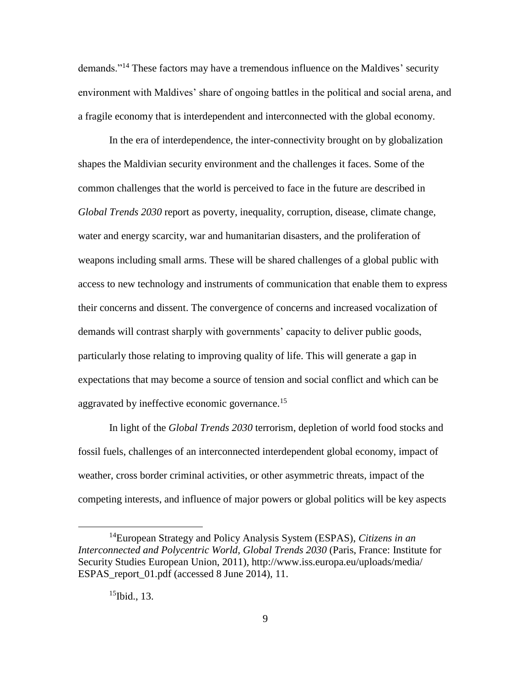demands."<sup>14</sup> These factors may have a tremendous influence on the Maldives' security environment with Maldives' share of ongoing battles in the political and social arena, and a fragile economy that is interdependent and interconnected with the global economy.

In the era of interdependence, the inter-connectivity brought on by globalization shapes the Maldivian security environment and the challenges it faces. Some of the common challenges that the world is perceived to face in the future are described in *Global Trends 2030* report as poverty, inequality, corruption, disease, climate change, water and energy scarcity, war and humanitarian disasters, and the proliferation of weapons including small arms. These will be shared challenges of a global public with access to new technology and instruments of communication that enable them to express their concerns and dissent. The convergence of concerns and increased vocalization of demands will contrast sharply with governments' capacity to deliver public goods, particularly those relating to improving quality of life. This will generate a gap in expectations that may become a source of tension and social conflict and which can be aggravated by ineffective economic governance.<sup>15</sup>

In light of the *Global Trends 2030* terrorism, depletion of world food stocks and fossil fuels, challenges of an interconnected interdependent global economy, impact of weather, cross border criminal activities, or other asymmetric threats, impact of the competing interests, and influence of major powers or global politics will be key aspects

<sup>14</sup>European Strategy and Policy Analysis System (ESPAS), *Citizens in an Interconnected and Polycentric World, Global Trends 2030* (Paris, France: Institute for Security Studies European Union, 2011), http://www.iss.europa.eu/uploads/media/ ESPAS report 01.pdf (accessed 8 June 2014), 11.

 $15$ Ibid., 13.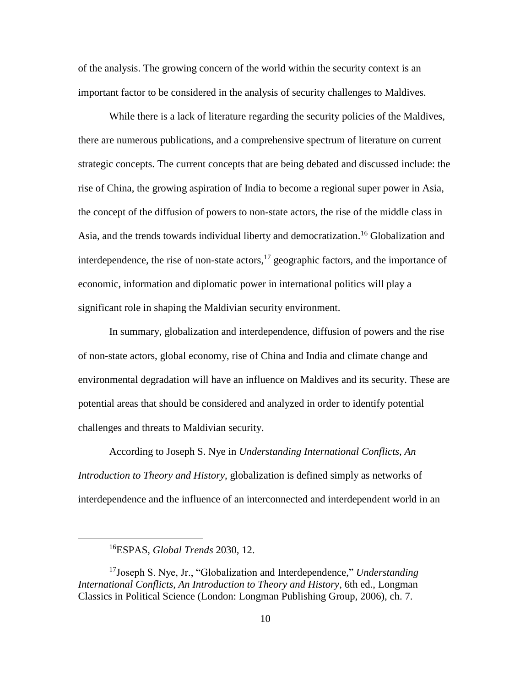of the analysis. The growing concern of the world within the security context is an important factor to be considered in the analysis of security challenges to Maldives.

While there is a lack of literature regarding the security policies of the Maldives, there are numerous publications, and a comprehensive spectrum of literature on current strategic concepts. The current concepts that are being debated and discussed include: the rise of China, the growing aspiration of India to become a regional super power in Asia, the concept of the diffusion of powers to non-state actors, the rise of the middle class in Asia, and the trends towards individual liberty and democratization.<sup>16</sup> Globalization and interdependence, the rise of non-state actors,  $17$  geographic factors, and the importance of economic, information and diplomatic power in international politics will play a significant role in shaping the Maldivian security environment.

In summary, globalization and interdependence, diffusion of powers and the rise of non-state actors, global economy, rise of China and India and climate change and environmental degradation will have an influence on Maldives and its security. These are potential areas that should be considered and analyzed in order to identify potential challenges and threats to Maldivian security.

According to Joseph S. Nye in *Understanding International Conflicts, An Introduction to Theory and History*, globalization is defined simply as networks of interdependence and the influence of an interconnected and interdependent world in an

<sup>16</sup>ESPAS, *Global Trends* 2030, 12.

<sup>17</sup>Joseph S. Nye, Jr., "Globalization and Interdependence," *Understanding International Conflicts, An Introduction to Theory and History,* 6th ed., Longman Classics in Political Science (London: Longman Publishing Group, 2006), ch. 7.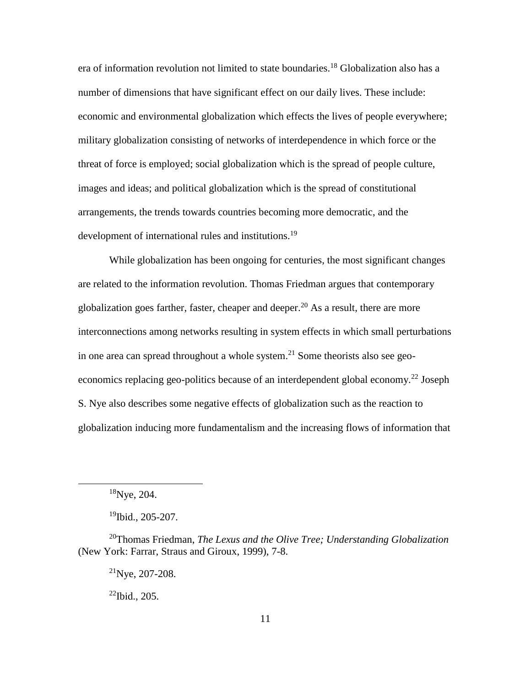era of information revolution not limited to state boundaries.<sup>18</sup> Globalization also has a number of dimensions that have significant effect on our daily lives. These include: economic and environmental globalization which effects the lives of people everywhere; military globalization consisting of networks of interdependence in which force or the threat of force is employed; social globalization which is the spread of people culture, images and ideas; and political globalization which is the spread of constitutional arrangements, the trends towards countries becoming more democratic, and the development of international rules and institutions.<sup>19</sup>

While globalization has been ongoing for centuries, the most significant changes are related to the information revolution. Thomas Friedman argues that contemporary globalization goes farther, faster, cheaper and deeper.<sup>20</sup> As a result, there are more interconnections among networks resulting in system effects in which small perturbations in one area can spread throughout a whole system.<sup>21</sup> Some theorists also see geoeconomics replacing geo-politics because of an interdependent global economy.<sup>22</sup> Joseph S. Nye also describes some negative effects of globalization such as the reaction to globalization inducing more fundamentalism and the increasing flows of information that

 $18$ Nye, 204.

<sup>19</sup>Ibid., 205-207.

<sup>20</sup>Thomas Friedman, *The Lexus and the Olive Tree; Understanding Globalization* (New York: Farrar, Straus and Giroux, 1999), 7-8.

 $^{21}$ Nye, 207-208.

 $^{22}$ Ibid., 205.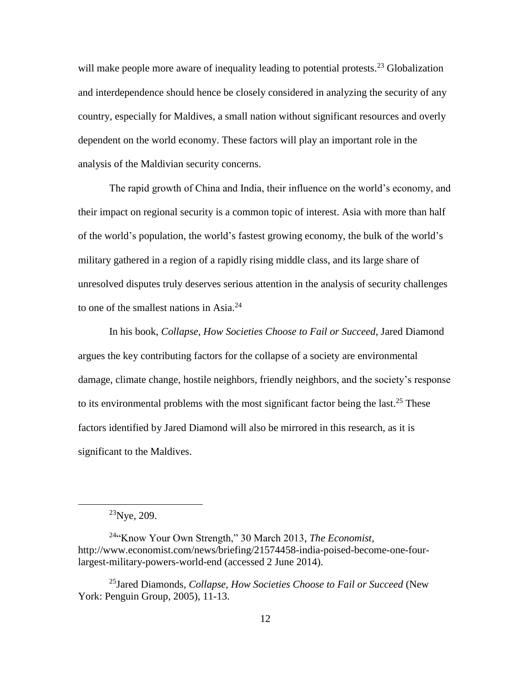will make people more aware of inequality leading to potential protests.<sup>23</sup> Globalization and interdependence should hence be closely considered in analyzing the security of any country, especially for Maldives, a small nation without significant resources and overly dependent on the world economy. These factors will play an important role in the analysis of the Maldivian security concerns.

The rapid growth of China and India, their influence on the world's economy, and their impact on regional security is a common topic of interest. Asia with more than half of the world's population, the world's fastest growing economy, the bulk of the world's military gathered in a region of a rapidly rising middle class, and its large share of unresolved disputes truly deserves serious attention in the analysis of security challenges to one of the smallest nations in Asia. $^{24}$ 

In his book, *Collapse, How Societies Choose to Fail or Succeed,* Jared Diamond argues the key contributing factors for the collapse of a society are environmental damage, climate change, hostile neighbors, friendly neighbors, and the society's response to its environmental problems with the most significant factor being the last.<sup>25</sup> These factors identified by Jared Diamond will also be mirrored in this research, as it is significant to the Maldives.

 $^{23}$ Nye, 209.

<sup>24</sup>"Know Your Own Strength," 30 March 2013, *The Economist,* http://www.economist.com/news/briefing/21574458-india-poised-become-one-fourlargest-military-powers-world-end (accessed 2 June 2014).

<sup>25</sup>Jared Diamonds, *Collapse, How Societies Choose to Fail or Succeed* (New York: Penguin Group, 2005), 11-13.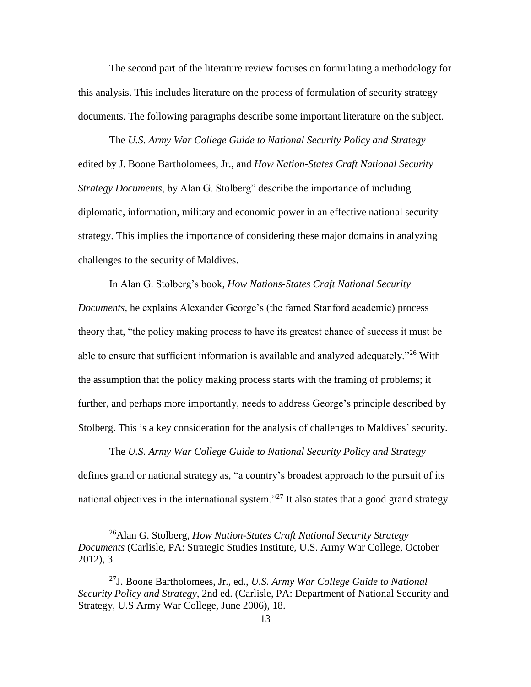The second part of the literature review focuses on formulating a methodology for this analysis. This includes literature on the process of formulation of security strategy documents. The following paragraphs describe some important literature on the subject.

The *U.S. Army War College Guide to National Security Policy and Strategy* edited by J. Boone Bartholomees, Jr., and *How Nation-States Craft National Security Strategy Documents*, by Alan G. Stolberg" describe the importance of including diplomatic, information, military and economic power in an effective national security strategy. This implies the importance of considering these major domains in analyzing challenges to the security of Maldives.

In Alan G. Stolberg's book, *How Nations-States Craft National Security Documents,* he explains Alexander George's (the famed Stanford academic) process theory that, "the policy making process to have its greatest chance of success it must be able to ensure that sufficient information is available and analyzed adequately."<sup>26</sup> With the assumption that the policy making process starts with the framing of problems; it further, and perhaps more importantly, needs to address George's principle described by Stolberg. This is a key consideration for the analysis of challenges to Maldives' security.

The *U.S. Army War College Guide to National Security Policy and Strategy* defines grand or national strategy as, "a country's broadest approach to the pursuit of its national objectives in the international system."<sup>27</sup> It also states that a good grand strategy

<sup>26</sup>Alan G. Stolberg, *How Nation-States Craft National Security Strategy Documents* (Carlisle, PA: Strategic Studies Institute, U.S. Army War College, October 2012), 3.

<sup>27</sup>J. Boone Bartholomees, Jr., ed., *U.S. Army War College Guide to National Security Policy and Strategy,* 2nd ed. (Carlisle, PA: Department of National Security and Strategy, U.S Army War College, June 2006), 18.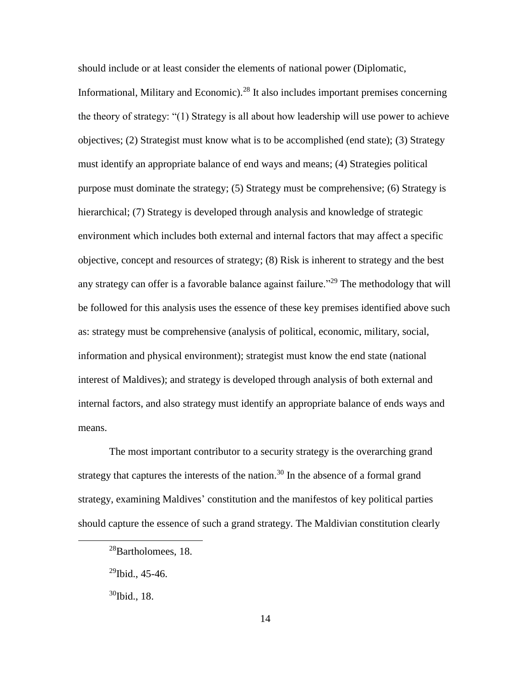should include or at least consider the elements of national power (Diplomatic,

Informational, Military and Economic).<sup>28</sup> It also includes important premises concerning the theory of strategy: "(1) Strategy is all about how leadership will use power to achieve objectives; (2) Strategist must know what is to be accomplished (end state); (3) Strategy must identify an appropriate balance of end ways and means; (4) Strategies political purpose must dominate the strategy; (5) Strategy must be comprehensive; (6) Strategy is hierarchical; (7) Strategy is developed through analysis and knowledge of strategic environment which includes both external and internal factors that may affect a specific objective, concept and resources of strategy; (8) Risk is inherent to strategy and the best any strategy can offer is a favorable balance against failure."<sup>29</sup> The methodology that will be followed for this analysis uses the essence of these key premises identified above such as: strategy must be comprehensive (analysis of political, economic, military, social, information and physical environment); strategist must know the end state (national interest of Maldives); and strategy is developed through analysis of both external and internal factors, and also strategy must identify an appropriate balance of ends ways and means.

The most important contributor to a security strategy is the overarching grand strategy that captures the interests of the nation.<sup>30</sup> In the absence of a formal grand strategy, examining Maldives' constitution and the manifestos of key political parties should capture the essence of such a grand strategy. The Maldivian constitution clearly

<sup>&</sup>lt;sup>28</sup>Bartholomees, 18.

 $^{29}$ Ibid., 45-46.

 $30$ Ibid., 18.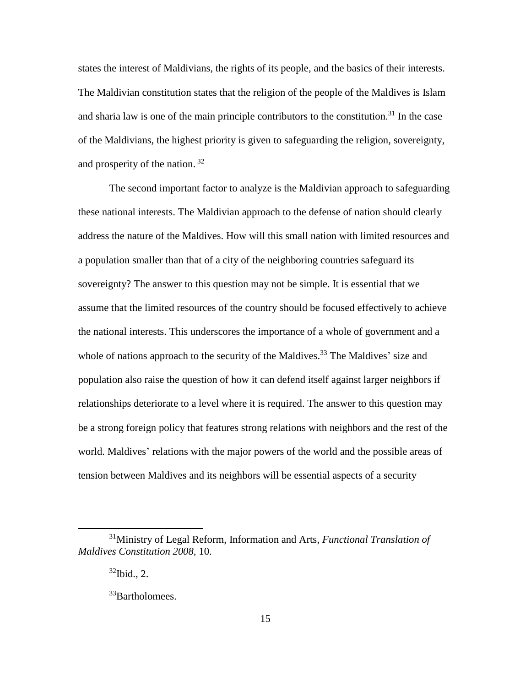states the interest of Maldivians, the rights of its people, and the basics of their interests. The Maldivian constitution states that the religion of the people of the Maldives is Islam and sharia law is one of the main principle contributors to the constitution.<sup>31</sup> In the case of the Maldivians, the highest priority is given to safeguarding the religion, sovereignty, and prosperity of the nation. <sup>32</sup>

The second important factor to analyze is the Maldivian approach to safeguarding these national interests. The Maldivian approach to the defense of nation should clearly address the nature of the Maldives. How will this small nation with limited resources and a population smaller than that of a city of the neighboring countries safeguard its sovereignty? The answer to this question may not be simple. It is essential that we assume that the limited resources of the country should be focused effectively to achieve the national interests. This underscores the importance of a whole of government and a whole of nations approach to the security of the Maldives.<sup>33</sup> The Maldives' size and population also raise the question of how it can defend itself against larger neighbors if relationships deteriorate to a level where it is required. The answer to this question may be a strong foreign policy that features strong relations with neighbors and the rest of the world. Maldives' relations with the major powers of the world and the possible areas of tension between Maldives and its neighbors will be essential aspects of a security

<sup>31</sup>Ministry of Legal Reform, Information and Arts, *Functional Translation of Maldives Constitution 2008,* 10.

 $32$ Ibid., 2.

<sup>&</sup>lt;sup>33</sup>Bartholomees.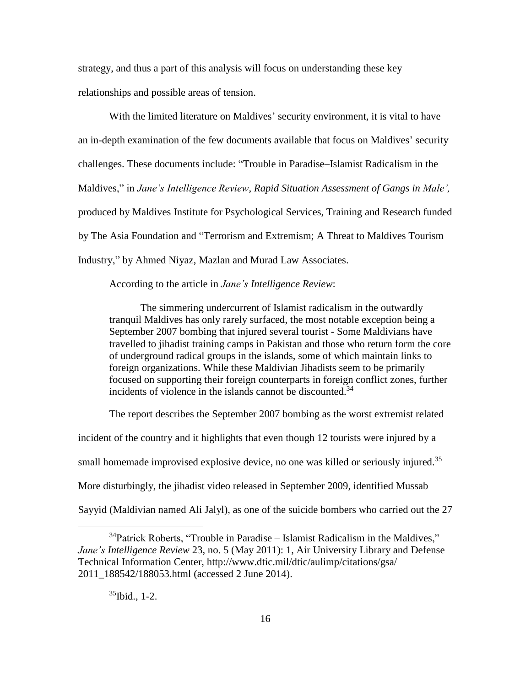strategy, and thus a part of this analysis will focus on understanding these key relationships and possible areas of tension.

With the limited literature on Maldives' security environment, it is vital to have an in-depth examination of the few documents available that focus on Maldives' security challenges. These documents include: "Trouble in Paradise–Islamist Radicalism in the Maldives," in *Jane's Intelligence Review*, *Rapid Situation Assessment of Gangs in Male',* produced by Maldives Institute for Psychological Services, Training and Research funded by The Asia Foundation and "Terrorism and Extremism; A Threat to Maldives Tourism Industry," by Ahmed Niyaz, Mazlan and Murad Law Associates.

#### According to the article in *Jane's Intelligence Review*:

The simmering undercurrent of Islamist radicalism in the outwardly tranquil Maldives has only rarely surfaced, the most notable exception being a September 2007 bombing that injured several tourist - Some Maldivians have travelled to jihadist training camps in Pakistan and those who return form the core of underground radical groups in the islands, some of which maintain links to foreign organizations. While these Maldivian Jihadists seem to be primarily focused on supporting their foreign counterparts in foreign conflict zones, further incidents of violence in the islands cannot be discounted.<sup>34</sup>

The report describes the September 2007 bombing as the worst extremist related incident of the country and it highlights that even though 12 tourists were injured by a small homemade improvised explosive device, no one was killed or seriously injured.<sup>35</sup> More disturbingly, the jihadist video released in September 2009, identified Mussab Sayyid (Maldivian named Ali Jalyl), as one of the suicide bombers who carried out the 27

 $35$ Ibid., 1-2.

 $34$ Patrick Roberts, "Trouble in Paradise – Islamist Radicalism in the Maldives," *Jane's Intelligence Review* 23, no. 5 (May 2011): 1, Air University Library and Defense Technical Information Center, http://www.dtic.mil/dtic/aulimp/citations/gsa/ 2011\_188542/188053.html (accessed 2 June 2014).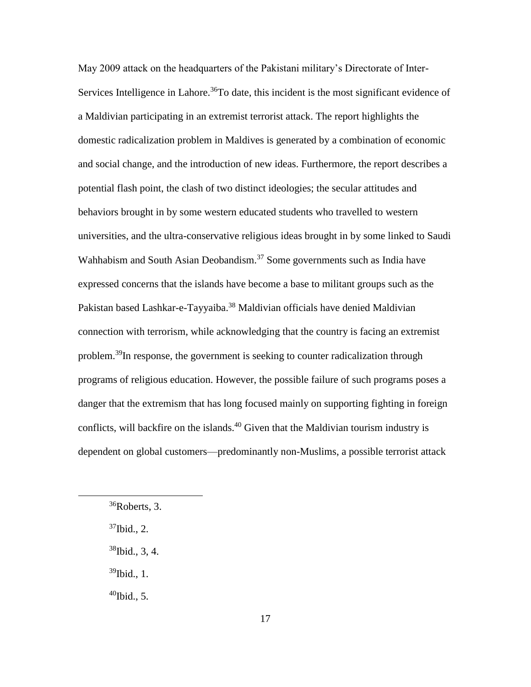May 2009 attack on the headquarters of the Pakistani military's Directorate of Inter-Services Intelligence in Lahore.<sup>36</sup>To date, this incident is the most significant evidence of a Maldivian participating in an extremist terrorist attack. The report highlights the domestic radicalization problem in Maldives is generated by a combination of economic and social change, and the introduction of new ideas. Furthermore, the report describes a potential flash point, the clash of two distinct ideologies; the secular attitudes and behaviors brought in by some western educated students who travelled to western universities, and the ultra-conservative religious ideas brought in by some linked to Saudi Wahhabism and South Asian Deobandism.<sup>37</sup> Some governments such as India have expressed concerns that the islands have become a base to militant groups such as the Pakistan based Lashkar-e-Tayyaiba.<sup>38</sup> Maldivian officials have denied Maldivian connection with terrorism, while acknowledging that the country is facing an extremist problem.<sup>39</sup>In response, the government is seeking to counter radicalization through programs of religious education. However, the possible failure of such programs poses a danger that the extremism that has long focused mainly on supporting fighting in foreign conflicts, will backfire on the islands. <sup>40</sup> Given that the Maldivian tourism industry is dependent on global customers—predominantly non-Muslims, a possible terrorist attack

 $\overline{a}$ 

 $39$ Ibid., 1.

 $^{40}$ Ibid., 5.

<sup>36</sup>Roberts, 3.

 $37$ Ibid., 2.

<sup>38</sup>Ibid., 3, 4.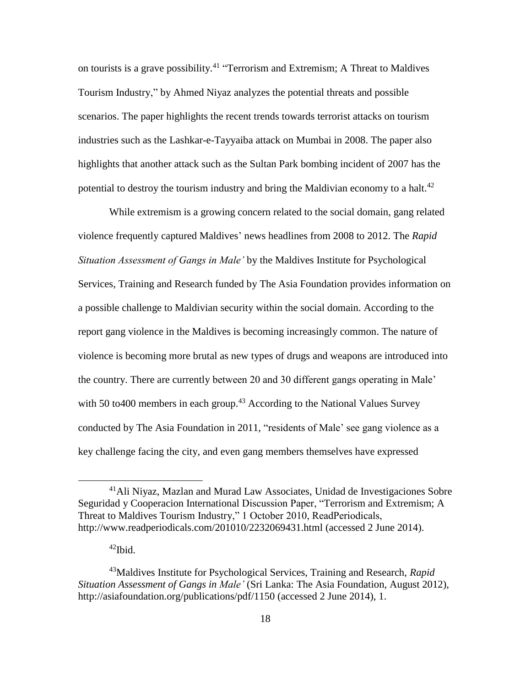on tourists is a grave possibility.<sup>41</sup> "Terrorism and Extremism; A Threat to Maldives Tourism Industry," by Ahmed Niyaz analyzes the potential threats and possible scenarios. The paper highlights the recent trends towards terrorist attacks on tourism industries such as the Lashkar-e-Tayyaiba attack on Mumbai in 2008. The paper also highlights that another attack such as the Sultan Park bombing incident of 2007 has the potential to destroy the tourism industry and bring the Maldivian economy to a halt.<sup>42</sup>

While extremism is a growing concern related to the social domain, gang related violence frequently captured Maldives' news headlines from 2008 to 2012. The *Rapid Situation Assessment of Gangs in Male'* by the Maldives Institute for Psychological Services, Training and Research funded by The Asia Foundation provides information on a possible challenge to Maldivian security within the social domain. According to the report gang violence in the Maldives is becoming increasingly common. The nature of violence is becoming more brutal as new types of drugs and weapons are introduced into the country. There are currently between 20 and 30 different gangs operating in Male' with 50 to400 members in each group.<sup>43</sup> According to the National Values Survey conducted by The Asia Foundation in 2011, "residents of Male' see gang violence as a key challenge facing the city, and even gang members themselves have expressed

<sup>41</sup>Ali Niyaz, Mazlan and Murad Law Associates, Unidad de Investigaciones Sobre Seguridad y Cooperacion International Discussion Paper, "Terrorism and Extremism; A Threat to Maldives Tourism Industry," 1 October 2010, ReadPeriodicals, http://www.readperiodicals.com/201010/2232069431.html (accessed 2 June 2014).

<sup>42</sup>Ibid.

<sup>43</sup>Maldives Institute for Psychological Services, Training and Research, *Rapid Situation Assessment of Gangs in Male'* (Sri Lanka: The Asia Foundation, August 2012), http://asiafoundation.org/publications/pdf/1150 (accessed 2 June 2014), 1.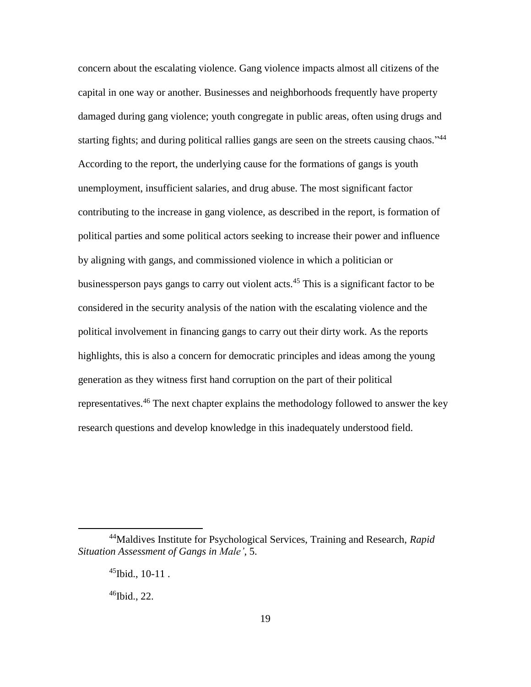concern about the escalating violence. Gang violence impacts almost all citizens of the capital in one way or another. Businesses and neighborhoods frequently have property damaged during gang violence; youth congregate in public areas, often using drugs and starting fights; and during political rallies gangs are seen on the streets causing chaos."<sup>44</sup> According to the report, the underlying cause for the formations of gangs is youth unemployment, insufficient salaries, and drug abuse. The most significant factor contributing to the increase in gang violence, as described in the report, is formation of political parties and some political actors seeking to increase their power and influence by aligning with gangs, and commissioned violence in which a politician or businessperson pays gangs to carry out violent acts.<sup>45</sup> This is a significant factor to be considered in the security analysis of the nation with the escalating violence and the political involvement in financing gangs to carry out their dirty work. As the reports highlights, this is also a concern for democratic principles and ideas among the young generation as they witness first hand corruption on the part of their political representatives.<sup>46</sup> The next chapter explains the methodology followed to answer the key research questions and develop knowledge in this inadequately understood field.

 $46$ Ibid., 22.

<sup>44</sup>Maldives Institute for Psychological Services, Training and Research, *Rapid Situation Assessment of Gangs in Male'*, 5.

 $45$ Ibid., 10-11.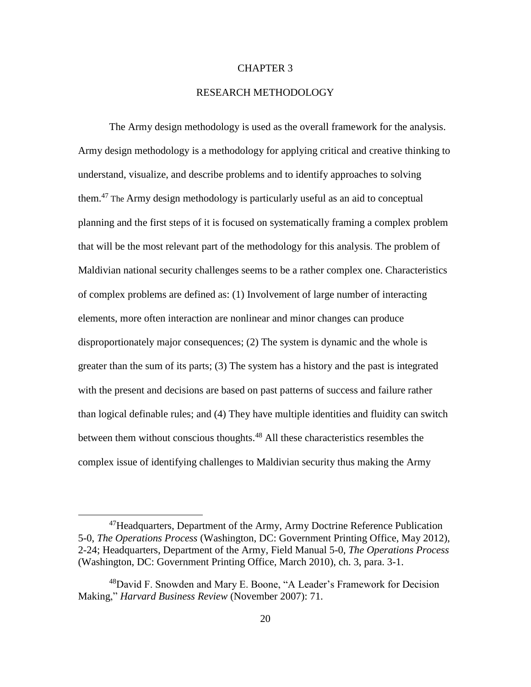## CHAPTER 3

## RESEARCH METHODOLOGY

The Army design methodology is used as the overall framework for the analysis. Army design methodology is a methodology for applying critical and creative thinking to understand, visualize, and describe problems and to identify approaches to solving them. <sup>47</sup> The Army design methodology is particularly useful as an aid to conceptual planning and the first steps of it is focused on systematically framing a complex problem that will be the most relevant part of the methodology for this analysis. The problem of Maldivian national security challenges seems to be a rather complex one. Characteristics of complex problems are defined as: (1) Involvement of large number of interacting elements, more often interaction are nonlinear and minor changes can produce disproportionately major consequences; (2) The system is dynamic and the whole is greater than the sum of its parts; (3) The system has a history and the past is integrated with the present and decisions are based on past patterns of success and failure rather than logical definable rules; and (4) They have multiple identities and fluidity can switch between them without conscious thoughts. <sup>48</sup> All these characteristics resembles the complex issue of identifying challenges to Maldivian security thus making the Army

<sup>&</sup>lt;sup>47</sup>Headquarters, Department of the Army, Army Doctrine Reference Publication 5-0, *The Operations Process* (Washington, DC: Government Printing Office, May 2012), 2-24; Headquarters, Department of the Army, Field Manual 5-0, *The Operations Process* (Washington, DC: Government Printing Office, March 2010), ch. 3, para. 3-1.

<sup>48</sup>David F. Snowden and Mary E. Boone, "A Leader's Framework for Decision Making," *Harvard Business Review* (November 2007): 71.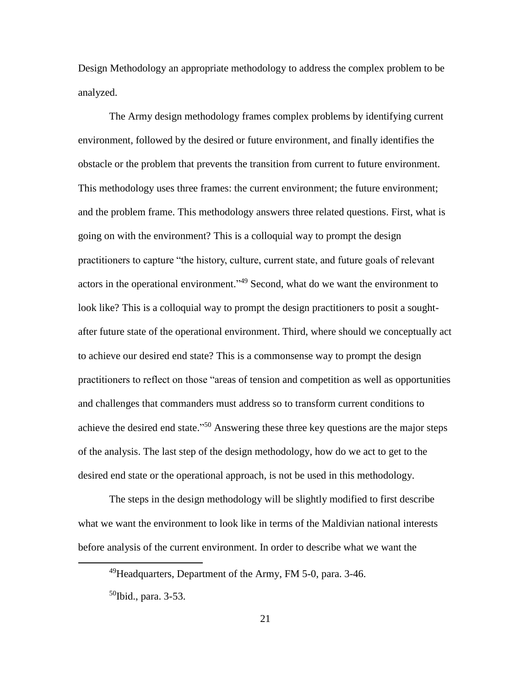Design Methodology an appropriate methodology to address the complex problem to be analyzed.

The Army design methodology frames complex problems by identifying current environment, followed by the desired or future environment, and finally identifies the obstacle or the problem that prevents the transition from current to future environment. This methodology uses three frames: the current environment; the future environment; and the problem frame. This methodology answers three related questions. First, what is going on with the environment? This is a colloquial way to prompt the design practitioners to capture "the history, culture, current state, and future goals of relevant actors in the operational environment.<sup>149</sup> Second, what do we want the environment to look like? This is a colloquial way to prompt the design practitioners to posit a soughtafter future state of the operational environment. Third, where should we conceptually act to achieve our desired end state? This is a commonsense way to prompt the design practitioners to reflect on those "areas of tension and competition as well as opportunities and challenges that commanders must address so to transform current conditions to achieve the desired end state."<sup>50</sup> Answering these three key questions are the major steps of the analysis. The last step of the design methodology, how do we act to get to the desired end state or the operational approach, is not be used in this methodology.

The steps in the design methodology will be slightly modified to first describe what we want the environment to look like in terms of the Maldivian national interests before analysis of the current environment. In order to describe what we want the

<sup>49</sup>Headquarters, Department of the Army, FM 5-0, para. 3-46.

 $50$ Ibid., para. 3-53.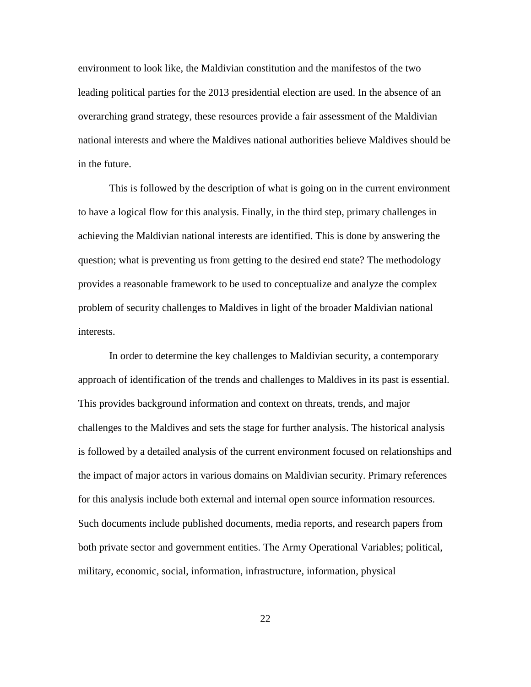environment to look like, the Maldivian constitution and the manifestos of the two leading political parties for the 2013 presidential election are used. In the absence of an overarching grand strategy, these resources provide a fair assessment of the Maldivian national interests and where the Maldives national authorities believe Maldives should be in the future.

This is followed by the description of what is going on in the current environment to have a logical flow for this analysis. Finally, in the third step, primary challenges in achieving the Maldivian national interests are identified. This is done by answering the question; what is preventing us from getting to the desired end state? The methodology provides a reasonable framework to be used to conceptualize and analyze the complex problem of security challenges to Maldives in light of the broader Maldivian national interests.

In order to determine the key challenges to Maldivian security, a contemporary approach of identification of the trends and challenges to Maldives in its past is essential. This provides background information and context on threats, trends, and major challenges to the Maldives and sets the stage for further analysis. The historical analysis is followed by a detailed analysis of the current environment focused on relationships and the impact of major actors in various domains on Maldivian security. Primary references for this analysis include both external and internal open source information resources. Such documents include published documents, media reports, and research papers from both private sector and government entities. The Army Operational Variables; political, military, economic, social, information, infrastructure, information, physical

22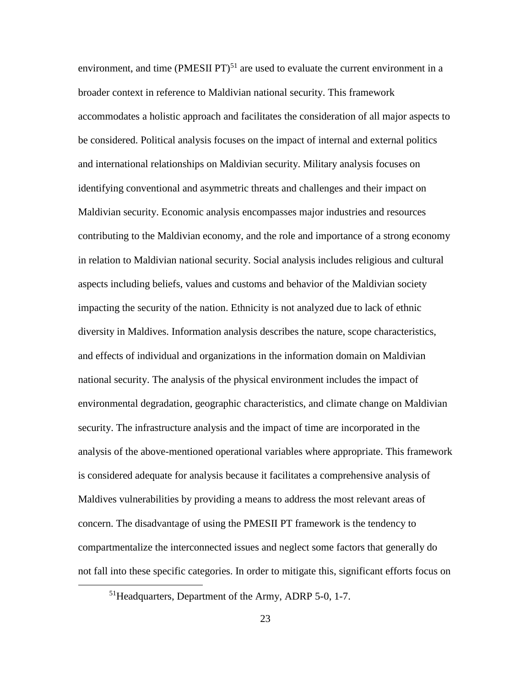environment, and time (PMESII PT)<sup>51</sup> are used to evaluate the current environment in a broader context in reference to Maldivian national security. This framework accommodates a holistic approach and facilitates the consideration of all major aspects to be considered. Political analysis focuses on the impact of internal and external politics and international relationships on Maldivian security. Military analysis focuses on identifying conventional and asymmetric threats and challenges and their impact on Maldivian security. Economic analysis encompasses major industries and resources contributing to the Maldivian economy, and the role and importance of a strong economy in relation to Maldivian national security. Social analysis includes religious and cultural aspects including beliefs, values and customs and behavior of the Maldivian society impacting the security of the nation. Ethnicity is not analyzed due to lack of ethnic diversity in Maldives. Information analysis describes the nature, scope characteristics, and effects of individual and organizations in the information domain on Maldivian national security. The analysis of the physical environment includes the impact of environmental degradation, geographic characteristics, and climate change on Maldivian security. The infrastructure analysis and the impact of time are incorporated in the analysis of the above-mentioned operational variables where appropriate. This framework is considered adequate for analysis because it facilitates a comprehensive analysis of Maldives vulnerabilities by providing a means to address the most relevant areas of concern. The disadvantage of using the PMESII PT framework is the tendency to compartmentalize the interconnected issues and neglect some factors that generally do not fall into these specific categories. In order to mitigate this, significant efforts focus on

<sup>51</sup>Headquarters, Department of the Army, ADRP 5-0, 1-7.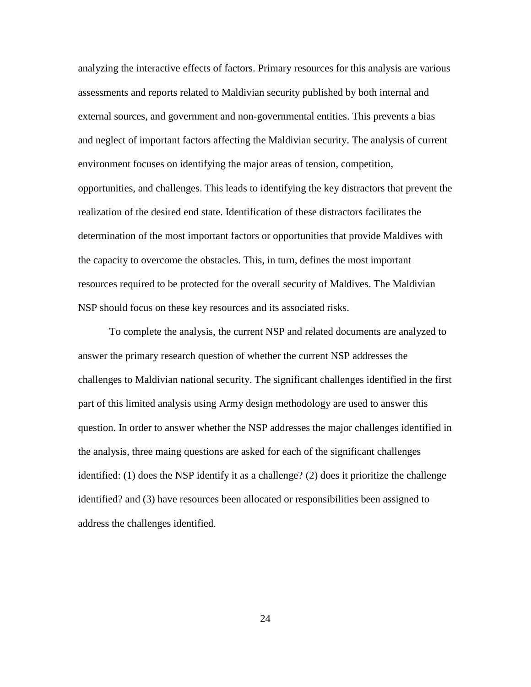analyzing the interactive effects of factors. Primary resources for this analysis are various assessments and reports related to Maldivian security published by both internal and external sources, and government and non-governmental entities. This prevents a bias and neglect of important factors affecting the Maldivian security. The analysis of current environment focuses on identifying the major areas of tension, competition, opportunities, and challenges. This leads to identifying the key distractors that prevent the realization of the desired end state. Identification of these distractors facilitates the determination of the most important factors or opportunities that provide Maldives with the capacity to overcome the obstacles. This, in turn, defines the most important resources required to be protected for the overall security of Maldives. The Maldivian NSP should focus on these key resources and its associated risks.

To complete the analysis, the current NSP and related documents are analyzed to answer the primary research question of whether the current NSP addresses the challenges to Maldivian national security. The significant challenges identified in the first part of this limited analysis using Army design methodology are used to answer this question. In order to answer whether the NSP addresses the major challenges identified in the analysis, three maing questions are asked for each of the significant challenges identified: (1) does the NSP identify it as a challenge? (2) does it prioritize the challenge identified? and (3) have resources been allocated or responsibilities been assigned to address the challenges identified.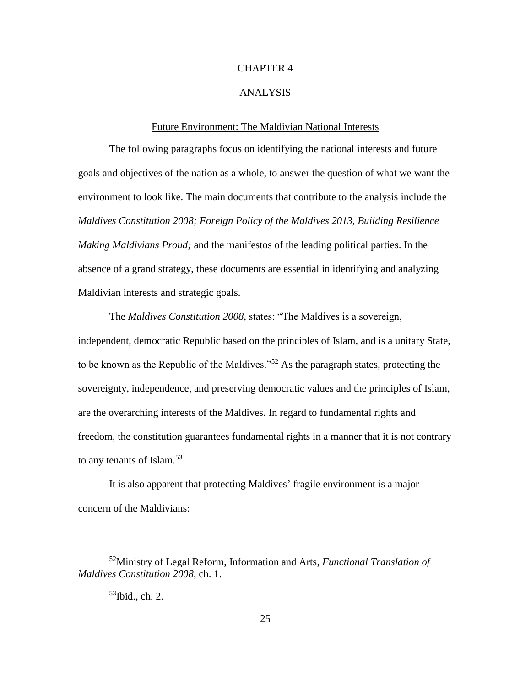## CHAPTER 4

#### ANALYSIS

#### Future Environment: The Maldivian National Interests

The following paragraphs focus on identifying the national interests and future goals and objectives of the nation as a whole, to answer the question of what we want the environment to look like. The main documents that contribute to the analysis include the *Maldives Constitution 2008; Foreign Policy of the Maldives 2013, Building Resilience Making Maldivians Proud;* and the manifestos of the leading political parties. In the absence of a grand strategy, these documents are essential in identifying and analyzing Maldivian interests and strategic goals.

The *Maldives Constitution 2008*, states: "The Maldives is a sovereign, independent, democratic Republic based on the principles of Islam, and is a unitary State, to be known as the Republic of the Maldives."<sup>52</sup> As the paragraph states, protecting the sovereignty, independence, and preserving democratic values and the principles of Islam, are the overarching interests of the Maldives. In regard to fundamental rights and freedom, the constitution guarantees fundamental rights in a manner that it is not contrary to any tenants of Islam.<sup>53</sup>

It is also apparent that protecting Maldives' fragile environment is a major concern of the Maldivians:

<sup>52</sup>Ministry of Legal Reform, Information and Arts, *Functional Translation of Maldives Constitution 2008*, ch. 1.

 $53$ Ibid., ch. 2.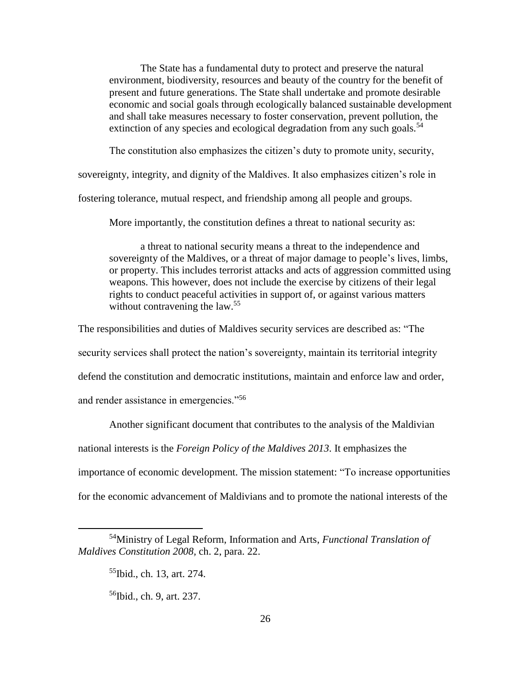The State has a fundamental duty to protect and preserve the natural environment, biodiversity, resources and beauty of the country for the benefit of present and future generations. The State shall undertake and promote desirable economic and social goals through ecologically balanced sustainable development and shall take measures necessary to foster conservation, prevent pollution, the extinction of any species and ecological degradation from any such goals.<sup>54</sup>

The constitution also emphasizes the citizen's duty to promote unity, security,

sovereignty, integrity, and dignity of the Maldives. It also emphasizes citizen's role in

fostering tolerance, mutual respect, and friendship among all people and groups.

More importantly, the constitution defines a threat to national security as:

a threat to national security means a threat to the independence and sovereignty of the Maldives, or a threat of major damage to people's lives, limbs, or property. This includes terrorist attacks and acts of aggression committed using weapons. This however, does not include the exercise by citizens of their legal rights to conduct peaceful activities in support of, or against various matters without contravening the law.<sup>55</sup>

The responsibilities and duties of Maldives security services are described as: "The

security services shall protect the nation's sovereignty, maintain its territorial integrity

defend the constitution and democratic institutions, maintain and enforce law and order,

and render assistance in emergencies."<sup>56</sup>

Another significant document that contributes to the analysis of the Maldivian national interests is the *Foreign Policy of the Maldives 2013*. It emphasizes the importance of economic development. The mission statement: "To increase opportunities for the economic advancement of Maldivians and to promote the national interests of the

<sup>54</sup>Ministry of Legal Reform, Information and Arts, *Functional Translation of Maldives Constitution 2008,* ch. 2, para. 22.

<sup>55</sup>Ibid., ch. 13, art. 274.

<sup>56</sup>Ibid., ch. 9, art. 237.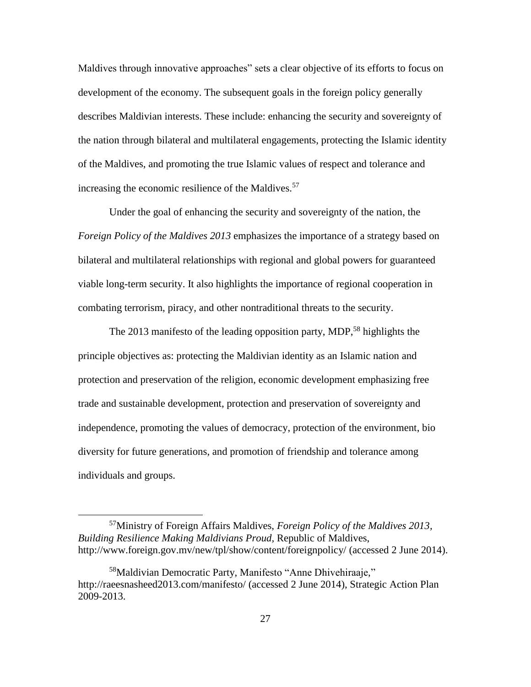Maldives through innovative approaches" sets a clear objective of its efforts to focus on development of the economy. The subsequent goals in the foreign policy generally describes Maldivian interests. These include: enhancing the security and sovereignty of the nation through bilateral and multilateral engagements, protecting the Islamic identity of the Maldives, and promoting the true Islamic values of respect and tolerance and increasing the economic resilience of the Maldives.<sup>57</sup>

Under the goal of enhancing the security and sovereignty of the nation, the *Foreign Policy of the Maldives 2013* emphasizes the importance of a strategy based on bilateral and multilateral relationships with regional and global powers for guaranteed viable long-term security. It also highlights the importance of regional cooperation in combating terrorism, piracy, and other nontraditional threats to the security.

The 2013 manifesto of the leading opposition party, MDP,<sup>58</sup> highlights the principle objectives as: protecting the Maldivian identity as an Islamic nation and protection and preservation of the religion, economic development emphasizing free trade and sustainable development, protection and preservation of sovereignty and independence, promoting the values of democracy, protection of the environment, bio diversity for future generations, and promotion of friendship and tolerance among individuals and groups.

<sup>57</sup>Ministry of Foreign Affairs Maldives, *Foreign Policy of the Maldives 2013, Building Resilience Making Maldivians Proud,* Republic of Maldives, http://www.foreign.gov.mv/new/tpl/show/content/foreignpolicy/ (accessed 2 June 2014).

<sup>58</sup>Maldivian Democratic Party, Manifesto "Anne Dhivehiraaje," <http://raeesnasheed2013.com/manifesto/> (accessed 2 June 2014), Strategic Action Plan 2009-2013.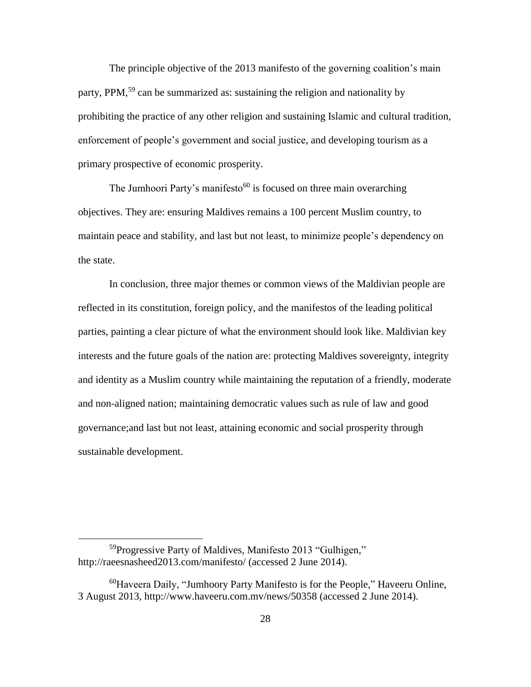The principle objective of the 2013 manifesto of the governing coalition's main party, PPM,<sup>59</sup> can be summarized as: sustaining the religion and nationality by prohibiting the practice of any other religion and sustaining Islamic and cultural tradition, enforcement of people's government and social justice, and developing tourism as a primary prospective of economic prosperity.

The Jumhoori Party's manifesto<sup>60</sup> is focused on three main overarching objectives. They are: ensuring Maldives remains a 100 percent Muslim country, to maintain peace and stability, and last but not least, to minimize people's dependency on the state.

In conclusion, three major themes or common views of the Maldivian people are reflected in its constitution, foreign policy, and the manifestos of the leading political parties, painting a clear picture of what the environment should look like. Maldivian key interests and the future goals of the nation are: protecting Maldives sovereignty, integrity and identity as a Muslim country while maintaining the reputation of a friendly, moderate and non-aligned nation; maintaining democratic values such as rule of law and good governance;and last but not least, attaining economic and social prosperity through sustainable development.

<sup>59</sup>Progressive Party of Maldives, Manifesto 2013 "Gulhigen," http://raeesnasheed2013.com/manifesto/ (accessed 2 June 2014).

 $60$ Haveera Daily, "Jumhoory Party Manifesto is for the People," Haveeru Online, 3 August 2013, http://www.haveeru.com.mv/news/50358 (accessed 2 June 2014).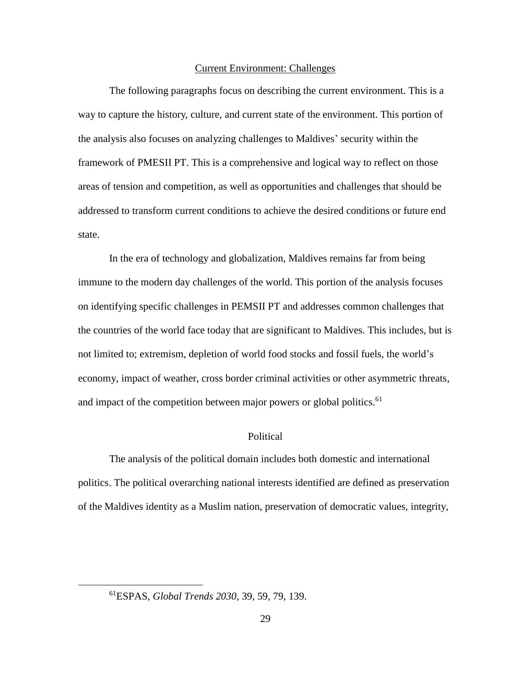## Current Environment: Challenges

The following paragraphs focus on describing the current environment. This is a way to capture the history, culture, and current state of the environment. This portion of the analysis also focuses on analyzing challenges to Maldives' security within the framework of PMESII PT. This is a comprehensive and logical way to reflect on those areas of tension and competition, as well as opportunities and challenges that should be addressed to transform current conditions to achieve the desired conditions or future end state.

In the era of technology and globalization, Maldives remains far from being immune to the modern day challenges of the world. This portion of the analysis focuses on identifying specific challenges in PEMSII PT and addresses common challenges that the countries of the world face today that are significant to Maldives. This includes, but is not limited to; extremism, depletion of world food stocks and fossil fuels, the world's economy, impact of weather, cross border criminal activities or other asymmetric threats, and impact of the competition between major powers or global politics.<sup>61</sup>

# Political

The analysis of the political domain includes both domestic and international politics. The political overarching national interests identified are defined as preservation of the Maldives identity as a Muslim nation, preservation of democratic values, integrity,

<sup>61</sup>ESPAS, *Global Trends 2030,* 39, 59, 79, 139.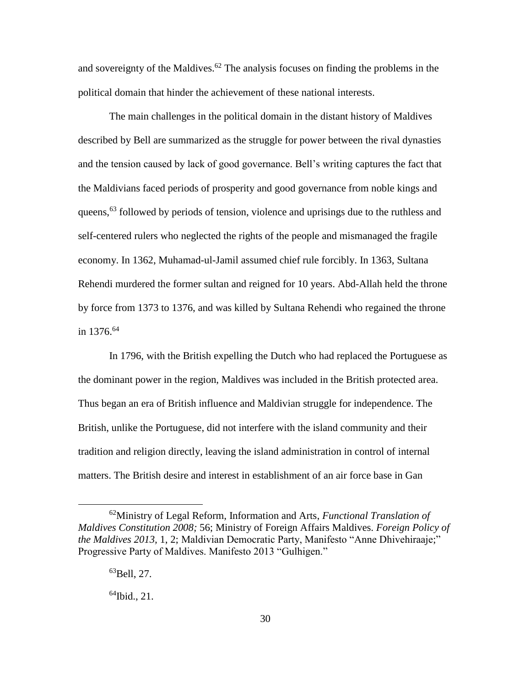and sovereignty of the Maldives.<sup>62</sup> The analysis focuses on finding the problems in the political domain that hinder the achievement of these national interests.

The main challenges in the political domain in the distant history of Maldives described by Bell are summarized as the struggle for power between the rival dynasties and the tension caused by lack of good governance. Bell's writing captures the fact that the Maldivians faced periods of prosperity and good governance from noble kings and queens,<sup>63</sup> followed by periods of tension, violence and uprisings due to the ruthless and self-centered rulers who neglected the rights of the people and mismanaged the fragile economy. In 1362, Muhamad-ul-Jamil assumed chief rule forcibly. In 1363, Sultana Rehendi murdered the former sultan and reigned for 10 years. Abd-Allah held the throne by force from 1373 to 1376, and was killed by Sultana Rehendi who regained the throne in 1376. 64

In 1796, with the British expelling the Dutch who had replaced the Portuguese as the dominant power in the region, Maldives was included in the British protected area. Thus began an era of British influence and Maldivian struggle for independence. The British, unlike the Portuguese, did not interfere with the island community and their tradition and religion directly, leaving the island administration in control of internal matters. The British desire and interest in establishment of an air force base in Gan

<sup>62</sup>Ministry of Legal Reform, Information and Arts, *Functional Translation of Maldives Constitution 2008;* 56; Ministry of Foreign Affairs Maldives. *Foreign Policy of the Maldives 2013,* 1, 2; Maldivian Democratic Party, Manifesto "Anne Dhivehiraaje;" Progressive Party of Maldives. Manifesto 2013 "Gulhigen."

<sup>63</sup>Bell, 27.

 $^{64}$ Ibid., 21.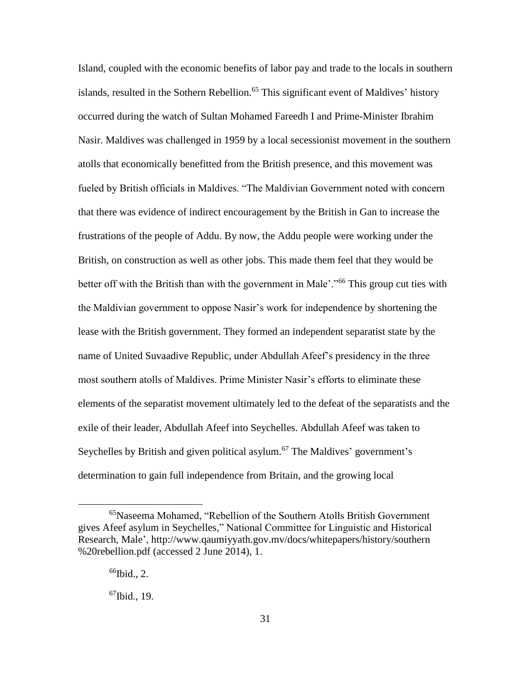Island, coupled with the economic benefits of labor pay and trade to the locals in southern islands, resulted in the Sothern Rebellion.<sup>65</sup> This significant event of Maldives' history occurred during the watch of Sultan Mohamed Fareedh I and Prime-Minister Ibrahim Nasir. Maldives was challenged in 1959 by a local secessionist movement in the southern atolls that economically benefitted from the British presence, and this movement was fueled by British officials in Maldives. "The Maldivian Government noted with concern that there was evidence of indirect encouragement by the British in Gan to increase the frustrations of the people of Addu. By now, the Addu people were working under the British, on construction as well as other jobs. This made them feel that they would be better off with the British than with the government in Male'."<sup>66</sup> This group cut ties with the Maldivian government to oppose Nasir's work for independence by shortening the lease with the British government. They formed an independent separatist state by the name of United Suvaadive Republic, under Abdullah Afeef's presidency in the three most southern atolls of Maldives. Prime Minister Nasir's efforts to eliminate these elements of the separatist movement ultimately led to the defeat of the separatists and the exile of their leader, Abdullah Afeef into Seychelles. Abdullah Afeef was taken to Seychelles by British and given political asylum.<sup>67</sup> The Maldives' government's determination to gain full independence from Britain, and the growing local

<sup>65</sup>Naseema Mohamed, "Rebellion of the Southern Atolls British Government gives Afeef asylum in Seychelles," National Committee for Linguistic and Historical Research, Male', http://www.qaumiyyath.gov.mv/docs/whitepapers/history/southern %20rebellion.pdf (accessed 2 June 2014), 1.

 $66$ Ibid., 2.

 $67$ Ibid., 19.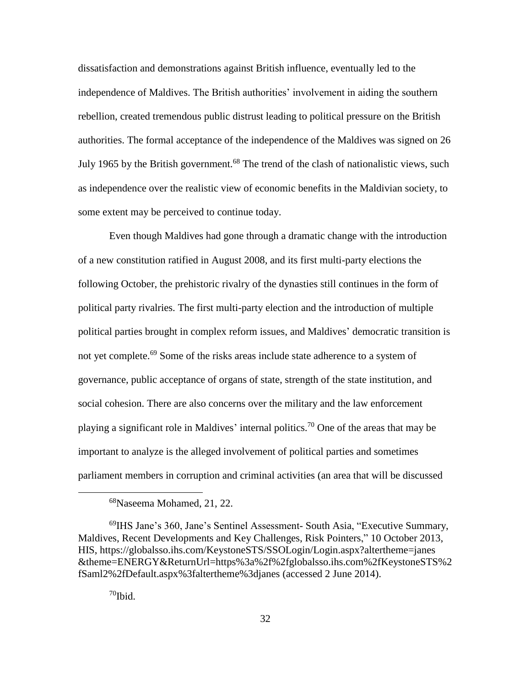dissatisfaction and demonstrations against British influence, eventually led to the independence of Maldives. The British authorities' involvement in aiding the southern rebellion, created tremendous public distrust leading to political pressure on the British authorities. The formal acceptance of the independence of the Maldives was signed on 26 July 1965 by the British government.<sup>68</sup> The trend of the clash of nationalistic views, such as independence over the realistic view of economic benefits in the Maldivian society, to some extent may be perceived to continue today.

Even though Maldives had gone through a dramatic change with the introduction of a new constitution ratified in August 2008, and its first multi-party elections the following October, the prehistoric rivalry of the dynasties still continues in the form of political party rivalries. The first multi-party election and the introduction of multiple political parties brought in complex reform issues, and Maldives' democratic transition is not yet complete.<sup>69</sup> Some of the risks areas include state adherence to a system of governance, public acceptance of organs of state, strength of the state institution, and social cohesion. There are also concerns over the military and the law enforcement playing a significant role in Maldives' internal politics.<sup>70</sup> One of the areas that may be important to analyze is the alleged involvement of political parties and sometimes parliament members in corruption and criminal activities (an area that will be discussed

 $70$ Ibid.

<sup>68</sup>Naseema Mohamed, 21, 22.

<sup>69</sup>IHS Jane's 360, Jane's Sentinel Assessment- South Asia, "Executive Summary, Maldives, Recent Developments and Key Challenges, Risk Pointers," 10 October 2013, HIS, https://globalsso.ihs.com/KeystoneSTS/SSOLogin/Login.aspx?altertheme=janes &theme=ENERGY&ReturnUrl=https%3a%2f%2fglobalsso.ihs.com%2fKeystoneSTS%2 fSaml2%2fDefault.aspx%3faltertheme%3djanes (accessed 2 June 2014).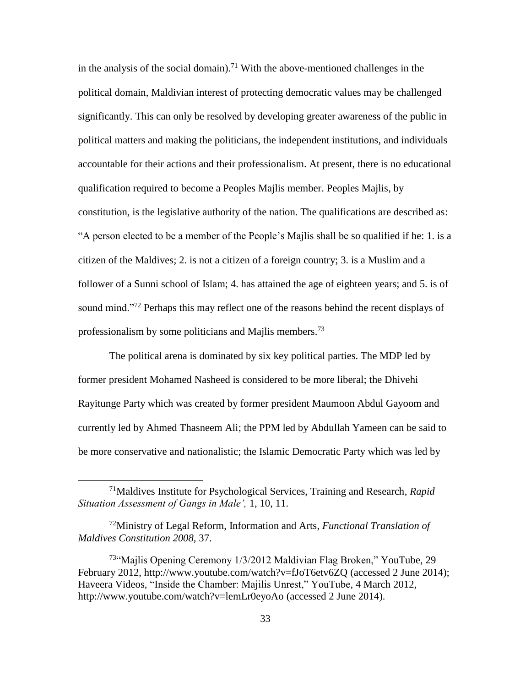in the analysis of the social domain).<sup>71</sup> With the above-mentioned challenges in the political domain, Maldivian interest of protecting democratic values may be challenged significantly. This can only be resolved by developing greater awareness of the public in political matters and making the politicians, the independent institutions, and individuals accountable for their actions and their professionalism. At present, there is no educational qualification required to become a Peoples Majlis member. Peoples Majlis, by constitution, is the legislative authority of the nation. The qualifications are described as: "A person elected to be a member of the People's Majlis shall be so qualified if he: 1. is a citizen of the Maldives; 2. is not a citizen of a foreign country; 3. is a Muslim and a follower of a Sunni school of Islam; 4. has attained the age of eighteen years; and 5. is of sound mind."<sup>72</sup> Perhaps this may reflect one of the reasons behind the recent displays of professionalism by some politicians and Majlis members.<sup>73</sup>

The political arena is dominated by six key political parties. The MDP led by former president Mohamed Nasheed is considered to be more liberal; the Dhivehi Rayitunge Party which was created by former president Maumoon Abdul Gayoom and currently led by Ahmed Thasneem Ali; the PPM led by Abdullah Yameen can be said to be more conservative and nationalistic; the Islamic Democratic Party which was led by

<sup>71</sup>Maldives Institute for Psychological Services, Training and Research, *Rapid Situation Assessment of Gangs in Male',* 1, 10, 11.

<sup>72</sup>Ministry of Legal Reform, Information and Arts, *Functional Translation of Maldives Constitution 2008,* 37.

<sup>&</sup>lt;sup>73</sup>"Majlis Opening Ceremony 1/3/2012 Maldivian Flag Broken," YouTube, 29 February 2012, http://www.youtube.com/watch?v=fJoT6etv6ZQ (accessed 2 June 2014); Haveera Videos, "Inside the Chamber: Majilis Unrest," YouTube, 4 March 2012, http://www.youtube.com/watch?v=lemLr0eyoAo (accessed 2 June 2014).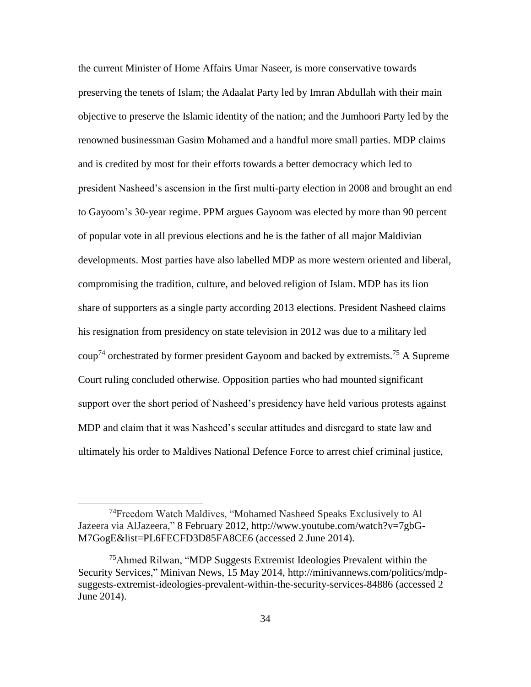the current Minister of Home Affairs Umar Naseer, is more conservative towards preserving the tenets of Islam; the Adaalat Party led by Imran Abdullah with their main objective to preserve the Islamic identity of the nation; and the Jumhoori Party led by the renowned businessman Gasim Mohamed and a handful more small parties. MDP claims and is credited by most for their efforts towards a better democracy which led to president Nasheed's ascension in the first multi-party election in 2008 and brought an end to Gayoom's 30-year regime. PPM argues Gayoom was elected by more than 90 percent of popular vote in all previous elections and he is the father of all major Maldivian developments. Most parties have also labelled MDP as more western oriented and liberal, compromising the tradition, culture, and beloved religion of Islam. MDP has its lion share of supporters as a single party according 2013 elections. President Nasheed claims his resignation from presidency on state television in 2012 was due to a military led  $\text{coup}^{\tau_4}$  orchestrated by former president Gayoom and backed by extremists.<sup>75</sup> A Supreme Court ruling concluded otherwise. Opposition parties who had mounted significant support over the short period of Nasheed's presidency have held various protests against MDP and claim that it was Nasheed's secular attitudes and disregard to state law and ultimately his order to Maldives National Defence Force to arrest chief criminal justice,

<sup>&</sup>lt;sup>74</sup>Freedom Watch Maldives, "Mohamed Nasheed Speaks Exclusively to Al Jazeera via AlJazeera," 8 February 2012, http://www.youtube.com/watch?v=7gbG-M7GogE&list=PL6FECFD3D85FA8CE6 (accessed 2 June 2014).

<sup>&</sup>lt;sup>75</sup>Ahmed Rilwan, "MDP Suggests Extremist Ideologies Prevalent within the Security Services," Minivan News, 15 May 2014, http://minivannews.com/politics/mdpsuggests-extremist-ideologies-prevalent-within-the-security-services-84886 (accessed 2 June 2014).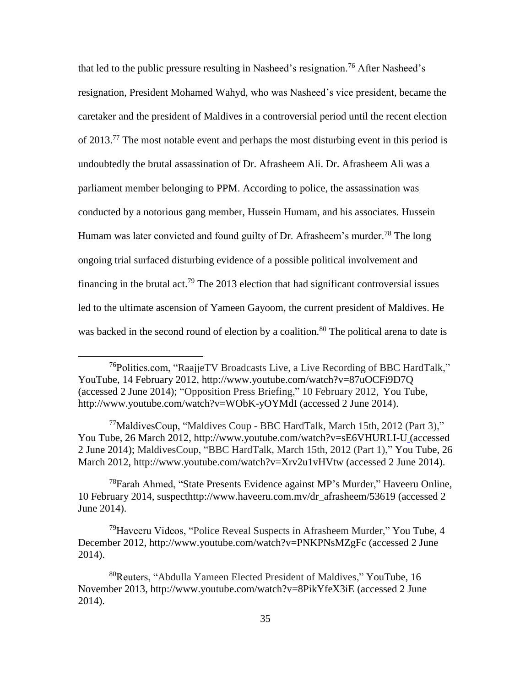that led to the public pressure resulting in Nasheed's resignation.<sup>76</sup> After Nasheed's resignation, President Mohamed Wahyd, who was Nasheed's vice president, became the caretaker and the president of Maldives in a controversial period until the recent election of  $2013<sup>77</sup>$ . The most notable event and perhaps the most disturbing event in this period is undoubtedly the brutal assassination of Dr. Afrasheem Ali. Dr. Afrasheem Ali was a parliament member belonging to PPM. According to police, the assassination was conducted by a notorious gang member, Hussein Humam, and his associates. Hussein Humam was later convicted and found guilty of Dr. Afrasheem's murder.<sup>78</sup> The long ongoing trial surfaced disturbing evidence of a possible political involvement and financing in the brutal act.<sup>79</sup> The 2013 election that had significant controversial issues led to the ultimate ascension of Yameen Gayoom, the current president of Maldives. He was backed in the second round of election by a coalition.<sup>80</sup> The political arena to date is

 $\overline{a}$ 

<sup>78</sup>Farah Ahmed, "State Presents Evidence against MP's Murder," Haveeru Online, 10 February 2014, suspecthttp://www.haveeru.com.mv/dr\_afrasheem/53619 (accessed 2 June 2014).

<sup>79</sup>Haveeru Videos, "Police Reveal Suspects in Afrasheem Murder," You Tube, 4 December 2012, http://www.youtube.com/watch?v=PNKPNsMZgFc (accessed 2 June 2014).

<sup>76</sup>Politics.com, "RaajjeTV Broadcasts Live, a Live Recording of BBC HardTalk," YouTube, 14 February 2012, http://www.youtube.com/watch?v=87uOCFi9D7Q (accessed 2 June 2014); "Opposition Press Briefing," 10 February 2012, You Tube, http://www.youtube.com/watch?v=WObK-yOYMdI (accessed 2 June 2014).

<sup>&</sup>lt;sup>77</sup>MaldivesCoup, "Maldives Coup - BBC HardTalk, March 15th, 2012 (Part 3)." You Tube, 26 March 2012, http://www.youtube.com/watch?v=sE6VHURLI-U (accessed 2 June 2014); MaldivesCoup, "BBC HardTalk, March 15th, 2012 (Part 1)," You Tube, 26 March 2012, http://www.youtube.com/watch?v=Xrv2u1vHVtw (accessed 2 June 2014).

<sup>80</sup>Reuters, "Abdulla Yameen Elected President of Maldives," YouTube, 16 November 2013, http://www.youtube.com/watch?v=8PikYfeX3iE (accessed 2 June 2014).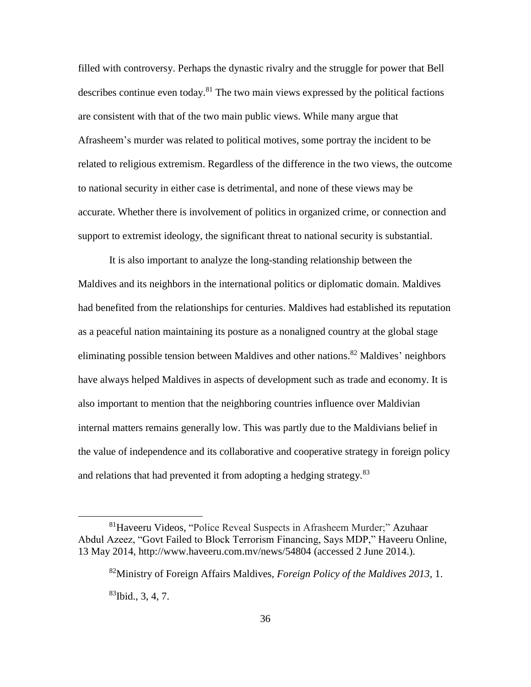filled with controversy. Perhaps the dynastic rivalry and the struggle for power that Bell describes continue even today.<sup>81</sup> The two main views expressed by the political factions are consistent with that of the two main public views. While many argue that Afrasheem's murder was related to political motives, some portray the incident to be related to religious extremism. Regardless of the difference in the two views, the outcome to national security in either case is detrimental, and none of these views may be accurate. Whether there is involvement of politics in organized crime, or connection and support to extremist ideology, the significant threat to national security is substantial.

It is also important to analyze the long-standing relationship between the Maldives and its neighbors in the international politics or diplomatic domain. Maldives had benefited from the relationships for centuries. Maldives had established its reputation as a peaceful nation maintaining its posture as a nonaligned country at the global stage eliminating possible tension between Maldives and other nations.<sup>82</sup> Maldives' neighbors have always helped Maldives in aspects of development such as trade and economy. It is also important to mention that the neighboring countries influence over Maldivian internal matters remains generally low. This was partly due to the Maldivians belief in the value of independence and its collaborative and cooperative strategy in foreign policy and relations that had prevented it from adopting a hedging strategy.<sup>83</sup>

<sup>81</sup>Haveeru Videos, "Police Reveal Suspects in Afrasheem Murder;" Azuhaar Abdul Azeez, "Govt Failed to Block Terrorism Financing, Says MDP," Haveeru Online, 13 May 2014, http://www.haveeru.com.mv/news/54804 (accessed 2 June 2014.).

<sup>82</sup>Ministry of Foreign Affairs Maldives, *Foreign Policy of the Maldives 2013,* 1.  $^{83}$ Ibid., 3, 4, 7.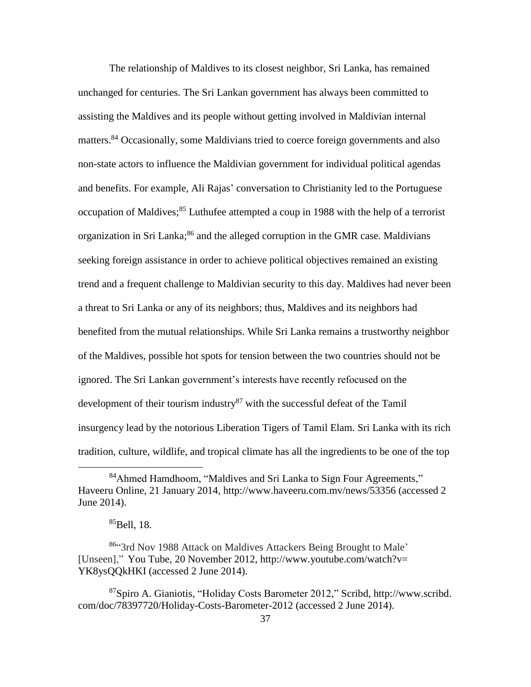The relationship of Maldives to its closest neighbor, Sri Lanka, has remained unchanged for centuries. The Sri Lankan government has always been committed to assisting the Maldives and its people without getting involved in Maldivian internal matters.<sup>84</sup> Occasionally, some Maldivians tried to coerce foreign governments and also non-state actors to influence the Maldivian government for individual political agendas and benefits. For example, Ali Rajas' conversation to Christianity led to the Portuguese occupation of Maldives;<sup>85</sup> Luthufee attempted a coup in 1988 with the help of a terrorist organization in Sri Lanka;<sup>86</sup> and the alleged corruption in the GMR case. Maldivians seeking foreign assistance in order to achieve political objectives remained an existing trend and a frequent challenge to Maldivian security to this day. Maldives had never been a threat to Sri Lanka or any of its neighbors; thus, Maldives and its neighbors had benefited from the mutual relationships. While Sri Lanka remains a trustworthy neighbor of the Maldives, possible hot spots for tension between the two countries should not be ignored. The Sri Lankan government's interests have recently refocused on the development of their tourism industry<sup>87</sup> with the successful defeat of the Tamil insurgency lead by the notorious Liberation Tigers of Tamil Elam. Sri Lanka with its rich tradition, culture, wildlife, and tropical climate has all the ingredients to be one of the top

<sup>84</sup>Ahmed Hamdhoom, "Maldives and Sri Lanka to Sign Four Agreements," Haveeru Online, 21 January 2014, http://www.haveeru.com.mv/news/53356 (accessed 2 June 2014).

<sup>85</sup>Bell, 18.

<sup>86&</sup>quot;3rd Nov 1988 Attack on Maldives Attackers Being Brought to Male' [Unseen]," You Tube, 20 November 2012, http://www.youtube.com/watch?v= YK8ysQQkHKI (accessed 2 June 2014).

<sup>87</sup>Spiro A. Gianiotis, ["Holiday Costs Barometer 2012,"](file:///C:/Users/venita.krueger/AppData/Local/Microsoft/Windows/Temporary%20Internet%20Files/Content.Outlook/AppData/Local/AppData/Local/Microsoft/Windows/Temporary%20Internet%20Files/Content.IE5/AppData/Local/Temp/Holiday%20Costs%20Barometer%202012,”) Scribd, http://www.scribd. com/doc/78397720/Holiday-Costs-Barometer-2012 (accessed 2 June 2014).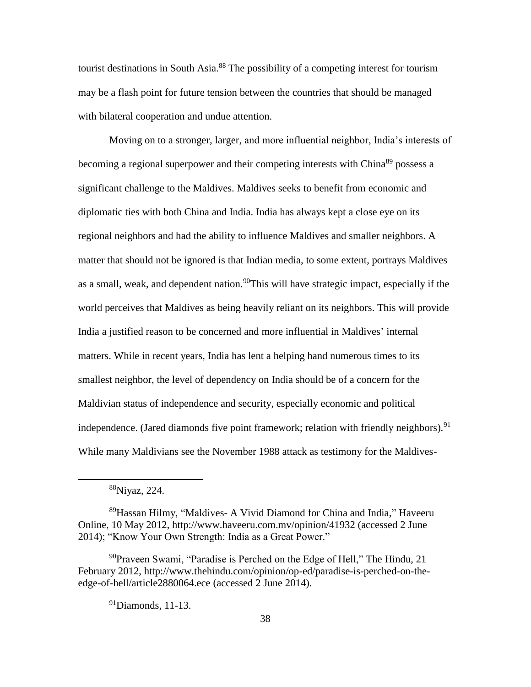tourist destinations in South Asia.<sup>88</sup> The possibility of a competing interest for tourism may be a flash point for future tension between the countries that should be managed with bilateral cooperation and undue attention.

Moving on to a stronger, larger, and more influential neighbor, India's interests of becoming a regional superpower and their competing interests with China<sup>89</sup> possess a significant challenge to the Maldives. Maldives seeks to benefit from economic and diplomatic ties with both China and India. India has always kept a close eye on its regional neighbors and had the ability to influence Maldives and smaller neighbors. A matter that should not be ignored is that Indian media, to some extent, portrays Maldives as a small, weak, and dependent nation.<sup>90</sup>This will have strategic impact, especially if the world perceives that Maldives as being heavily reliant on its neighbors. This will provide India a justified reason to be concerned and more influential in Maldives' internal matters. While in recent years, India has lent a helping hand numerous times to its smallest neighbor, the level of dependency on India should be of a concern for the Maldivian status of independence and security, especially economic and political independence. (Jared diamonds five point framework; relation with friendly neighbors).<sup>91</sup> While many Maldivians see the November 1988 attack as testimony for the Maldives-

<sup>88</sup>Niyaz, 224.

<sup>89</sup>Hassan Hilmy, "Maldives- A Vivid Diamond for China and India," Haveeru Online, 10 May 2012, http://www.haveeru.com.mv/opinion/41932 (accessed 2 June 2014); "Know Your Own Strength: India as a Great Power."

<sup>&</sup>lt;sup>90</sup>Praveen Swami, "Paradise is Perched on the Edge of Hell," The Hindu, 21 February 2012, http://www.thehindu.com/opinion/op-ed/paradise-is-perched-on-theedge-of-hell/article2880064.ece (accessed 2 June 2014).

 $91$ Diamonds, 11-13.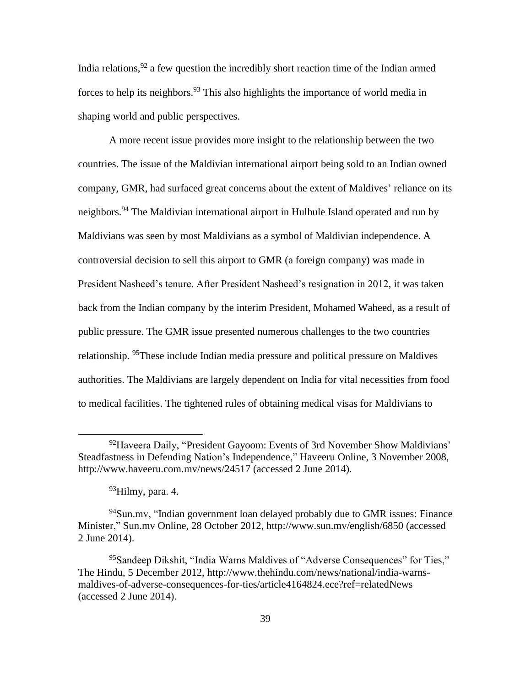India relations, <sup>92</sup> a few question the incredibly short reaction time of the Indian armed forces to help its neighbors.<sup>93</sup> This also highlights the importance of world media in shaping world and public perspectives.

A more recent issue provides more insight to the relationship between the two countries. The issue of the Maldivian international airport being sold to an Indian owned company, GMR, had surfaced great concerns about the extent of Maldives' reliance on its neighbors.<sup>94</sup> The Maldivian international airport in Hulhule Island operated and run by Maldivians was seen by most Maldivians as a symbol of Maldivian independence. A controversial decision to sell this airport to GMR (a foreign company) was made in President Nasheed's tenure. After President Nasheed's resignation in 2012, it was taken back from the Indian company by the interim President, Mohamed Waheed, as a result of public pressure. The GMR issue presented numerous challenges to the two countries relationship. <sup>95</sup>These include Indian media pressure and political pressure on Maldives authorities. The Maldivians are largely dependent on India for vital necessities from food to medical facilities. The tightened rules of obtaining medical visas for Maldivians to

 $92$ Haveera Daily, "President Gayoom: Events of 3rd November Show Maldivians" Steadfastness in Defending Nation's Independence," Haveeru Online, 3 November 2008, http://www.haveeru.com.mv/news/24517 (accessed 2 June 2014).

 $93$ Hilmy, para. 4.

 $94$ Sun.mv, "Indian government loan delayed probably due to GMR issues: Finance Minister," Sun.mv Online, 28 October 2012, http://www.sun.mv/english/6850 (accessed 2 June 2014).

<sup>&</sup>lt;sup>95</sup>Sandeep Dikshit, "India Warns Maldives of "Adverse Consequences" for Ties," The Hindu, 5 December 2012, http://www.thehindu.com/news/national/india-warnsmaldives-of-adverse-consequences-for-ties/article4164824.ece?ref=relatedNews (accessed 2 June 2014).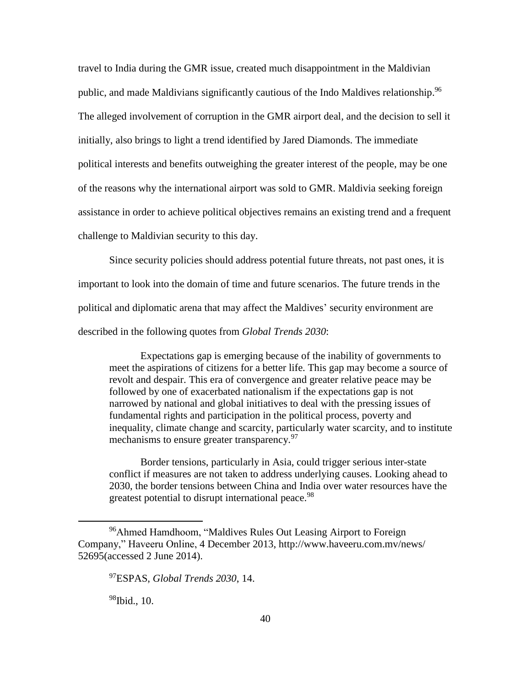travel to India during the GMR issue, created much disappointment in the Maldivian public, and made Maldivians significantly cautious of the Indo Maldives relationship.<sup>96</sup> The alleged involvement of corruption in the GMR airport deal, and the decision to sell it initially, also brings to light a trend identified by Jared Diamonds. The immediate political interests and benefits outweighing the greater interest of the people, may be one of the reasons why the international airport was sold to GMR. Maldivia seeking foreign assistance in order to achieve political objectives remains an existing trend and a frequent challenge to Maldivian security to this day.

Since security policies should address potential future threats, not past ones, it is important to look into the domain of time and future scenarios. The future trends in the political and diplomatic arena that may affect the Maldives' security environment are described in the following quotes from *Global Trends 2030*:

Expectations gap is emerging because of the inability of governments to meet the aspirations of citizens for a better life. This gap may become a source of revolt and despair. This era of convergence and greater relative peace may be followed by one of exacerbated nationalism if the expectations gap is not narrowed by national and global initiatives to deal with the pressing issues of fundamental rights and participation in the political process, poverty and inequality, climate change and scarcity, particularly water scarcity, and to institute mechanisms to ensure greater transparency.<sup>97</sup>

Border tensions, particularly in Asia, could trigger serious inter-state conflict if measures are not taken to address underlying causes. Looking ahead to 2030, the border tensions between China and India over water resources have the greatest potential to disrupt international peace.<sup>98</sup>

 $98$ Ibid., 10.

<sup>96</sup>Ahmed Hamdhoom, "Maldives Rules Out Leasing Airport to Foreign Company," Haveeru Online, 4 December 2013, http://www.haveeru.com.mv/news/ 52695(accessed 2 June 2014).

<sup>97</sup>ESPAS, *Global Trends 2030*, 14.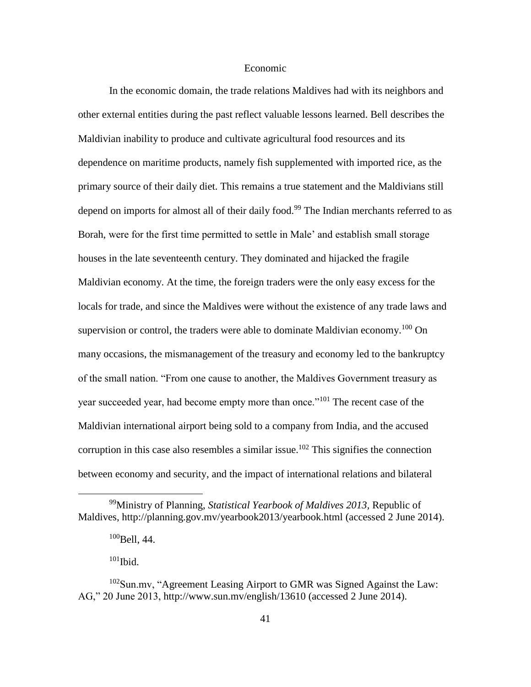## Economic

In the economic domain, the trade relations Maldives had with its neighbors and other external entities during the past reflect valuable lessons learned. Bell describes the Maldivian inability to produce and cultivate agricultural food resources and its dependence on maritime products, namely fish supplemented with imported rice, as the primary source of their daily diet. This remains a true statement and the Maldivians still depend on imports for almost all of their daily food.<sup>99</sup> The Indian merchants referred to as Borah, were for the first time permitted to settle in Male' and establish small storage houses in the late seventeenth century. They dominated and hijacked the fragile Maldivian economy. At the time, the foreign traders were the only easy excess for the locals for trade, and since the Maldives were without the existence of any trade laws and supervision or control, the traders were able to dominate Maldivian economy.<sup>100</sup> On many occasions, the mismanagement of the treasury and economy led to the bankruptcy of the small nation. "From one cause to another, the Maldives Government treasury as year succeeded year, had become empty more than once."<sup>101</sup> The recent case of the Maldivian international airport being sold to a company from India, and the accused corruption in this case also resembles a similar issue.<sup>102</sup> This signifies the connection between economy and security, and the impact of international relations and bilateral

 $101$  Ibid.

<sup>99</sup>Ministry of Planning, *Statistical Yearbook of Maldives 2013,* Republic of Maldives, http://planning.gov.mv/yearbook2013/yearbook.html (accessed 2 June 2014).

 $100$ Bell, 44.

<sup>102</sup>Sun.mv, "Agreement Leasing Airport to GMR was Signed Against the Law: AG," 20 June 2013, http://www.sun.mv/english/13610 (accessed 2 June 2014).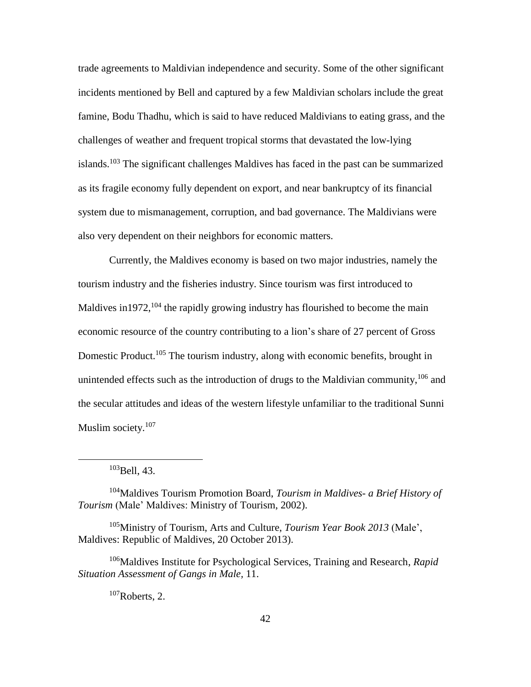trade agreements to Maldivian independence and security. Some of the other significant incidents mentioned by Bell and captured by a few Maldivian scholars include the great famine, Bodu Thadhu, which is said to have reduced Maldivians to eating grass, and the challenges of weather and frequent tropical storms that devastated the low-lying islands.<sup>103</sup> The significant challenges Maldives has faced in the past can be summarized as its fragile economy fully dependent on export, and near bankruptcy of its financial system due to mismanagement, corruption, and bad governance. The Maldivians were also very dependent on their neighbors for economic matters.

Currently, the Maldives economy is based on two major industries, namely the tourism industry and the fisheries industry. Since tourism was first introduced to Maldives in 1972, <sup>104</sup> the rapidly growing industry has flourished to become the main economic resource of the country contributing to a lion's share of 27 percent of Gross Domestic Product.<sup>105</sup> The tourism industry, along with economic benefits, brought in unintended effects such as the introduction of drugs to the Maldivian community, <sup>106</sup> and the secular attitudes and ideas of the western lifestyle unfamiliar to the traditional Sunni Muslim society.<sup>107</sup>

 $103$ Bell, 43.

 $\overline{a}$ 

<sup>104</sup>Maldives Tourism Promotion Board, *Tourism in Maldives- a Brief History of Tourism* (Male' Maldives: Ministry of Tourism, 2002).

<sup>105</sup>Ministry of Tourism, Arts and Culture, *Tourism Year Book 2013* (Male', Maldives: Republic of Maldives, 20 October 2013).

<sup>106</sup>Maldives Institute for Psychological Services, Training and Research, *Rapid Situation Assessment of Gangs in Male,* 11.

 $107$ Roberts, 2.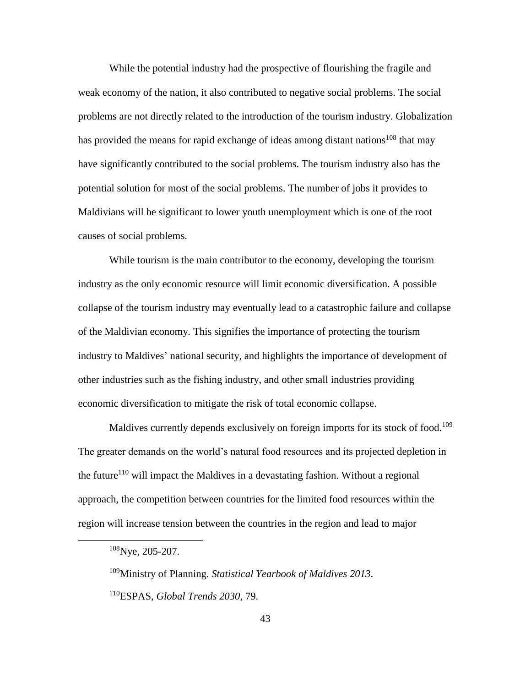While the potential industry had the prospective of flourishing the fragile and weak economy of the nation, it also contributed to negative social problems. The social problems are not directly related to the introduction of the tourism industry. Globalization has provided the means for rapid exchange of ideas among distant nations<sup>108</sup> that may have significantly contributed to the social problems. The tourism industry also has the potential solution for most of the social problems. The number of jobs it provides to Maldivians will be significant to lower youth unemployment which is one of the root causes of social problems.

While tourism is the main contributor to the economy, developing the tourism industry as the only economic resource will limit economic diversification. A possible collapse of the tourism industry may eventually lead to a catastrophic failure and collapse of the Maldivian economy. This signifies the importance of protecting the tourism industry to Maldives' national security, and highlights the importance of development of other industries such as the fishing industry, and other small industries providing economic diversification to mitigate the risk of total economic collapse.

Maldives currently depends exclusively on foreign imports for its stock of food.<sup>109</sup> The greater demands on the world's natural food resources and its projected depletion in the future<sup>110</sup> will impact the Maldives in a devastating fashion. Without a regional approach, the competition between countries for the limited food resources within the region will increase tension between the countries in the region and lead to major

 $\overline{a}$ 

<sup>109</sup>Ministry of Planning. *Statistical Yearbook of Maldives 2013*. <sup>110</sup>ESPAS, *Global Trends 2030*, 79.

<sup>&</sup>lt;sup>108</sup>Nye, 205-207.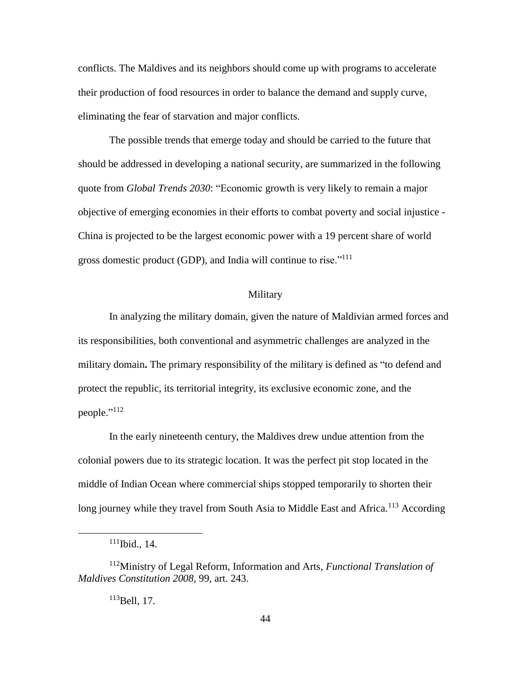conflicts. The Maldives and its neighbors should come up with programs to accelerate their production of food resources in order to balance the demand and supply curve, eliminating the fear of starvation and major conflicts.

The possible trends that emerge today and should be carried to the future that should be addressed in developing a national security, are summarized in the following quote from *Global Trends 2030*: "Economic growth is very likely to remain a major objective of emerging economies in their efforts to combat poverty and social injustice - China is projected to be the largest economic power with a 19 percent share of world gross domestic product (GDP), and India will continue to rise."<sup>111</sup>

#### Military

In analyzing the military domain, given the nature of Maldivian armed forces and its responsibilities, both conventional and asymmetric challenges are analyzed in the military domain**.** The primary responsibility of the military is defined as "to defend and protect the republic, its territorial integrity, its exclusive economic zone, and the people."<sup>112</sup>

In the early nineteenth century, the Maldives drew undue attention from the colonial powers due to its strategic location. It was the perfect pit stop located in the middle of Indian Ocean where commercial ships stopped temporarily to shorten their long journey while they travel from South Asia to Middle East and Africa.<sup>113</sup> According

 $\overline{a}$ 

<sup>113</sup>Bell, 17.

 $111$ Ibid., 14.

<sup>112</sup>Ministry of Legal Reform, Information and Arts, *Functional Translation of Maldives Constitution 2008,* 99, art. 243.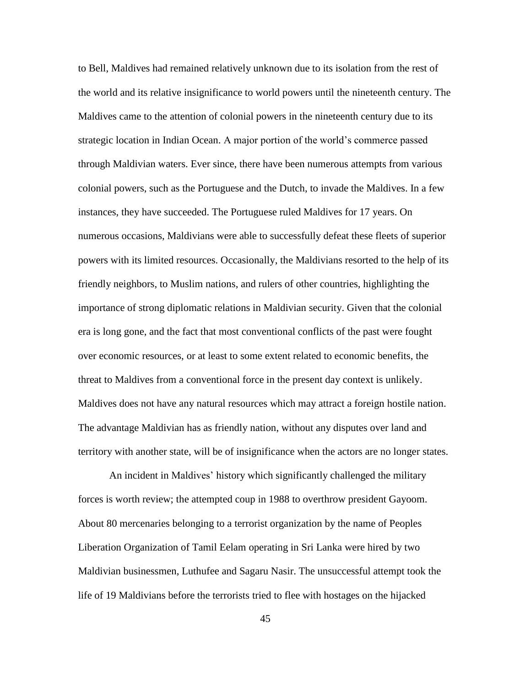to Bell, Maldives had remained relatively unknown due to its isolation from the rest of the world and its relative insignificance to world powers until the nineteenth century. The Maldives came to the attention of colonial powers in the nineteenth century due to its strategic location in Indian Ocean. A major portion of the world's commerce passed through Maldivian waters. Ever since, there have been numerous attempts from various colonial powers, such as the Portuguese and the Dutch, to invade the Maldives. In a few instances, they have succeeded. The Portuguese ruled Maldives for 17 years. On numerous occasions, Maldivians were able to successfully defeat these fleets of superior powers with its limited resources. Occasionally, the Maldivians resorted to the help of its friendly neighbors, to Muslim nations, and rulers of other countries, highlighting the importance of strong diplomatic relations in Maldivian security. Given that the colonial era is long gone, and the fact that most conventional conflicts of the past were fought over economic resources, or at least to some extent related to economic benefits, the threat to Maldives from a conventional force in the present day context is unlikely. Maldives does not have any natural resources which may attract a foreign hostile nation. The advantage Maldivian has as friendly nation, without any disputes over land and territory with another state, will be of insignificance when the actors are no longer states.

An incident in Maldives' history which significantly challenged the military forces is worth review; the attempted coup in 1988 to overthrow president Gayoom. About 80 mercenaries belonging to a terrorist organization by the name of Peoples Liberation Organization of Tamil Eelam operating in Sri Lanka were hired by two Maldivian businessmen, Luthufee and Sagaru Nasir. The unsuccessful attempt took the life of 19 Maldivians before the terrorists tried to flee with hostages on the hijacked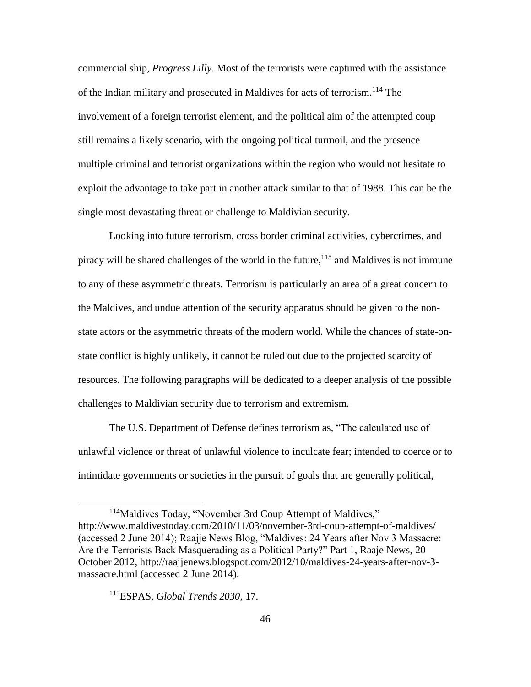commercial ship, *Progress Lilly*. Most of the terrorists were captured with the assistance of the Indian military and prosecuted in Maldives for acts of terrorism.<sup>114</sup> The involvement of a foreign terrorist element, and the political aim of the attempted coup still remains a likely scenario, with the ongoing political turmoil, and the presence multiple criminal and terrorist organizations within the region who would not hesitate to exploit the advantage to take part in another attack similar to that of 1988. This can be the single most devastating threat or challenge to Maldivian security.

Looking into future terrorism, cross border criminal activities, cybercrimes, and piracy will be shared challenges of the world in the future, <sup>115</sup> and Maldives is not immune to any of these asymmetric threats. Terrorism is particularly an area of a great concern to the Maldives, and undue attention of the security apparatus should be given to the nonstate actors or the asymmetric threats of the modern world. While the chances of state-onstate conflict is highly unlikely, it cannot be ruled out due to the projected scarcity of resources. The following paragraphs will be dedicated to a deeper analysis of the possible challenges to Maldivian security due to terrorism and extremism.

The U.S. Department of Defense defines terrorism as, "The calculated use of unlawful violence or threat of unlawful violence to inculcate fear; intended to coerce or to intimidate governments or societies in the pursuit of goals that are generally political,

<sup>&</sup>lt;sup>114</sup>Maldives Today, "November 3rd Coup Attempt of Maldives," http://www.maldivestoday.com/2010/11/03/november-3rd-coup-attempt-of-maldives/ (accessed 2 June 2014); Raajje News Blog, "Maldives: 24 Years after Nov 3 Massacre: Are the Terrorists Back Masquerading as a Political Party?" Part 1, Raaje News, 20 October 2012, http://raajjenews.blogspot.com/2012/10/maldives-24-years-after-nov-3 massacre.html (accessed 2 June 2014).

<sup>115</sup>ESPAS, *Global Trends 2030*, 17.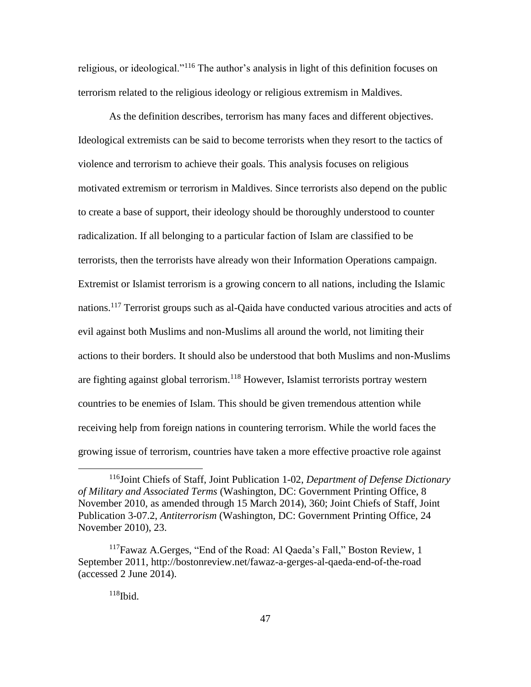religious, or ideological."<sup>116</sup> The author's analysis in light of this definition focuses on terrorism related to the religious ideology or religious extremism in Maldives.

As the definition describes, terrorism has many faces and different objectives. Ideological extremists can be said to become terrorists when they resort to the tactics of violence and terrorism to achieve their goals. This analysis focuses on religious motivated extremism or terrorism in Maldives. Since terrorists also depend on the public to create a base of support, their ideology should be thoroughly understood to counter radicalization. If all belonging to a particular faction of Islam are classified to be terrorists, then the terrorists have already won their Information Operations campaign. Extremist or Islamist terrorism is a growing concern to all nations, including the Islamic nations.<sup>117</sup> Terrorist groups such as al-Qaida have conducted various atrocities and acts of evil against both Muslims and non-Muslims all around the world, not limiting their actions to their borders. It should also be understood that both Muslims and non-Muslims are fighting against global terrorism.<sup>118</sup> However, Islamist terrorists portray western countries to be enemies of Islam. This should be given tremendous attention while receiving help from foreign nations in countering terrorism. While the world faces the growing issue of terrorism, countries have taken a more effective proactive role against

<sup>116</sup>Joint Chiefs of Staff, Joint Publication 1-02, *Department of Defense Dictionary of Military and Associated Terms* (Washington, DC: Government Printing Office, 8 November 2010, as amended through 15 March 2014), 360; Joint Chiefs of Staff, Joint Publication 3-07.2, *Antiterrorism* (Washington, DC: Government Printing Office, 24 November 2010), 23.

<sup>&</sup>lt;sup>117</sup>Fawaz A.Gerges, "End of the Road: Al Qaeda's Fall," Boston Review, 1 September 2011, http://bostonreview.net/fawaz-a-gerges-al-qaeda-end-of-the-road (accessed 2 June 2014).

 $118$ Ibid.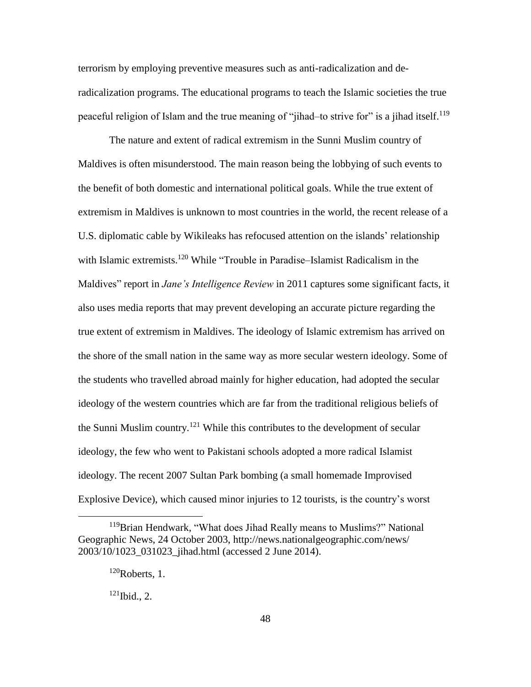terrorism by employing preventive measures such as anti-radicalization and deradicalization programs. The educational programs to teach the Islamic societies the true peaceful religion of Islam and the true meaning of "jihad–to strive for" is a jihad itself.<sup>119</sup>

The nature and extent of radical extremism in the Sunni Muslim country of Maldives is often misunderstood. The main reason being the lobbying of such events to the benefit of both domestic and international political goals. While the true extent of extremism in Maldives is unknown to most countries in the world, the recent release of a U.S. diplomatic cable by Wikileaks has refocused attention on the islands' relationship with Islamic extremists.<sup>120</sup> While "Trouble in Paradise–Islamist Radicalism in the Maldives" report in *Jane's Intelligence Review* in 2011 captures some significant facts, it also uses media reports that may prevent developing an accurate picture regarding the true extent of extremism in Maldives. The ideology of Islamic extremism has arrived on the shore of the small nation in the same way as more secular western ideology. Some of the students who travelled abroad mainly for higher education, had adopted the secular ideology of the western countries which are far from the traditional religious beliefs of the Sunni Muslim country.<sup>121</sup> While this contributes to the development of secular ideology, the few who went to Pakistani schools adopted a more radical Islamist ideology. The recent 2007 Sultan Park bombing (a small homemade Improvised Explosive Device), which caused minor injuries to 12 tourists, is the country's worst

<sup>119</sup>Brian Hendwark, "What does Jihad Really means to Muslims?" National Geographic News, 24 October 2003, http://news.nationalgeographic.com/news/ 2003/10/1023\_031023\_jihad.html (accessed 2 June 2014).

 $120$ Roberts, 1.

 $121$  Ibid., 2.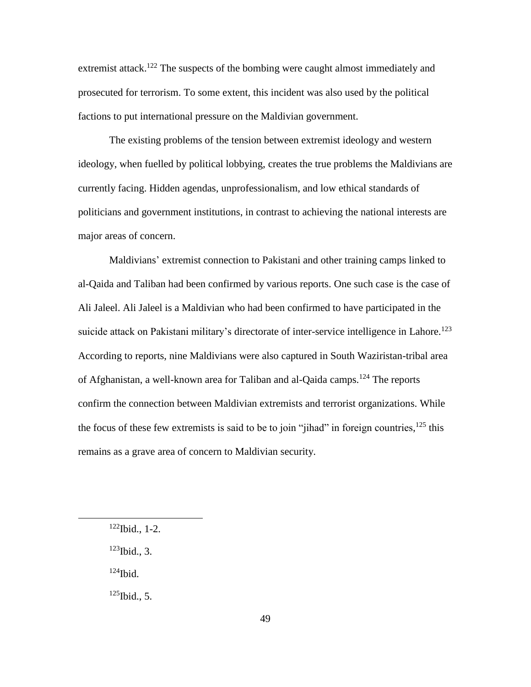extremist attack.<sup>122</sup> The suspects of the bombing were caught almost immediately and prosecuted for terrorism. To some extent, this incident was also used by the political factions to put international pressure on the Maldivian government.

The existing problems of the tension between extremist ideology and western ideology, when fuelled by political lobbying, creates the true problems the Maldivians are currently facing. Hidden agendas, unprofessionalism, and low ethical standards of politicians and government institutions, in contrast to achieving the national interests are major areas of concern.

Maldivians' extremist connection to Pakistani and other training camps linked to al-Qaida and Taliban had been confirmed by various reports. One such case is the case of Ali Jaleel. Ali Jaleel is a Maldivian who had been confirmed to have participated in the suicide attack on Pakistani military's directorate of inter-service intelligence in Lahore.<sup>123</sup> According to reports, nine Maldivians were also captured in South Waziristan-tribal area of Afghanistan, a well-known area for Taliban and al-Qaida camps.<sup>124</sup> The reports confirm the connection between Maldivian extremists and terrorist organizations. While the focus of these few extremists is said to be to join "jihad" in foreign countries,  $^{125}$  this remains as a grave area of concern to Maldivian security.

 $124$ Ibid.

 $\overline{a}$ 

 $125$  Ibid., 5.

 $122$  Ibid., 1-2.

 $123$  Ibid., 3.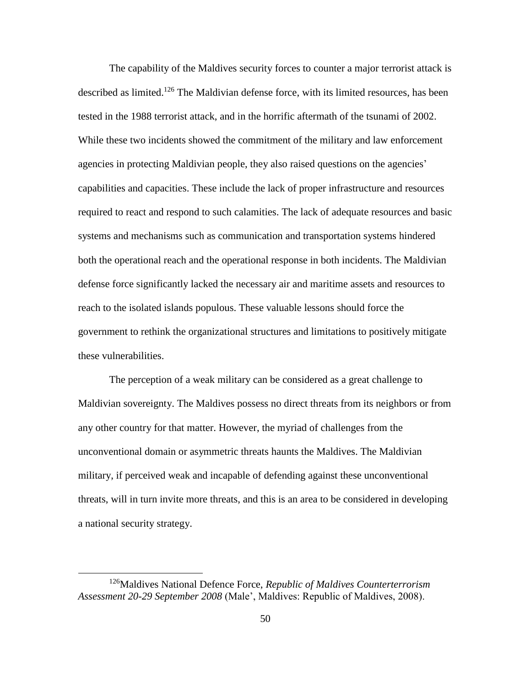The capability of the Maldives security forces to counter a major terrorist attack is described as limited.<sup>126</sup> The Maldivian defense force, with its limited resources, has been tested in the 1988 terrorist attack, and in the horrific aftermath of the tsunami of 2002. While these two incidents showed the commitment of the military and law enforcement agencies in protecting Maldivian people, they also raised questions on the agencies' capabilities and capacities. These include the lack of proper infrastructure and resources required to react and respond to such calamities. The lack of adequate resources and basic systems and mechanisms such as communication and transportation systems hindered both the operational reach and the operational response in both incidents. The Maldivian defense force significantly lacked the necessary air and maritime assets and resources to reach to the isolated islands populous. These valuable lessons should force the government to rethink the organizational structures and limitations to positively mitigate these vulnerabilities.

The perception of a weak military can be considered as a great challenge to Maldivian sovereignty. The Maldives possess no direct threats from its neighbors or from any other country for that matter. However, the myriad of challenges from the unconventional domain or asymmetric threats haunts the Maldives. The Maldivian military, if perceived weak and incapable of defending against these unconventional threats, will in turn invite more threats, and this is an area to be considered in developing a national security strategy.

<sup>126</sup>Maldives National Defence Force, *Republic of Maldives Counterterrorism Assessment 20-29 September 2008* (Male', Maldives: Republic of Maldives, 2008).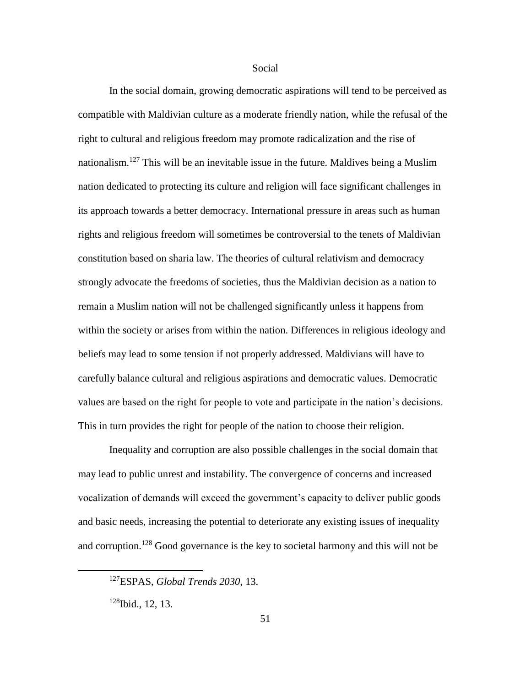## Social

In the social domain, growing democratic aspirations will tend to be perceived as compatible with Maldivian culture as a moderate friendly nation, while the refusal of the right to cultural and religious freedom may promote radicalization and the rise of nationalism.<sup>127</sup> This will be an inevitable issue in the future. Maldives being a Muslim nation dedicated to protecting its culture and religion will face significant challenges in its approach towards a better democracy. International pressure in areas such as human rights and religious freedom will sometimes be controversial to the tenets of Maldivian constitution based on sharia law. The theories of cultural relativism and democracy strongly advocate the freedoms of societies, thus the Maldivian decision as a nation to remain a Muslim nation will not be challenged significantly unless it happens from within the society or arises from within the nation. Differences in religious ideology and beliefs may lead to some tension if not properly addressed. Maldivians will have to carefully balance cultural and religious aspirations and democratic values. Democratic values are based on the right for people to vote and participate in the nation's decisions. This in turn provides the right for people of the nation to choose their religion.

Inequality and corruption are also possible challenges in the social domain that may lead to public unrest and instability. The convergence of concerns and increased vocalization of demands will exceed the government's capacity to deliver public goods and basic needs, increasing the potential to deteriorate any existing issues of inequality and corruption.<sup>128</sup> Good governance is the key to societal harmony and this will not be

<sup>127</sup>ESPAS, *Global Trends 2030*, 13.

 $128$ Ibid., 12, 13.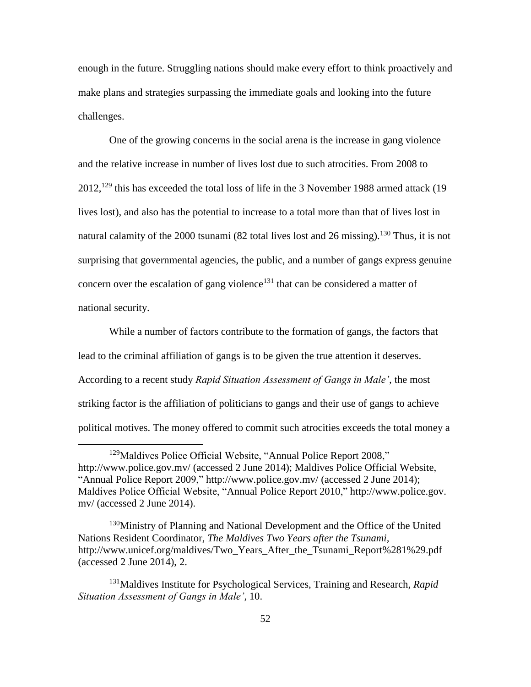enough in the future. Struggling nations should make every effort to think proactively and make plans and strategies surpassing the immediate goals and looking into the future challenges.

One of the growing concerns in the social arena is the increase in gang violence and the relative increase in number of lives lost due to such atrocities. From 2008 to 2012,<sup>129</sup> this has exceeded the total loss of life in the 3 November 1988 armed attack (19 lives lost), and also has the potential to increase to a total more than that of lives lost in natural calamity of the 2000 tsunami (82 total lives lost and 26 missing).<sup>130</sup> Thus, it is not surprising that governmental agencies, the public, and a number of gangs express genuine concern over the escalation of gang violence<sup>131</sup> that can be considered a matter of national security.

While a number of factors contribute to the formation of gangs, the factors that lead to the criminal affiliation of gangs is to be given the true attention it deserves. According to a recent study *Rapid Situation Assessment of Gangs in Male',* the most striking factor is the affiliation of politicians to gangs and their use of gangs to achieve political motives. The money offered to commit such atrocities exceeds the total money a

<sup>&</sup>lt;sup>129</sup>Maldives Police Official Website, "Annual Police Report 2008," http://www.police.gov.mv/ (accessed 2 June 2014); Maldives Police Official Website, "Annual Police Report 2009," http://www.police.gov.mv/ (accessed 2 June 2014); Maldives Police Official Website, "Annual Police Report 2010," http://www.police.gov. mv/ (accessed 2 June 2014).

<sup>&</sup>lt;sup>130</sup>Ministry of Planning and National Development and the Office of the United Nations Resident Coordinator, *The Maldives Two Years after the Tsunami,* http://www.unicef.org/maldives/Two\_Years\_After\_the\_Tsunami\_Report%281%29.pdf (accessed 2 June 2014), 2.

<sup>131</sup>Maldives Institute for Psychological Services, Training and Research, *Rapid Situation Assessment of Gangs in Male',* 10.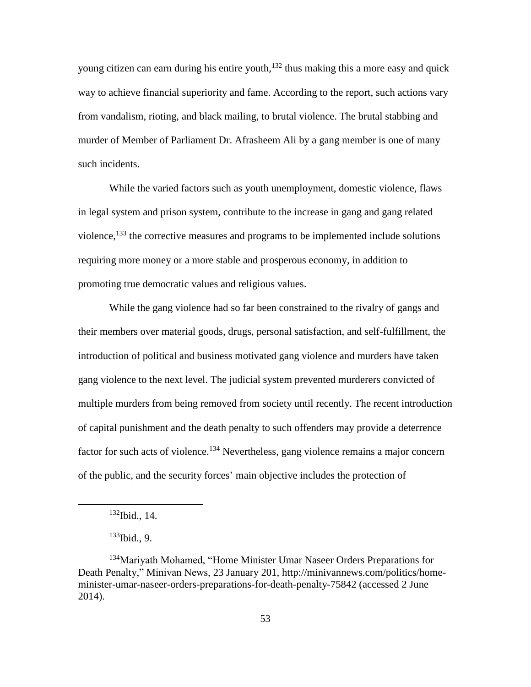young citizen can earn during his entire youth,<sup>132</sup> thus making this a more easy and quick way to achieve financial superiority and fame. According to the report, such actions vary from vandalism, rioting, and black mailing, to brutal violence. The brutal stabbing and murder of Member of Parliament Dr. Afrasheem Ali by a gang member is one of many such incidents.

While the varied factors such as youth unemployment, domestic violence, flaws in legal system and prison system, contribute to the increase in gang and gang related violence,<sup>133</sup> the corrective measures and programs to be implemented include solutions requiring more money or a more stable and prosperous economy, in addition to promoting true democratic values and religious values.

While the gang violence had so far been constrained to the rivalry of gangs and their members over material goods, drugs, personal satisfaction, and self-fulfillment, the introduction of political and business motivated gang violence and murders have taken gang violence to the next level. The judicial system prevented murderers convicted of multiple murders from being removed from society until recently. The recent introduction of capital punishment and the death penalty to such offenders may provide a deterrence factor for such acts of violence.<sup>134</sup> Nevertheless, gang violence remains a major concern of the public, and the security forces' main objective includes the protection of

 $132$  Ibid., 14.

 $133$  Ibid., 9.

<sup>&</sup>lt;sup>134</sup>Mariyath Mohamed, "Home Minister Umar Naseer Orders Preparations for Death Penalty," Minivan News, 23 January 201, http://minivannews.com/politics/homeminister-umar-naseer-orders-preparations-for-death-penalty-75842 (accessed 2 June 2014).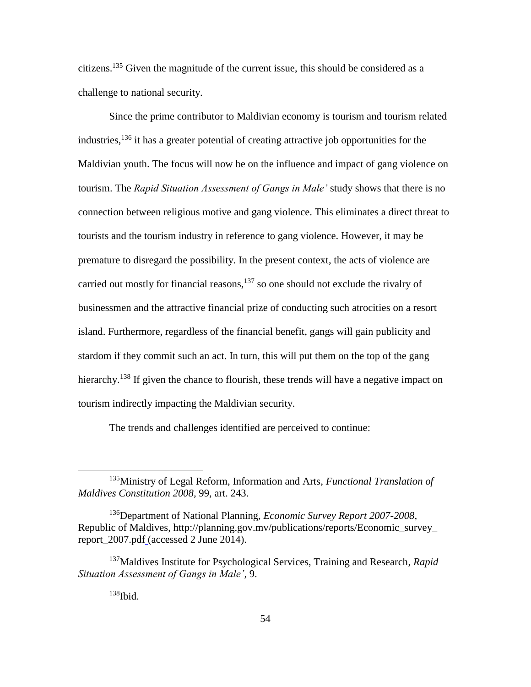citizens.<sup>135</sup> Given the magnitude of the current issue, this should be considered as a challenge to national security.

Since the prime contributor to Maldivian economy is tourism and tourism related industries, <sup>136</sup> it has a greater potential of creating attractive job opportunities for the Maldivian youth. The focus will now be on the influence and impact of gang violence on tourism. The *Rapid Situation Assessment of Gangs in Male'* study shows that there is no connection between religious motive and gang violence. This eliminates a direct threat to tourists and the tourism industry in reference to gang violence. However, it may be premature to disregard the possibility. In the present context, the acts of violence are carried out mostly for financial reasons, <sup>137</sup> so one should not exclude the rivalry of businessmen and the attractive financial prize of conducting such atrocities on a resort island. Furthermore, regardless of the financial benefit, gangs will gain publicity and stardom if they commit such an act. In turn, this will put them on the top of the gang hierarchy.<sup>138</sup> If given the chance to flourish, these trends will have a negative impact on tourism indirectly impacting the Maldivian security.

The trends and challenges identified are perceived to continue:

<sup>135</sup>Ministry of Legal Reform, Information and Arts, *Functional Translation of Maldives Constitution 2008,* 99, art. 243.

<sup>136</sup>Department of National Planning, *Economic Survey Report 2007-2008*, Republic of Maldives, http://planning.gov.mv/publications/reports/Economic\_survey\_ report\_2007.pdf (accessed 2 June 2014).

<sup>137</sup>Maldives Institute for Psychological Services, Training and Research, *Rapid Situation Assessment of Gangs in Male',* 9.

 $138$ Ibid.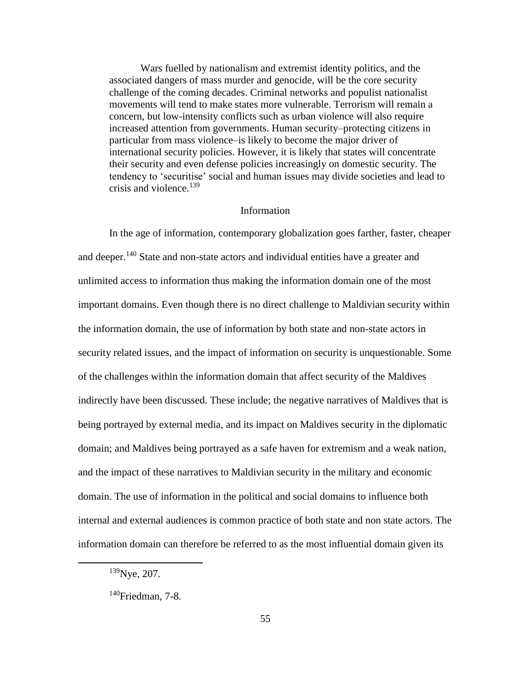Wars fuelled by nationalism and extremist identity politics, and the associated dangers of mass murder and genocide, will be the core security challenge of the coming decades. Criminal networks and populist nationalist movements will tend to make states more vulnerable. Terrorism will remain a concern, but low-intensity conflicts such as urban violence will also require increased attention from governments. Human security–protecting citizens in particular from mass violence–is likely to become the major driver of international security policies. However, it is likely that states will concentrate their security and even defense policies increasingly on domestic security. The tendency to 'securitise' social and human issues may divide societies and lead to crisis and violence.<sup>139</sup>

#### Information

In the age of information, contemporary globalization goes farther, faster, cheaper and deeper.<sup>140</sup> State and non-state actors and individual entities have a greater and unlimited access to information thus making the information domain one of the most important domains. Even though there is no direct challenge to Maldivian security within the information domain, the use of information by both state and non-state actors in security related issues, and the impact of information on security is unquestionable. Some of the challenges within the information domain that affect security of the Maldives indirectly have been discussed. These include; the negative narratives of Maldives that is being portrayed by external media, and its impact on Maldives security in the diplomatic domain; and Maldives being portrayed as a safe haven for extremism and a weak nation, and the impact of these narratives to Maldivian security in the military and economic domain. The use of information in the political and social domains to influence both internal and external audiences is common practice of both state and non state actors. The information domain can therefore be referred to as the most influential domain given its

<sup>139</sup>Nye, 207.

 $140$ Friedman, 7-8.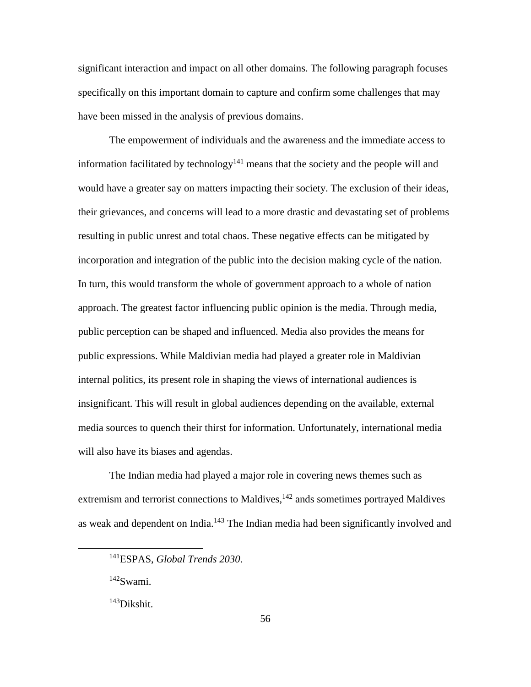significant interaction and impact on all other domains. The following paragraph focuses specifically on this important domain to capture and confirm some challenges that may have been missed in the analysis of previous domains.

The empowerment of individuals and the awareness and the immediate access to information facilitated by technology<sup>141</sup> means that the society and the people will and would have a greater say on matters impacting their society. The exclusion of their ideas, their grievances, and concerns will lead to a more drastic and devastating set of problems resulting in public unrest and total chaos. These negative effects can be mitigated by incorporation and integration of the public into the decision making cycle of the nation. In turn, this would transform the whole of government approach to a whole of nation approach. The greatest factor influencing public opinion is the media. Through media, public perception can be shaped and influenced. Media also provides the means for public expressions. While Maldivian media had played a greater role in Maldivian internal politics, its present role in shaping the views of international audiences is insignificant. This will result in global audiences depending on the available, external media sources to quench their thirst for information. Unfortunately, international media will also have its biases and agendas.

The Indian media had played a major role in covering news themes such as extremism and terrorist connections to Maldives, <sup>142</sup> ands sometimes portrayed Maldives as weak and dependent on India.<sup>143</sup> The Indian media had been significantly involved and

<sup>141</sup>ESPAS, *Global Trends 2030*.

<sup>142</sup>Swami.

<sup>143</sup>Dikshit.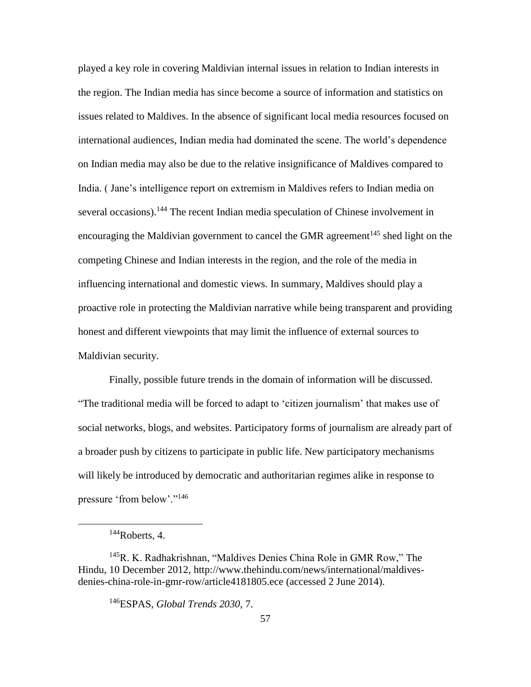played a key role in covering Maldivian internal issues in relation to Indian interests in the region. The Indian media has since become a source of information and statistics on issues related to Maldives. In the absence of significant local media resources focused on international audiences, Indian media had dominated the scene. The world's dependence on Indian media may also be due to the relative insignificance of Maldives compared to India. ( Jane's intelligence report on extremism in Maldives refers to Indian media on several occasions).<sup>144</sup> The recent Indian media speculation of Chinese involvement in encouraging the Maldivian government to cancel the GMR agreement<sup>145</sup> shed light on the competing Chinese and Indian interests in the region, and the role of the media in influencing international and domestic views. In summary, Maldives should play a proactive role in protecting the Maldivian narrative while being transparent and providing honest and different viewpoints that may limit the influence of external sources to Maldivian security.

Finally, possible future trends in the domain of information will be discussed. "The traditional media will be forced to adapt to 'citizen journalism' that makes use of social networks, blogs, and websites. Participatory forms of journalism are already part of a broader push by citizens to participate in public life. New participatory mechanisms will likely be introduced by democratic and authoritarian regimes alike in response to pressure 'from below'."<sup>146</sup>

 $144$ Roberts, 4.

<sup>145</sup>R. K. Radhakrishnan, "Maldives Denies China Role in GMR Row," The Hindu, 10 December 2012, http://www.thehindu.com/news/international/maldivesdenies-china-role-in-gmr-row/article4181805.ece (accessed 2 June 2014).

<sup>146</sup>ESPAS, *Global Trends 2030*, 7.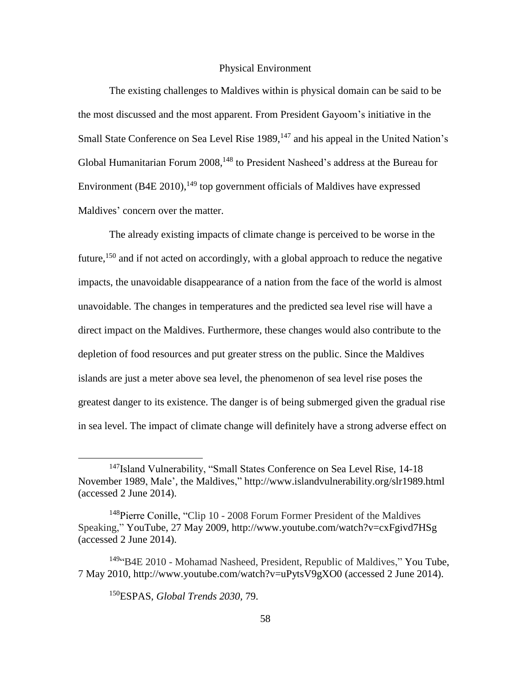## Physical Environment

The existing challenges to Maldives within is physical domain can be said to be the most discussed and the most apparent. From President Gayoom's initiative in the Small State Conference on Sea Level Rise 1989,<sup>147</sup> and his appeal in the United Nation's Global Humanitarian Forum 2008,<sup>148</sup> to President Nasheed's address at the Bureau for Environment  $(B4E 2010)$ ,  $^{149}$  top government officials of Maldives have expressed Maldives' concern over the matter.

The already existing impacts of climate change is perceived to be worse in the future,<sup>150</sup> and if not acted on accordingly, with a global approach to reduce the negative impacts, the unavoidable disappearance of a nation from the face of the world is almost unavoidable. The changes in temperatures and the predicted sea level rise will have a direct impact on the Maldives. Furthermore, these changes would also contribute to the depletion of food resources and put greater stress on the public. Since the Maldives islands are just a meter above sea level, the phenomenon of sea level rise poses the greatest danger to its existence. The danger is of being submerged given the gradual rise in sea level. The impact of climate change will definitely have a strong adverse effect on

<sup>150</sup>ESPAS, *Global Trends 2030,* 79.

<sup>&</sup>lt;sup>147</sup>Island Vulnerability, "Small States Conference on Sea Level Rise, 14-18 November 1989, Male', the Maldives," http://www.islandvulnerability.org/slr1989.html (accessed 2 June 2014).

<sup>&</sup>lt;sup>148</sup>Pierre Conille, "Clip 10 - 2008 Forum Former President of the Maldives Speaking," YouTube, 27 May 2009, http://www.youtube.com/watch?v=cxFgivd7HSg (accessed 2 June 2014).

<sup>&</sup>lt;sup>149</sup>"B4E 2010 - Mohamad Nasheed, President, Republic of Maldives," You Tube, 7 May 2010, http://www.youtube.com/watch?v=uPytsV9gXO0 (accessed 2 June 2014).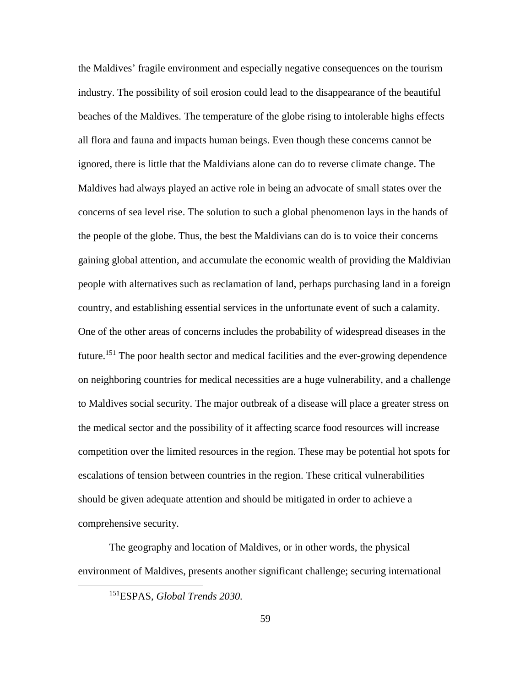the Maldives' fragile environment and especially negative consequences on the tourism industry. The possibility of soil erosion could lead to the disappearance of the beautiful beaches of the Maldives. The temperature of the globe rising to intolerable highs effects all flora and fauna and impacts human beings. Even though these concerns cannot be ignored, there is little that the Maldivians alone can do to reverse climate change. The Maldives had always played an active role in being an advocate of small states over the concerns of sea level rise. The solution to such a global phenomenon lays in the hands of the people of the globe. Thus, the best the Maldivians can do is to voice their concerns gaining global attention, and accumulate the economic wealth of providing the Maldivian people with alternatives such as reclamation of land, perhaps purchasing land in a foreign country, and establishing essential services in the unfortunate event of such a calamity. One of the other areas of concerns includes the probability of widespread diseases in the future.<sup>151</sup> The poor health sector and medical facilities and the ever-growing dependence on neighboring countries for medical necessities are a huge vulnerability, and a challenge to Maldives social security. The major outbreak of a disease will place a greater stress on the medical sector and the possibility of it affecting scarce food resources will increase competition over the limited resources in the region. These may be potential hot spots for escalations of tension between countries in the region. These critical vulnerabilities should be given adequate attention and should be mitigated in order to achieve a comprehensive security.

The geography and location of Maldives, or in other words, the physical environment of Maldives, presents another significant challenge; securing international

<sup>151</sup>ESPAS, *Global Trends 2030.*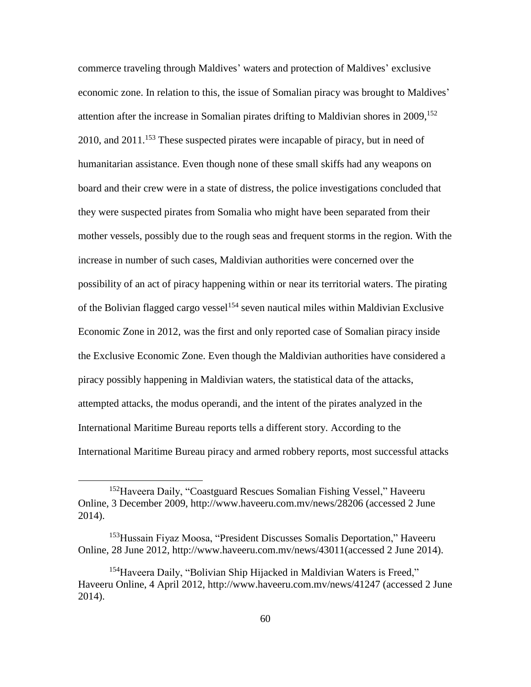commerce traveling through Maldives' waters and protection of Maldives' exclusive economic zone. In relation to this, the issue of Somalian piracy was brought to Maldives' attention after the increase in Somalian pirates drifting to Maldivian shores in 2009, 152 2010, and  $2011$ .<sup>153</sup> These suspected pirates were incapable of piracy, but in need of humanitarian assistance. Even though none of these small skiffs had any weapons on board and their crew were in a state of distress, the police investigations concluded that they were suspected pirates from Somalia who might have been separated from their mother vessels, possibly due to the rough seas and frequent storms in the region. With the increase in number of such cases, Maldivian authorities were concerned over the possibility of an act of piracy happening within or near its territorial waters. The pirating of the Bolivian flagged cargo vessel<sup>154</sup> seven nautical miles within Maldivian Exclusive Economic Zone in 2012, was the first and only reported case of Somalian piracy inside the Exclusive Economic Zone. Even though the Maldivian authorities have considered a piracy possibly happening in Maldivian waters, the statistical data of the attacks, attempted attacks, the modus operandi, and the intent of the pirates analyzed in the International Maritime Bureau reports tells a different story. According to the International Maritime Bureau piracy and armed robbery reports, most successful attacks

<sup>152</sup>Haveera Daily, "Coastguard Rescues Somalian Fishing Vessel," Haveeru Online, 3 December 2009, http://www.haveeru.com.mv/news/28206 (accessed 2 June 2014).

<sup>153</sup>Hussain Fiyaz Moosa, "President Discusses Somalis Deportation," Haveeru Online, 28 June 2012, http://www.haveeru.com.mv/news/43011(accessed 2 June 2014).

<sup>&</sup>lt;sup>154</sup>Haveera Daily, "Bolivian Ship Hijacked in Maldivian Waters is Freed," Haveeru Online, 4 April 2012, http://www.haveeru.com.mv/news/41247 (accessed 2 June 2014).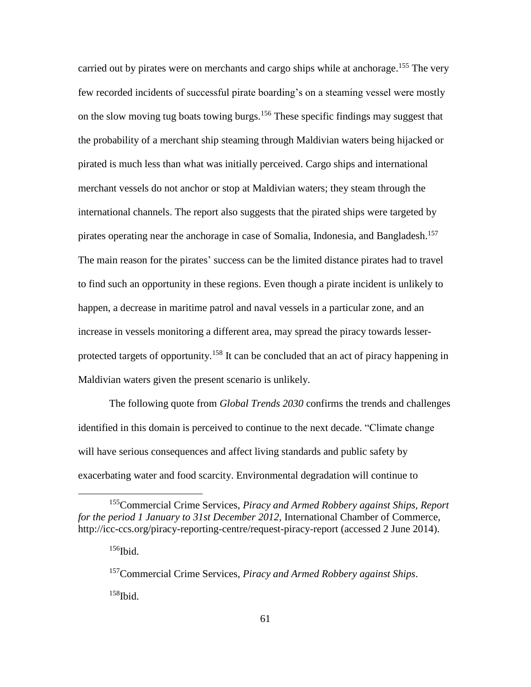carried out by pirates were on merchants and cargo ships while at anchorage.<sup>155</sup> The very few recorded incidents of successful pirate boarding's on a steaming vessel were mostly on the slow moving tug boats towing burgs.<sup>156</sup> These specific findings may suggest that the probability of a merchant ship steaming through Maldivian waters being hijacked or pirated is much less than what was initially perceived. Cargo ships and international merchant vessels do not anchor or stop at Maldivian waters; they steam through the international channels. The report also suggests that the pirated ships were targeted by pirates operating near the anchorage in case of Somalia, Indonesia, and Bangladesh.<sup>157</sup> The main reason for the pirates' success can be the limited distance pirates had to travel to find such an opportunity in these regions. Even though a pirate incident is unlikely to happen, a decrease in maritime patrol and naval vessels in a particular zone, and an increase in vessels monitoring a different area, may spread the piracy towards lesserprotected targets of opportunity.<sup>158</sup> It can be concluded that an act of piracy happening in Maldivian waters given the present scenario is unlikely.

The following quote from *Global Trends 2030* confirms the trends and challenges identified in this domain is perceived to continue to the next decade. "Climate change will have serious consequences and affect living standards and public safety by exacerbating water and food scarcity. Environmental degradation will continue to

 $156$ Ibid.

<sup>155</sup>Commercial Crime Services, *Piracy and Armed Robbery against Ships, Report for the period 1 January to 31st December 2012*, International Chamber of Commerce, http://icc-ccs.org/piracy-reporting-centre/request-piracy-report (accessed 2 June 2014).

<sup>157</sup>Commercial Crime Services, *Piracy and Armed Robbery against Ships*. <sup>158</sup>Ibid.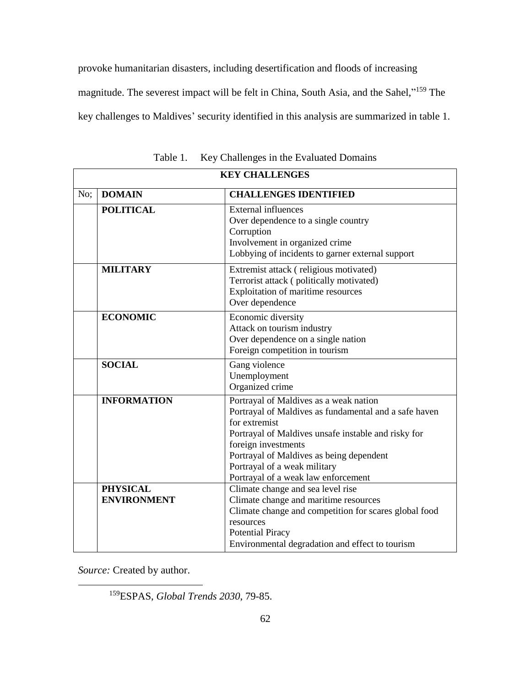provoke humanitarian disasters, including desertification and floods of increasing magnitude. The severest impact will be felt in China, South Asia, and the Sahel,"<sup>159</sup> The key challenges to Maldives' security identified in this analysis are summarized in table 1.

| <b>KEY CHALLENGES</b> |                                       |                                                                                                                                                                                                                                                                                                                   |
|-----------------------|---------------------------------------|-------------------------------------------------------------------------------------------------------------------------------------------------------------------------------------------------------------------------------------------------------------------------------------------------------------------|
| No;                   | <b>DOMAIN</b>                         | <b>CHALLENGES IDENTIFIED</b>                                                                                                                                                                                                                                                                                      |
|                       | <b>POLITICAL</b>                      | <b>External influences</b><br>Over dependence to a single country<br>Corruption<br>Involvement in organized crime<br>Lobbying of incidents to garner external support                                                                                                                                             |
|                       | <b>MILITARY</b>                       | Extremist attack (religious motivated)<br>Terrorist attack (politically motivated)<br>Exploitation of maritime resources<br>Over dependence                                                                                                                                                                       |
|                       | <b>ECONOMIC</b>                       | Economic diversity<br>Attack on tourism industry<br>Over dependence on a single nation<br>Foreign competition in tourism                                                                                                                                                                                          |
|                       | <b>SOCIAL</b>                         | Gang violence<br>Unemployment<br>Organized crime                                                                                                                                                                                                                                                                  |
|                       | <b>INFORMATION</b>                    | Portrayal of Maldives as a weak nation<br>Portrayal of Maldives as fundamental and a safe haven<br>for extremist<br>Portrayal of Maldives unsafe instable and risky for<br>foreign investments<br>Portrayal of Maldives as being dependent<br>Portrayal of a weak military<br>Portrayal of a weak law enforcement |
|                       | <b>PHYSICAL</b><br><b>ENVIRONMENT</b> | Climate change and sea level rise<br>Climate change and maritime resources<br>Climate change and competition for scares global food<br>resources<br><b>Potential Piracy</b><br>Environmental degradation and effect to tourism                                                                                    |

Table 1. Key Challenges in the Evaluated Domains

*Source:* Created by author.

 $\overline{a}$ 

<sup>159</sup>ESPAS, *Global Trends 2030*, 79-85.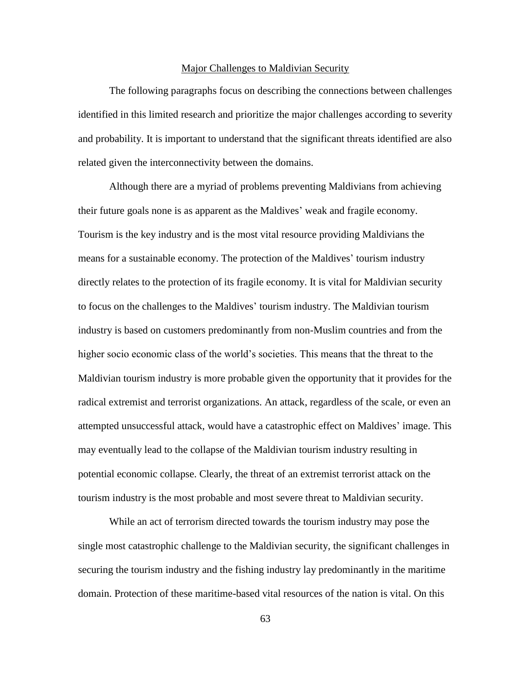#### Major Challenges to Maldivian Security

The following paragraphs focus on describing the connections between challenges identified in this limited research and prioritize the major challenges according to severity and probability. It is important to understand that the significant threats identified are also related given the interconnectivity between the domains.

Although there are a myriad of problems preventing Maldivians from achieving their future goals none is as apparent as the Maldives' weak and fragile economy. Tourism is the key industry and is the most vital resource providing Maldivians the means for a sustainable economy. The protection of the Maldives' tourism industry directly relates to the protection of its fragile economy. It is vital for Maldivian security to focus on the challenges to the Maldives' tourism industry. The Maldivian tourism industry is based on customers predominantly from non-Muslim countries and from the higher socio economic class of the world's societies. This means that the threat to the Maldivian tourism industry is more probable given the opportunity that it provides for the radical extremist and terrorist organizations. An attack, regardless of the scale, or even an attempted unsuccessful attack, would have a catastrophic effect on Maldives' image. This may eventually lead to the collapse of the Maldivian tourism industry resulting in potential economic collapse. Clearly, the threat of an extremist terrorist attack on the tourism industry is the most probable and most severe threat to Maldivian security.

While an act of terrorism directed towards the tourism industry may pose the single most catastrophic challenge to the Maldivian security, the significant challenges in securing the tourism industry and the fishing industry lay predominantly in the maritime domain. Protection of these maritime-based vital resources of the nation is vital. On this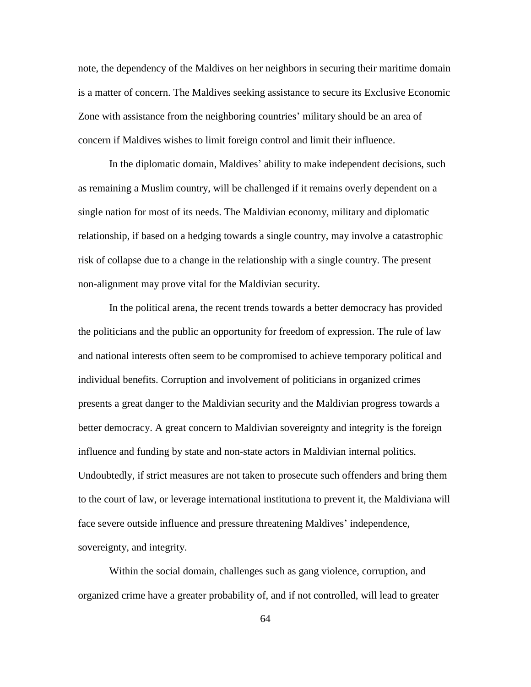note, the dependency of the Maldives on her neighbors in securing their maritime domain is a matter of concern. The Maldives seeking assistance to secure its Exclusive Economic Zone with assistance from the neighboring countries' military should be an area of concern if Maldives wishes to limit foreign control and limit their influence.

In the diplomatic domain, Maldives' ability to make independent decisions, such as remaining a Muslim country, will be challenged if it remains overly dependent on a single nation for most of its needs. The Maldivian economy, military and diplomatic relationship, if based on a hedging towards a single country, may involve a catastrophic risk of collapse due to a change in the relationship with a single country. The present non-alignment may prove vital for the Maldivian security.

In the political arena, the recent trends towards a better democracy has provided the politicians and the public an opportunity for freedom of expression. The rule of law and national interests often seem to be compromised to achieve temporary political and individual benefits. Corruption and involvement of politicians in organized crimes presents a great danger to the Maldivian security and the Maldivian progress towards a better democracy. A great concern to Maldivian sovereignty and integrity is the foreign influence and funding by state and non-state actors in Maldivian internal politics. Undoubtedly, if strict measures are not taken to prosecute such offenders and bring them to the court of law, or leverage international institutiona to prevent it, the Maldiviana will face severe outside influence and pressure threatening Maldives' independence, sovereignty, and integrity.

Within the social domain, challenges such as gang violence, corruption, and organized crime have a greater probability of, and if not controlled, will lead to greater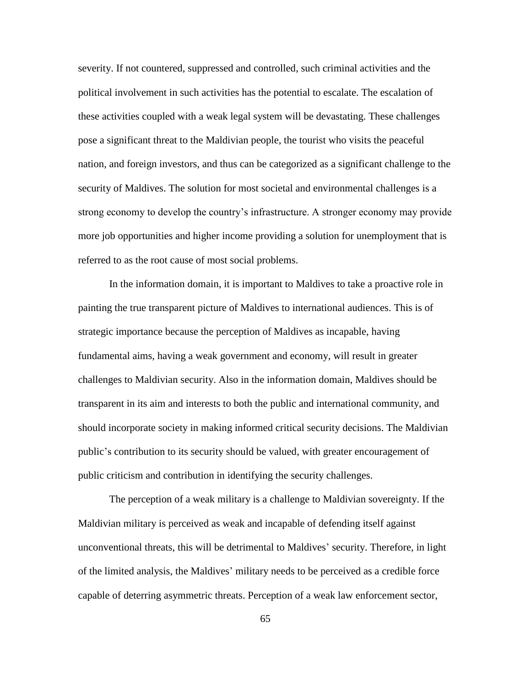severity. If not countered, suppressed and controlled, such criminal activities and the political involvement in such activities has the potential to escalate. The escalation of these activities coupled with a weak legal system will be devastating. These challenges pose a significant threat to the Maldivian people, the tourist who visits the peaceful nation, and foreign investors, and thus can be categorized as a significant challenge to the security of Maldives. The solution for most societal and environmental challenges is a strong economy to develop the country's infrastructure. A stronger economy may provide more job opportunities and higher income providing a solution for unemployment that is referred to as the root cause of most social problems.

In the information domain, it is important to Maldives to take a proactive role in painting the true transparent picture of Maldives to international audiences. This is of strategic importance because the perception of Maldives as incapable, having fundamental aims, having a weak government and economy, will result in greater challenges to Maldivian security. Also in the information domain, Maldives should be transparent in its aim and interests to both the public and international community, and should incorporate society in making informed critical security decisions. The Maldivian public's contribution to its security should be valued, with greater encouragement of public criticism and contribution in identifying the security challenges.

The perception of a weak military is a challenge to Maldivian sovereignty. If the Maldivian military is perceived as weak and incapable of defending itself against unconventional threats, this will be detrimental to Maldives' security. Therefore, in light of the limited analysis, the Maldives' military needs to be perceived as a credible force capable of deterring asymmetric threats. Perception of a weak law enforcement sector,

65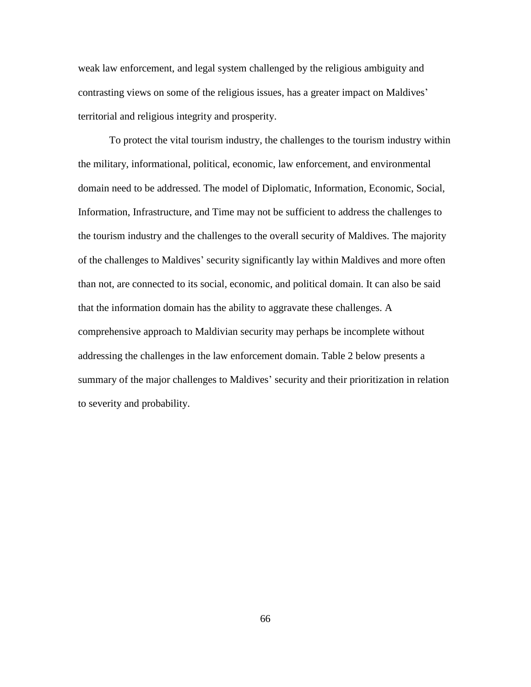weak law enforcement, and legal system challenged by the religious ambiguity and contrasting views on some of the religious issues, has a greater impact on Maldives' territorial and religious integrity and prosperity.

To protect the vital tourism industry, the challenges to the tourism industry within the military, informational, political, economic, law enforcement, and environmental domain need to be addressed. The model of Diplomatic, Information, Economic, Social, Information, Infrastructure, and Time may not be sufficient to address the challenges to the tourism industry and the challenges to the overall security of Maldives. The majority of the challenges to Maldives' security significantly lay within Maldives and more often than not, are connected to its social, economic, and political domain. It can also be said that the information domain has the ability to aggravate these challenges. A comprehensive approach to Maldivian security may perhaps be incomplete without addressing the challenges in the law enforcement domain. Table 2 below presents a summary of the major challenges to Maldives' security and their prioritization in relation to severity and probability.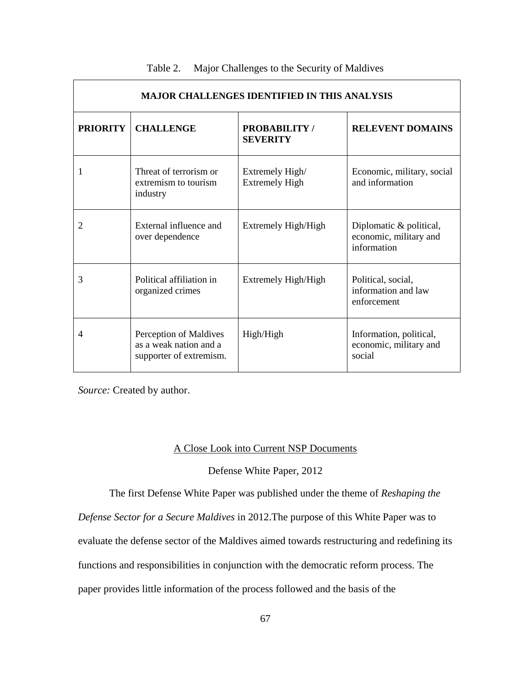| <b>MAJOR CHALLENGES IDENTIFIED IN THIS ANALYSIS</b> |                                                                             |                                          |                                                                  |  |  |  |
|-----------------------------------------------------|-----------------------------------------------------------------------------|------------------------------------------|------------------------------------------------------------------|--|--|--|
| <b>PRIORITY</b>                                     | <b>CHALLENGE</b>                                                            | <b>PROBABILITY</b> /<br><b>SEVERITY</b>  | <b>RELEVENT DOMAINS</b>                                          |  |  |  |
|                                                     | Threat of terrorism or<br>extremism to tourism<br>industry                  | Extremely High/<br><b>Extremely High</b> | Economic, military, social<br>and information                    |  |  |  |
| $\overline{2}$                                      | External influence and<br>over dependence                                   | Extremely High/High                      | Diplomatic & political,<br>economic, military and<br>information |  |  |  |
| 3                                                   | Political affiliation in<br>organized crimes                                | Extremely High/High                      | Political, social,<br>information and law<br>enforcement         |  |  |  |
| $\overline{4}$                                      | Perception of Maldives<br>as a weak nation and a<br>supporter of extremism. | High/High                                | Information, political,<br>economic, military and<br>social      |  |  |  |

| Table 2. |  | Major Challenges to the Security of Maldives |
|----------|--|----------------------------------------------|
|          |  |                                              |

٦

*Source:* Created by author.

## A Close Look into Current NSP Documents

# Defense White Paper, 2012

The first Defense White Paper was published under the theme of *Reshaping the* 

*Defense Sector for a Secure Maldives* in 2012.The purpose of this White Paper was to

evaluate the defense sector of the Maldives aimed towards restructuring and redefining its

functions and responsibilities in conjunction with the democratic reform process. The

paper provides little information of the process followed and the basis of the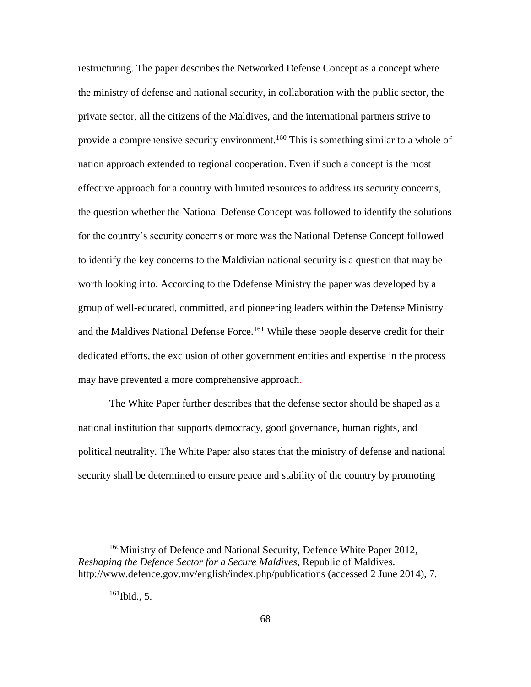restructuring. The paper describes the Networked Defense Concept as a concept where the ministry of defense and national security, in collaboration with the public sector, the private sector, all the citizens of the Maldives, and the international partners strive to provide a comprehensive security environment.<sup>160</sup> This is something similar to a whole of nation approach extended to regional cooperation. Even if such a concept is the most effective approach for a country with limited resources to address its security concerns, the question whether the National Defense Concept was followed to identify the solutions for the country's security concerns or more was the National Defense Concept followed to identify the key concerns to the Maldivian national security is a question that may be worth looking into. According to the Ddefense Ministry the paper was developed by a group of well-educated, committed, and pioneering leaders within the Defense Ministry and the Maldives National Defense Force.<sup>161</sup> While these people deserve credit for their dedicated efforts, the exclusion of other government entities and expertise in the process may have prevented a more comprehensive approach.

The White Paper further describes that the defense sector should be shaped as a national institution that supports democracy, good governance, human rights, and political neutrality. The White Paper also states that the ministry of defense and national security shall be determined to ensure peace and stability of the country by promoting

<sup>160</sup>Ministry of Defence and National Security, Defence White Paper 2012, *Reshaping the Defence Sector for a Secure Maldives,* Republic of Maldives. http://www.defence.gov.mv/english/index.php/publications (accessed 2 June 2014), 7.

 $161$  Ibid., 5.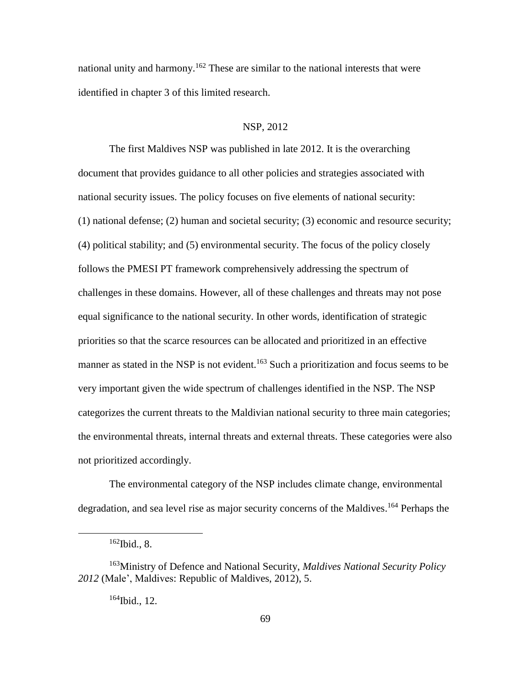national unity and harmony.<sup>162</sup> These are similar to the national interests that were identified in chapter 3 of this limited research.

### NSP, 2012

The first Maldives NSP was published in late 2012. It is the overarching document that provides guidance to all other policies and strategies associated with national security issues. The policy focuses on five elements of national security: (1) national defense; (2) human and societal security; (3) economic and resource security; (4) political stability; and (5) environmental security. The focus of the policy closely follows the PMESI PT framework comprehensively addressing the spectrum of challenges in these domains. However, all of these challenges and threats may not pose equal significance to the national security. In other words, identification of strategic priorities so that the scarce resources can be allocated and prioritized in an effective manner as stated in the NSP is not evident.<sup>163</sup> Such a prioritization and focus seems to be very important given the wide spectrum of challenges identified in the NSP. The NSP categorizes the current threats to the Maldivian national security to three main categories; the environmental threats, internal threats and external threats. These categories were also not prioritized accordingly.

The environmental category of the NSP includes climate change, environmental degradation, and sea level rise as major security concerns of the Maldives. <sup>164</sup> Perhaps the

 $162$  Ibid., 8.

<sup>163</sup>Ministry of Defence and National Security, *Maldives National Security Policy 2012* (Male', Maldives: Republic of Maldives, 2012), 5.

 $164$  Ibid., 12.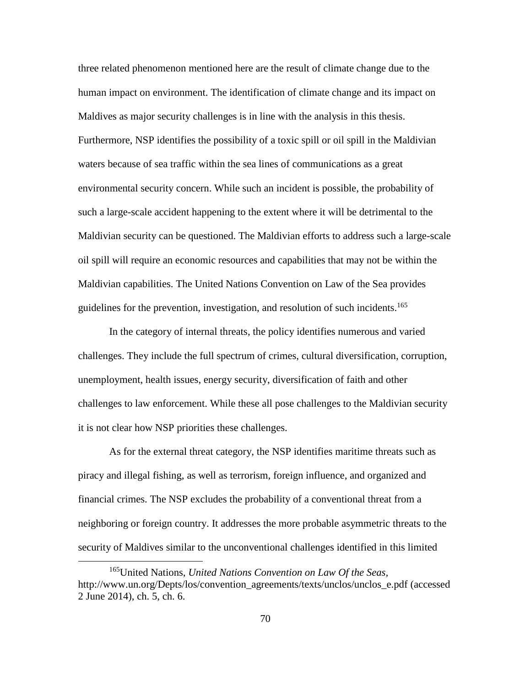three related phenomenon mentioned here are the result of climate change due to the human impact on environment. The identification of climate change and its impact on Maldives as major security challenges is in line with the analysis in this thesis. Furthermore, NSP identifies the possibility of a toxic spill or oil spill in the Maldivian waters because of sea traffic within the sea lines of communications as a great environmental security concern. While such an incident is possible, the probability of such a large-scale accident happening to the extent where it will be detrimental to the Maldivian security can be questioned. The Maldivian efforts to address such a large-scale oil spill will require an economic resources and capabilities that may not be within the Maldivian capabilities. The United Nations Convention on Law of the Sea provides guidelines for the prevention, investigation, and resolution of such incidents.<sup>165</sup>

In the category of internal threats, the policy identifies numerous and varied challenges. They include the full spectrum of crimes, cultural diversification, corruption, unemployment, health issues, energy security, diversification of faith and other challenges to law enforcement. While these all pose challenges to the Maldivian security it is not clear how NSP priorities these challenges.

As for the external threat category, the NSP identifies maritime threats such as piracy and illegal fishing, as well as terrorism, foreign influence, and organized and financial crimes. The NSP excludes the probability of a conventional threat from a neighboring or foreign country. It addresses the more probable asymmetric threats to the security of Maldives similar to the unconventional challenges identified in this limited

<sup>165</sup>United Nations, *United Nations Convention on Law Of the Seas,* http://www.un.org/Depts/los/convention\_agreements/texts/unclos/unclos\_e.pdf (accessed 2 June 2014), ch. 5, ch. 6.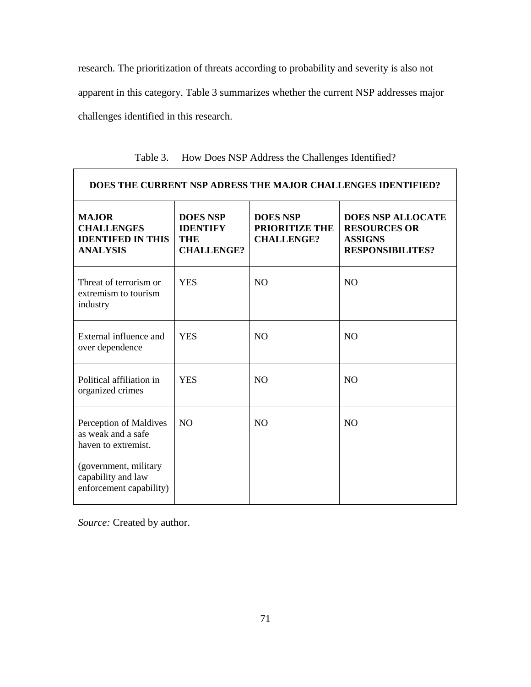research. The prioritization of threats according to probability and severity is also not apparent in this category. Table 3 summarizes whether the current NSP addresses major challenges identified in this research.

| DOES THE CURRENT NSP ADRESS THE MAJOR CHALLENGES IDENTIFIED?                     |                                                                |                                                               |                                                                                              |  |  |  |  |
|----------------------------------------------------------------------------------|----------------------------------------------------------------|---------------------------------------------------------------|----------------------------------------------------------------------------------------------|--|--|--|--|
| <b>MAJOR</b><br><b>CHALLENGES</b><br><b>IDENTIFED IN THIS</b><br><b>ANALYSIS</b> | <b>DOES NSP</b><br><b>IDENTIFY</b><br>THE<br><b>CHALLENGE?</b> | <b>DOES NSP</b><br><b>PRIORITIZE THE</b><br><b>CHALLENGE?</b> | <b>DOES NSP ALLOCATE</b><br><b>RESOURCES OR</b><br><b>ASSIGNS</b><br><b>RESPONSIBILITES?</b> |  |  |  |  |
| Threat of terrorism or<br>extremism to tourism<br>industry                       | <b>YES</b>                                                     | N <sub>O</sub>                                                | N <sub>O</sub>                                                                               |  |  |  |  |
| External influence and<br>over dependence                                        | <b>YES</b>                                                     | N <sub>O</sub>                                                | N <sub>O</sub>                                                                               |  |  |  |  |
| Political affiliation in<br>organized crimes                                     | <b>YES</b>                                                     | N <sub>O</sub>                                                | N <sub>O</sub>                                                                               |  |  |  |  |
| Perception of Maldives<br>as weak and a safe<br>haven to extremist.              | N <sub>O</sub>                                                 | N <sub>O</sub>                                                | N <sub>O</sub>                                                                               |  |  |  |  |
| (government, military<br>capability and law<br>enforcement capability)           |                                                                |                                                               |                                                                                              |  |  |  |  |

Table 3. How Does NSP Address the Challenges Identified?

*Source:* Created by author.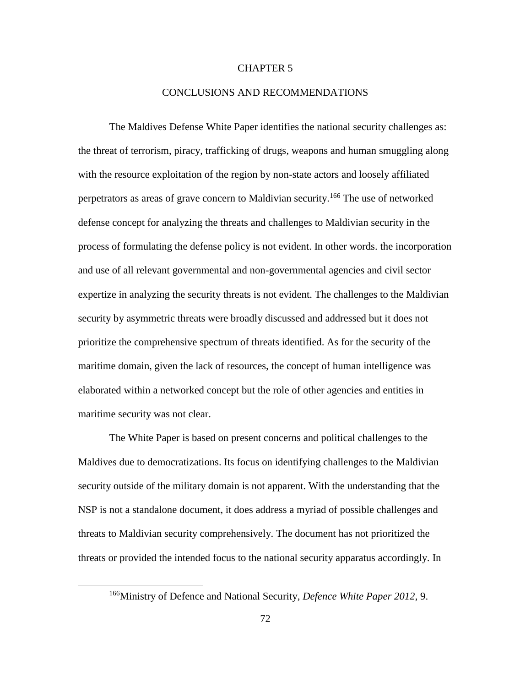## CHAPTER 5

### CONCLUSIONS AND RECOMMENDATIONS

The Maldives Defense White Paper identifies the national security challenges as: the threat of terrorism, piracy, trafficking of drugs, weapons and human smuggling along with the resource exploitation of the region by non-state actors and loosely affiliated perpetrators as areas of grave concern to Maldivian security.<sup>166</sup> The use of networked defense concept for analyzing the threats and challenges to Maldivian security in the process of formulating the defense policy is not evident. In other words. the incorporation and use of all relevant governmental and non-governmental agencies and civil sector expertize in analyzing the security threats is not evident. The challenges to the Maldivian security by asymmetric threats were broadly discussed and addressed but it does not prioritize the comprehensive spectrum of threats identified. As for the security of the maritime domain, given the lack of resources, the concept of human intelligence was elaborated within a networked concept but the role of other agencies and entities in maritime security was not clear.

The White Paper is based on present concerns and political challenges to the Maldives due to democratizations. Its focus on identifying challenges to the Maldivian security outside of the military domain is not apparent. With the understanding that the NSP is not a standalone document, it does address a myriad of possible challenges and threats to Maldivian security comprehensively. The document has not prioritized the threats or provided the intended focus to the national security apparatus accordingly. In

<sup>166</sup>Ministry of Defence and National Security, *Defence White Paper 2012*, 9.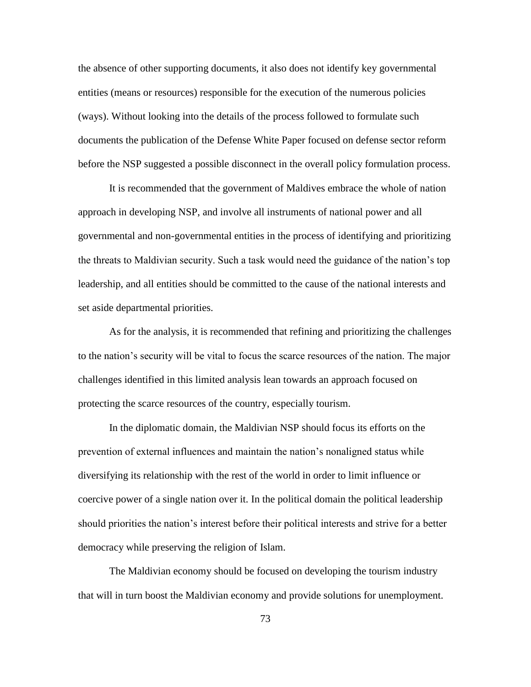the absence of other supporting documents, it also does not identify key governmental entities (means or resources) responsible for the execution of the numerous policies (ways). Without looking into the details of the process followed to formulate such documents the publication of the Defense White Paper focused on defense sector reform before the NSP suggested a possible disconnect in the overall policy formulation process.

It is recommended that the government of Maldives embrace the whole of nation approach in developing NSP, and involve all instruments of national power and all governmental and non-governmental entities in the process of identifying and prioritizing the threats to Maldivian security. Such a task would need the guidance of the nation's top leadership, and all entities should be committed to the cause of the national interests and set aside departmental priorities.

As for the analysis, it is recommended that refining and prioritizing the challenges to the nation's security will be vital to focus the scarce resources of the nation. The major challenges identified in this limited analysis lean towards an approach focused on protecting the scarce resources of the country, especially tourism.

In the diplomatic domain, the Maldivian NSP should focus its efforts on the prevention of external influences and maintain the nation's nonaligned status while diversifying its relationship with the rest of the world in order to limit influence or coercive power of a single nation over it. In the political domain the political leadership should priorities the nation's interest before their political interests and strive for a better democracy while preserving the religion of Islam.

The Maldivian economy should be focused on developing the tourism industry that will in turn boost the Maldivian economy and provide solutions for unemployment.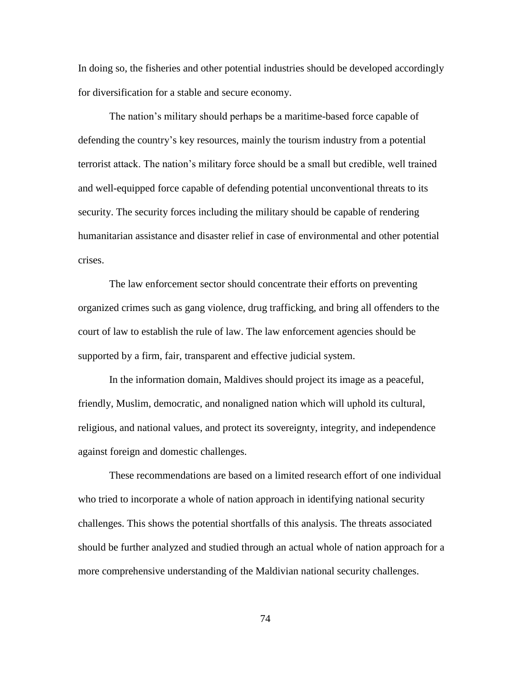In doing so, the fisheries and other potential industries should be developed accordingly for diversification for a stable and secure economy.

The nation's military should perhaps be a maritime-based force capable of defending the country's key resources, mainly the tourism industry from a potential terrorist attack. The nation's military force should be a small but credible, well trained and well-equipped force capable of defending potential unconventional threats to its security. The security forces including the military should be capable of rendering humanitarian assistance and disaster relief in case of environmental and other potential crises.

The law enforcement sector should concentrate their efforts on preventing organized crimes such as gang violence, drug trafficking, and bring all offenders to the court of law to establish the rule of law. The law enforcement agencies should be supported by a firm, fair, transparent and effective judicial system.

In the information domain, Maldives should project its image as a peaceful, friendly, Muslim, democratic, and nonaligned nation which will uphold its cultural, religious, and national values, and protect its sovereignty, integrity, and independence against foreign and domestic challenges.

These recommendations are based on a limited research effort of one individual who tried to incorporate a whole of nation approach in identifying national security challenges. This shows the potential shortfalls of this analysis. The threats associated should be further analyzed and studied through an actual whole of nation approach for a more comprehensive understanding of the Maldivian national security challenges.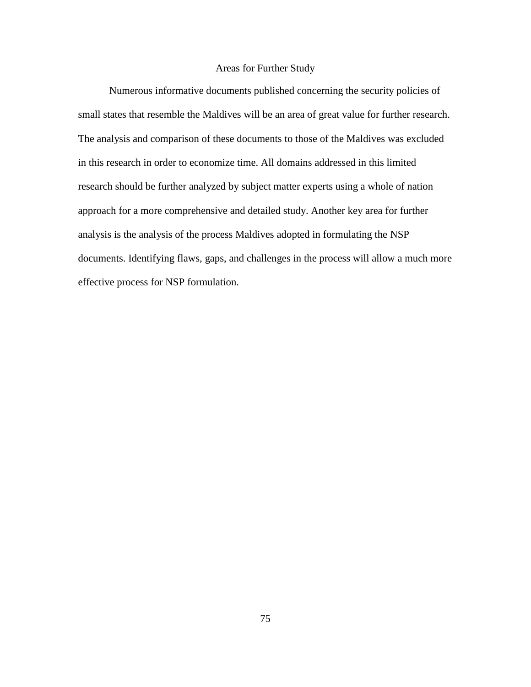## Areas for Further Study

Numerous informative documents published concerning the security policies of small states that resemble the Maldives will be an area of great value for further research. The analysis and comparison of these documents to those of the Maldives was excluded in this research in order to economize time. All domains addressed in this limited research should be further analyzed by subject matter experts using a whole of nation approach for a more comprehensive and detailed study. Another key area for further analysis is the analysis of the process Maldives adopted in formulating the NSP documents. Identifying flaws, gaps, and challenges in the process will allow a much more effective process for NSP formulation.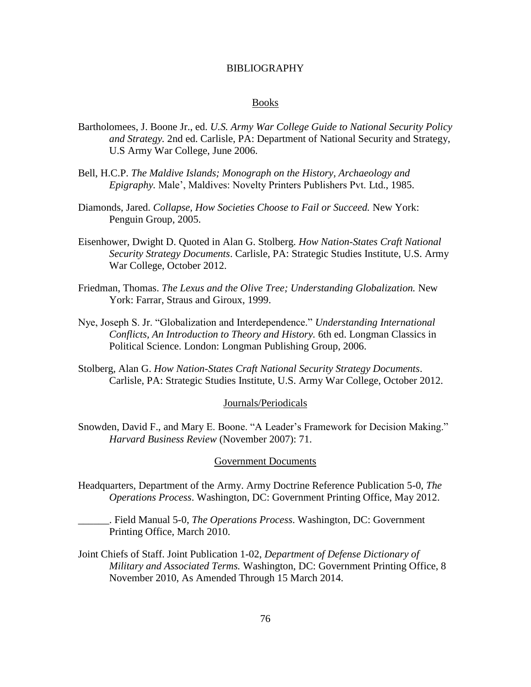### BIBLIOGRAPHY

#### Books

- Bartholomees, J. Boone Jr., ed. *U.S. Army War College Guide to National Security Policy and Strategy.* 2nd ed. Carlisle, PA: Department of National Security and Strategy, U.S Army War College, June 2006.
- Bell, H.C.P. *The Maldive Islands; Monograph on the History, Archaeology and Epigraphy.* Male', Maldives: Novelty Printers Publishers Pvt. Ltd., 1985.
- Diamonds, Jared. *Collapse, How Societies Choose to Fail or Succeed.* New York: Penguin Group, 2005.
- Eisenhower, Dwight D. Quoted in Alan G. Stolberg. *How Nation-States Craft National Security Strategy Documents*. Carlisle, PA: Strategic Studies Institute, U.S. Army War College, October 2012.
- Friedman, Thomas. *The Lexus and the Olive Tree; Understanding Globalization.* New York: Farrar, Straus and Giroux, 1999.
- Nye, Joseph S. Jr. "Globalization and Interdependence." *Understanding International Conflicts, An Introduction to Theory and History.* 6th ed. Longman Classics in Political Science. London: Longman Publishing Group, 2006.
- Stolberg, Alan G. *How Nation-States Craft National Security Strategy Documents*. Carlisle, PA: Strategic Studies Institute, U.S. Army War College, October 2012.

#### Journals/Periodicals

Snowden, David F., and Mary E. Boone. "A Leader's Framework for Decision Making." *Harvard Business Review* (November 2007): 71.

#### Government Documents

Headquarters, Department of the Army. Army Doctrine Reference Publication 5-0, *The Operations Process*. Washington, DC: Government Printing Office, May 2012.

\_\_\_\_\_\_. Field Manual 5-0, *The Operations Process*. Washington, DC: Government Printing Office, March 2010.

Joint Chiefs of Staff. Joint Publication 1-02, *Department of Defense Dictionary of Military and Associated Terms.* Washington, DC: Government Printing Office, 8 November 2010, As Amended Through 15 March 2014.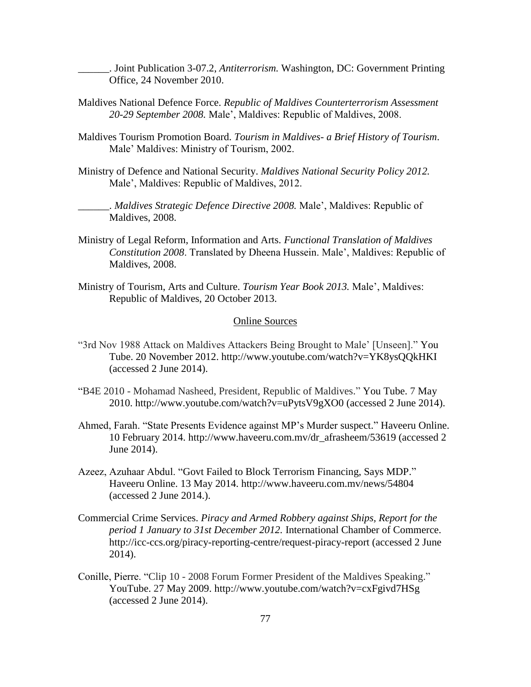\_\_\_\_\_\_. Joint Publication 3-07.2, *Antiterrorism.* Washington, DC: Government Printing Office, 24 November 2010.

- Maldives National Defence Force. *Republic of Maldives Counterterrorism Assessment 20-29 September 2008.* Male', Maldives: Republic of Maldives, 2008.
- Maldives Tourism Promotion Board. *Tourism in Maldives- a Brief History of Tourism*. Male' Maldives: Ministry of Tourism, 2002.
- Ministry of Defence and National Security. *Maldives National Security Policy 2012.* Male', Maldives: Republic of Maldives, 2012.

\_\_\_\_\_\_. *Maldives Strategic Defence Directive 2008.* Male', Maldives: Republic of Maldives, 2008.

- Ministry of Legal Reform, Information and Arts. *Functional Translation of Maldives Constitution 2008*. Translated by Dheena Hussein. Male', Maldives: Republic of Maldives, 2008.
- Ministry of Tourism, Arts and Culture. *Tourism Year Book 2013.* Male', Maldives: Republic of Maldives, 20 October 2013.

## Online Sources

- "3rd Nov 1988 Attack on Maldives Attackers Being Brought to Male' [Unseen]." You Tube. 20 November 2012. http://www.youtube.com/watch?v=YK8ysQQkHKI (accessed 2 June 2014).
- "B4E 2010 Mohamad Nasheed, President, Republic of Maldives." You Tube. 7 May 2010. http://www.youtube.com/watch?v=uPytsV9gXO0 (accessed 2 June 2014).
- Ahmed, Farah. "State Presents Evidence against MP's Murder suspect." Haveeru Online. 10 February 2014. http://www.haveeru.com.mv/dr\_afrasheem/53619 (accessed 2 June 2014).
- Azeez, Azuhaar Abdul. "Govt Failed to Block Terrorism Financing, Says MDP." Haveeru Online. 13 May 2014. http://www.haveeru.com.mv/news/54804 (accessed 2 June 2014.).
- Commercial Crime Services. *Piracy and Armed Robbery against Ships, Report for the period 1 January to 31st December 2012.* International Chamber of Commerce. http://icc-ccs.org/piracy-reporting-centre/request-piracy-report (accessed 2 June 2014).
- Conille, Pierre. "Clip 10 2008 Forum Former President of the Maldives Speaking." YouTube. 27 May 2009. http://www.youtube.com/watch?v=cxFgivd7HSg (accessed 2 June 2014).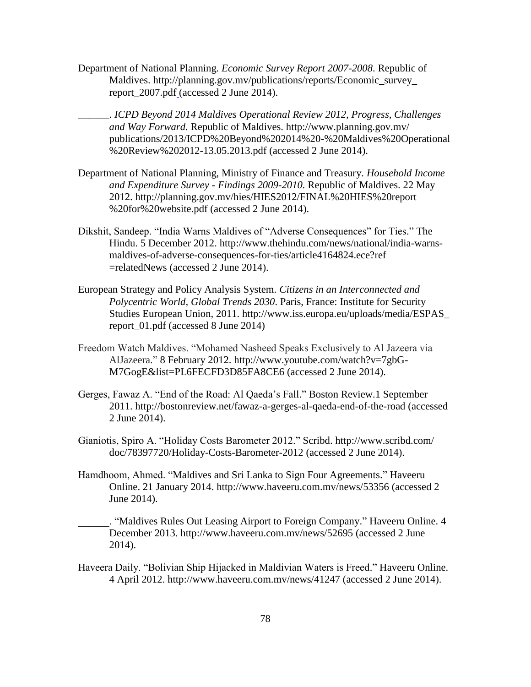- Department of National Planning. *Economic Survey Report 2007-2008*. Republic of Maldives. http://planning.gov.mv/publications/reports/Economic\_survey\_ report\_2007.pdf (accessed 2 June 2014).
- \_\_\_\_\_\_. *ICPD Beyond 2014 Maldives Operational Review 2012, Progress, Challenges and Way Forward.* Republic of Maldives. http://www.planning.gov.mv/ publications/2013/ICPD%20Beyond%202014%20-%20Maldives%20Operational %20Review%202012-13.05.2013.pdf (accessed 2 June 2014).
- Department of National Planning, Ministry of Finance and Treasury. *Household Income and Expenditure Survey - Findings 2009-2010.* Republic of Maldives. 22 May 2012. http://planning.gov.mv/hies/HIES2012/FINAL%20HIES%20report %20for%20website.pdf (accessed 2 June 2014).
- Dikshit, Sandeep. "India Warns Maldives of "Adverse Consequences" for Ties." The Hindu. 5 December 2012. http://www.thehindu.com/news/national/india-warnsmaldives-of-adverse-consequences-for-ties/article4164824.ece?ref =relatedNews (accessed 2 June 2014).
- European Strategy and Policy Analysis System. *Citizens in an Interconnected and Polycentric World, Global Trends 2030*. Paris, France: Institute for Security Studies European Union, 2011. http://www.iss.europa.eu/uploads/media/ESPAS\_ report\_01.pdf (accessed 8 June 2014)
- Freedom Watch Maldives. "Mohamed Nasheed Speaks Exclusively to Al Jazeera via AlJazeera." 8 February 2012. http://www.youtube.com/watch?v=7gbG-M7GogE&list=PL6FECFD3D85FA8CE6 (accessed 2 June 2014).
- Gerges, Fawaz A. "End of the Road: Al Qaeda's Fall." Boston Review.1 September 2011. http://bostonreview.net/fawaz-a-gerges-al-qaeda-end-of-the-road (accessed 2 June 2014).
- Gianiotis, Spiro A. "Holiday Costs Barometer 2012." Scribd. http://www.scribd.com/ doc/78397720/Holiday-Costs-Barometer-2012 (accessed 2 June 2014).
- Hamdhoom, Ahmed. "Maldives and Sri Lanka to Sign Four Agreements." Haveeru Online. 21 January 2014. http://www.haveeru.com.mv/news/53356 (accessed 2 June 2014).

\_\_\_\_\_\_. "Maldives Rules Out Leasing Airport to Foreign Company." Haveeru Online. 4 December 2013. http://www.haveeru.com.mv/news/52695 (accessed 2 June 2014).

Haveera Daily. "Bolivian Ship Hijacked in Maldivian Waters is Freed." Haveeru Online. 4 April 2012. http://www.haveeru.com.mv/news/41247 (accessed 2 June 2014).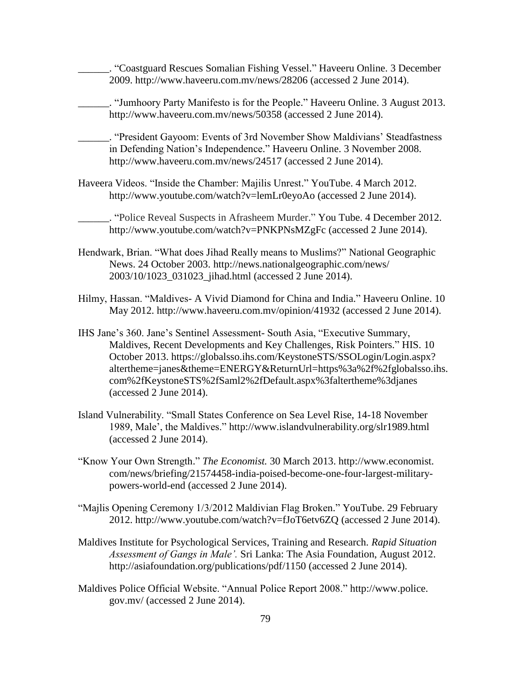\_\_\_\_\_\_. "Coastguard Rescues Somalian Fishing Vessel." Haveeru Online. 3 December 2009. http://www.haveeru.com.mv/news/28206 (accessed 2 June 2014).

\_\_\_\_\_\_. "Jumhoory Party Manifesto is for the People." Haveeru Online. 3 August 2013. http://www.haveeru.com.mv/news/50358 (accessed 2 June 2014).

\_\_\_\_\_\_. "President Gayoom: Events of 3rd November Show Maldivians' Steadfastness in Defending Nation's Independence." Haveeru Online. 3 November 2008. http://www.haveeru.com.mv/news/24517 (accessed 2 June 2014).

Haveera Videos. "Inside the Chamber: Majilis Unrest." YouTube. 4 March 2012. http://www.youtube.com/watch?v=lemLr0eyoAo (accessed 2 June 2014).

\_\_\_\_\_\_. "Police Reveal Suspects in Afrasheem Murder." You Tube. 4 December 2012. http://www.youtube.com/watch?v=PNKPNsMZgFc (accessed 2 June 2014).

- Hendwark, Brian. "What does Jihad Really means to Muslims?" National Geographic News. 24 October 2003. http://news.nationalgeographic.com/news/ 2003/10/1023\_031023\_jihad.html (accessed 2 June 2014).
- Hilmy, Hassan. "Maldives- A Vivid Diamond for China and India." Haveeru Online. 10 May 2012. http://www.haveeru.com.mv/opinion/41932 (accessed 2 June 2014).
- IHS Jane's 360. Jane's Sentinel Assessment- South Asia, "Executive Summary, Maldives, Recent Developments and Key Challenges, Risk Pointers." HIS. 10 October 2013. https://globalsso.ihs.com/KeystoneSTS/SSOLogin/Login.aspx? altertheme=janes&theme=ENERGY&ReturnUrl=https%3a%2f%2fglobalsso.ihs. com%2fKeystoneSTS%2fSaml2%2fDefault.aspx%3faltertheme%3djanes (accessed 2 June 2014).
- Island Vulnerability. "Small States Conference on Sea Level Rise, 14-18 November 1989, Male', the Maldives." http://www.islandvulnerability.org/slr1989.html (accessed 2 June 2014).
- "Know Your Own Strength." *The Economist.* 30 March 2013. http://www.economist. com/news/briefing/21574458-india-poised-become-one-four-largest-militarypowers-world-end (accessed 2 June 2014).
- "Majlis Opening Ceremony 1/3/2012 Maldivian Flag Broken." YouTube. 29 February 2012. http://www.youtube.com/watch?v=fJoT6etv6ZQ (accessed 2 June 2014).
- Maldives Institute for Psychological Services, Training and Research. *Rapid Situation Assessment of Gangs in Male'.* Sri Lanka: The Asia Foundation, August 2012. http://asiafoundation.org/publications/pdf/1150 (accessed 2 June 2014).
- Maldives Police Official Website. "Annual Police Report 2008." http://www.police. gov.mv/ (accessed 2 June 2014).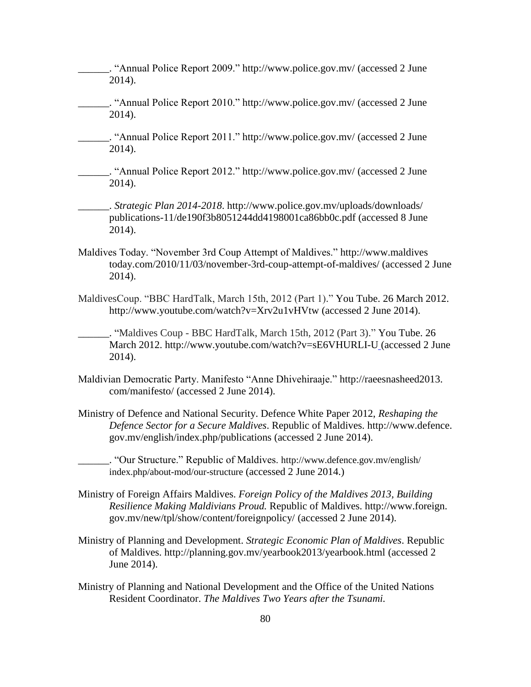\_\_\_\_\_\_. "Annual Police Report 2009." http://www.police.gov.mv/ (accessed 2 June 2014).

- \_\_\_\_\_\_. "Annual Police Report 2010." http://www.police.gov.mv/ (accessed 2 June 2014).
- \_\_\_\_\_\_. "Annual Police Report 2011." http://www.police.gov.mv/ (accessed 2 June 2014).

\_\_\_\_\_\_. "Annual Police Report 2012." http://www.police.gov.mv/ (accessed 2 June 2014).

\_\_\_\_\_\_. *Strategic Plan 2014-2018*. http://www.police.gov.mv/uploads/downloads/ publications-11/de190f3b8051244dd4198001ca86bb0c.pdf (accessed 8 June 2014).

- Maldives Today. "November 3rd Coup Attempt of Maldives." http://www.maldives today.com/2010/11/03/november-3rd-coup-attempt-of-maldives/ (accessed 2 June 2014).
- MaldivesCoup. "BBC HardTalk, March 15th, 2012 (Part 1)." You Tube. 26 March 2012. http://www.youtube.com/watch?v=Xrv2u1vHVtw (accessed 2 June 2014).

\_\_\_\_\_\_. "Maldives Coup - BBC HardTalk, March 15th, 2012 (Part 3)." You Tube. 26 March 2012. http://www.youtube.com/watch?v=sE6VHURLI-U (accessed 2 June 2014).

- Maldivian Democratic Party. Manifesto "Anne Dhivehiraaje." http://raeesnasheed2013. com/manifesto/ (accessed 2 June 2014).
- Ministry of Defence and National Security. Defence White Paper 2012, *Reshaping the Defence Sector for a Secure Maldives*. Republic of Maldives. http://www.defence. gov.mv/english/index.php/publications (accessed 2 June 2014).
- \_\_\_\_\_\_. "Our Structure." Republic of Maldives. http://www.defence.gov.mv/english/ index.php/about-mod/our-structure (accessed 2 June 2014.)
- Ministry of Foreign Affairs Maldives. *Foreign Policy of the Maldives 2013, Building Resilience Making Maldivians Proud.* Republic of Maldives. http://www.foreign. gov.mv/new/tpl/show/content/foreignpolicy/ (accessed 2 June 2014).
- Ministry of Planning and Development. *Strategic Economic Plan of Maldives*. Republic of Maldives. http://planning.gov.mv/yearbook2013/yearbook.html (accessed 2 June 2014).
- Ministry of Planning and National Development and the Office of the United Nations Resident Coordinator. *The Maldives Two Years after the Tsunami.*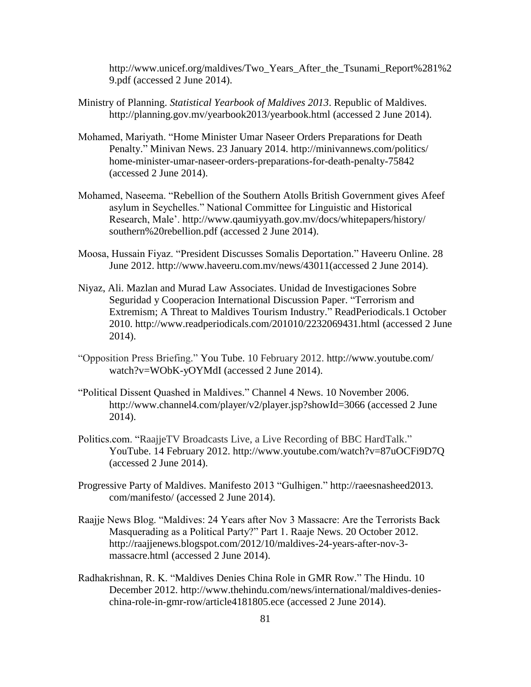http://www.unicef.org/maldives/Two Years After the Tsunami Report%281%2 9.pdf (accessed 2 June 2014).

- Ministry of Planning. *Statistical Yearbook of Maldives 2013*. Republic of Maldives. http://planning.gov.mv/yearbook2013/yearbook.html (accessed 2 June 2014).
- Mohamed, Mariyath. "Home Minister Umar Naseer Orders Preparations for Death Penalty." Minivan News. 23 January 2014. http://minivannews.com/politics/ home-minister-umar-naseer-orders-preparations-for-death-penalty-75842 (accessed 2 June 2014).
- Mohamed, Naseema. "Rebellion of the Southern Atolls British Government gives Afeef asylum in Seychelles." National Committee for Linguistic and Historical Research, Male'. http://www.qaumiyyath.gov.mv/docs/whitepapers/history/ southern%20rebellion.pdf (accessed 2 June 2014).
- Moosa, Hussain Fiyaz. "President Discusses Somalis Deportation." Haveeru Online. 28 June 2012. http://www.haveeru.com.mv/news/43011(accessed 2 June 2014).
- Niyaz, Ali. Mazlan and Murad Law Associates. Unidad de Investigaciones Sobre Seguridad y Cooperacion International Discussion Paper. "Terrorism and Extremism; A Threat to Maldives Tourism Industry." ReadPeriodicals.1 October 2010. http://www.readperiodicals.com/201010/2232069431.html (accessed 2 June 2014).
- "Opposition Press Briefing." You Tube. 10 February 2012. http://www.youtube.com/ watch?v=WObK-yOYMdI (accessed 2 June 2014).
- "Political Dissent Quashed in Maldives." Channel 4 News. 10 November 2006. http://www.channel4.com/player/v2/player.jsp?showId=3066 (accessed 2 June 2014).
- Politics.com. "RaajjeTV Broadcasts Live, a Live Recording of BBC HardTalk." YouTube. 14 February 2012. http://www.youtube.com/watch?v=87uOCFi9D7Q (accessed 2 June 2014).
- Progressive Party of Maldives. Manifesto 2013 "Gulhigen." http://raeesnasheed2013. com/manifesto/ (accessed 2 June 2014).
- Raajje News Blog. "Maldives: 24 Years after Nov 3 Massacre: Are the Terrorists Back Masquerading as a Political Party?" Part 1. Raaje News. 20 October 2012. http://raajjenews.blogspot.com/2012/10/maldives-24-years-after-nov-3 massacre.html (accessed 2 June 2014).
- Radhakrishnan, R. K. "Maldives Denies China Role in GMR Row." The Hindu. 10 December 2012. http://www.thehindu.com/news/international/maldives-denieschina-role-in-gmr-row/article4181805.ece (accessed 2 June 2014).